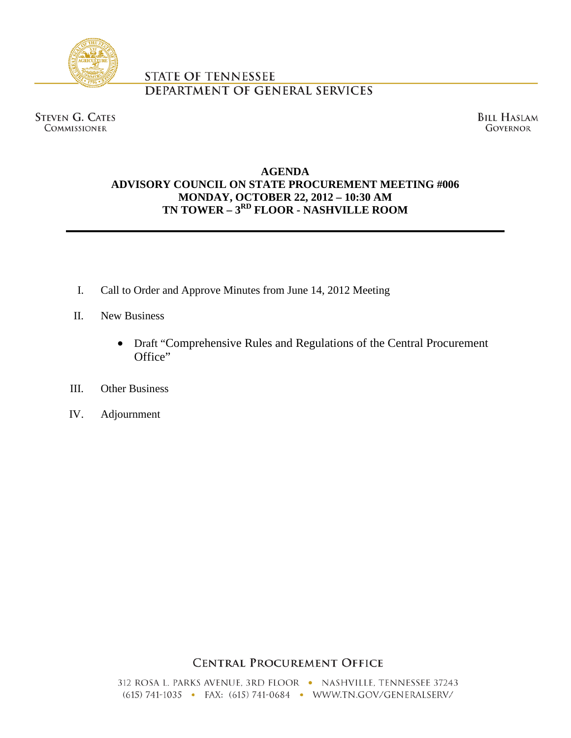

# **STATE OF TENNESSEE DEPARTMENT OF GENERAL SERVICES**

**BILL HASLAM GOVERNOR** 

### **AGENDA ADVISORY COUNCIL ON STATE PROCUREMENT MEETING #006 MONDAY, OCTOBER 22, 2012 – 10:30 AM TN TOWER – 3RD FLOOR - NASHVILLE ROOM**

- I. Call to Order and Approve Minutes from June 14, 2012 Meeting
- II. New Business
	- Draft "Comprehensive Rules and Regulations of the Central Procurement Office"
- III. Other Business
- IV. Adjournment

### **CENTRAL PROCUREMENT OFFICE**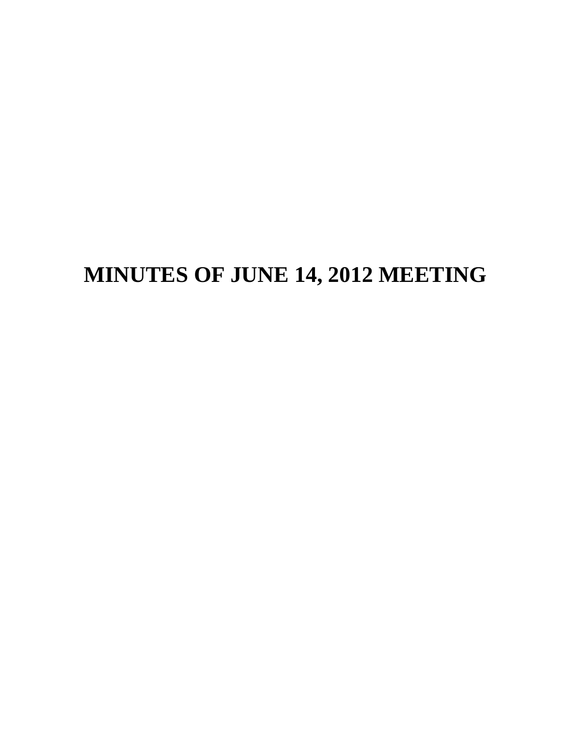# **MINUTES OF JUNE 14, 2012 MEETING**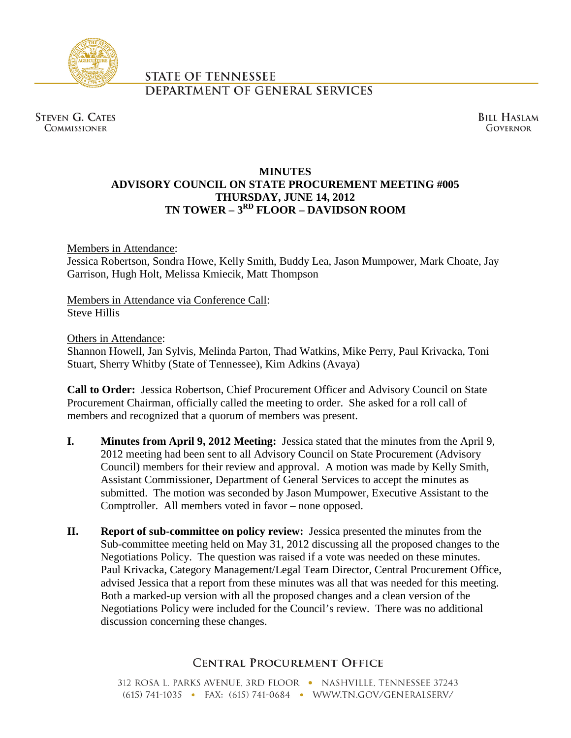

# **STATE OF TENNESSEE** DEPARTMENT OF GENERAL SERVICES

**STEVEN G. CATES COMMISSIONER** 

**BILL HASLAM GOVERNOR** 

# **MINUTES ADVISORY COUNCIL ON STATE PROCUREMENT MEETING #005 THURSDAY, JUNE 14, 2012 TN TOWER – 3RD FLOOR – DAVIDSON ROOM**

Members in Attendance:

Jessica Robertson, Sondra Howe, Kelly Smith, Buddy Lea, Jason Mumpower, Mark Choate, Jay Garrison, Hugh Holt, Melissa Kmiecik, Matt Thompson

Members in Attendance via Conference Call: Steve Hillis

Others in Attendance:

Shannon Howell, Jan Sylvis, Melinda Parton, Thad Watkins, Mike Perry, Paul Krivacka, Toni Stuart, Sherry Whitby (State of Tennessee), Kim Adkins (Avaya)

**Call to Order:** Jessica Robertson, Chief Procurement Officer and Advisory Council on State Procurement Chairman, officially called the meeting to order. She asked for a roll call of members and recognized that a quorum of members was present.

- **I. Minutes from April 9, 2012 Meeting:** Jessica stated that the minutes from the April 9, 2012 meeting had been sent to all Advisory Council on State Procurement (Advisory Council) members for their review and approval. A motion was made by Kelly Smith, Assistant Commissioner, Department of General Services to accept the minutes as submitted. The motion was seconded by Jason Mumpower, Executive Assistant to the Comptroller. All members voted in favor – none opposed.
- **II. Report of sub-committee on policy review:** Jessica presented the minutes from the Sub-committee meeting held on May 31, 2012 discussing all the proposed changes to the Negotiations Policy. The question was raised if a vote was needed on these minutes. Paul Krivacka, Category Management/Legal Team Director, Central Procurement Office, advised Jessica that a report from these minutes was all that was needed for this meeting. Both a marked-up version with all the proposed changes and a clean version of the Negotiations Policy were included for the Council's review. There was no additional discussion concerning these changes.

# **CENTRAL PROCUREMENT OFFICE**

312 ROSA L. PARKS AVENUE. 3RD FLOOR · NASHVILLE. TENNESSEE 37243 (615) 741-1035 • FAX: (615) 741-0684 • WWW.TN.GOV/GENERALSERV/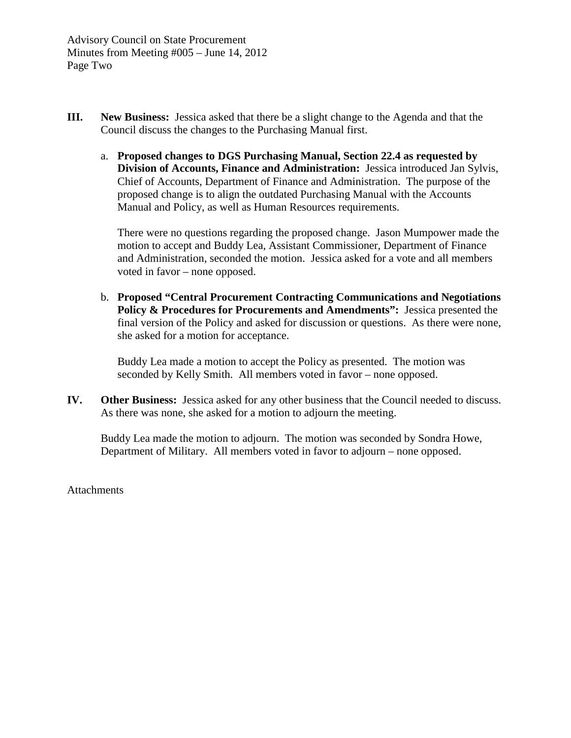Advisory Council on State Procurement Minutes from Meeting #005 – June 14, 2012 Page Two

- **III. New Business:** Jessica asked that there be a slight change to the Agenda and that the Council discuss the changes to the Purchasing Manual first.
	- a. **Proposed changes to DGS Purchasing Manual, Section 22.4 as requested by Division of Accounts, Finance and Administration:** Jessica introduced Jan Sylvis, Chief of Accounts, Department of Finance and Administration. The purpose of the proposed change is to align the outdated Purchasing Manual with the Accounts Manual and Policy, as well as Human Resources requirements.

There were no questions regarding the proposed change. Jason Mumpower made the motion to accept and Buddy Lea, Assistant Commissioner, Department of Finance and Administration, seconded the motion. Jessica asked for a vote and all members voted in favor – none opposed.

b. **Proposed "Central Procurement Contracting Communications and Negotiations Policy & Procedures for Procurements and Amendments":** Jessica presented the final version of the Policy and asked for discussion or questions. As there were none, she asked for a motion for acceptance.

Buddy Lea made a motion to accept the Policy as presented. The motion was seconded by Kelly Smith. All members voted in favor – none opposed.

**IV. Other Business:** Jessica asked for any other business that the Council needed to discuss. As there was none, she asked for a motion to adjourn the meeting.

Buddy Lea made the motion to adjourn. The motion was seconded by Sondra Howe, Department of Military. All members voted in favor to adjourn – none opposed.

**Attachments**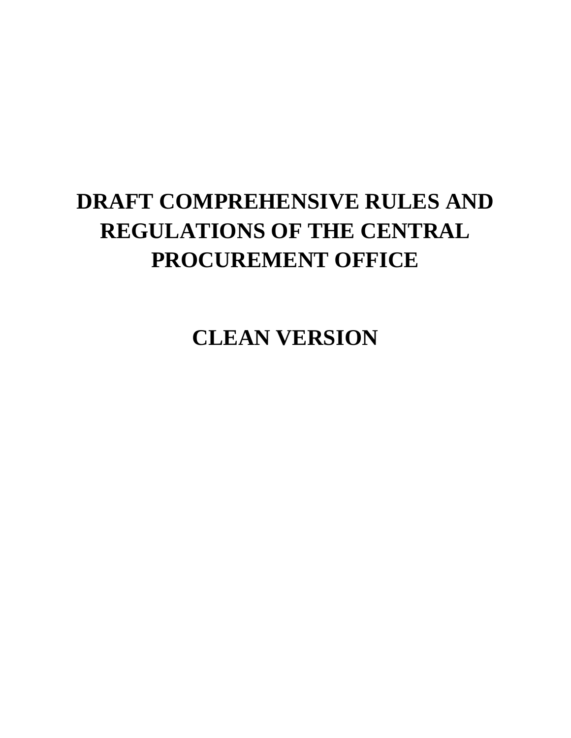# **DRAFT COMPREHENSIVE RULES AND REGULATIONS OF THE CENTRAL PROCUREMENT OFFICE**

**CLEAN VERSION**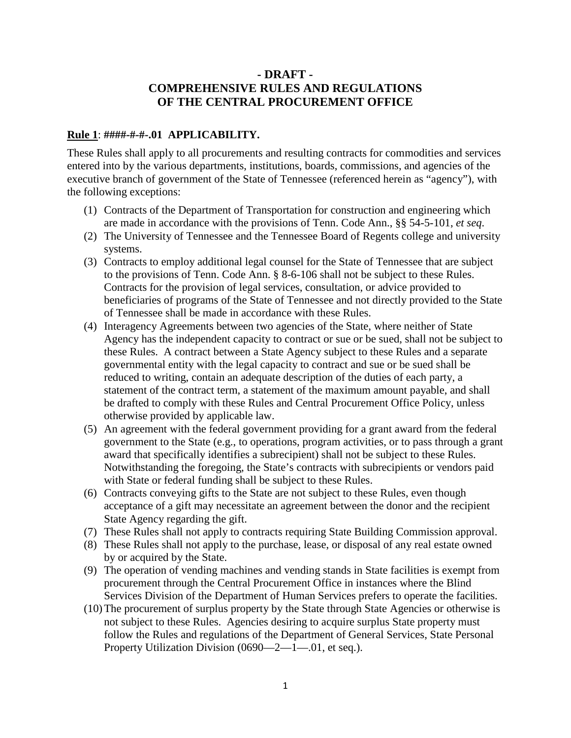# **- DRAFT - COMPREHENSIVE RULES AND REGULATIONS OF THE CENTRAL PROCUREMENT OFFICE**

### **Rule 1**: **####-#-#-.01 APPLICABILITY.**

These Rules shall apply to all procurements and resulting contracts for commodities and services entered into by the various departments, institutions, boards, commissions, and agencies of the executive branch of government of the State of Tennessee (referenced herein as "agency"), with the following exceptions:

- (1) Contracts of the Department of Transportation for construction and engineering which are made in accordance with the provisions of Tenn. Code Ann., §§ 54-5-101, *et seq*.
- (2) The University of Tennessee and the Tennessee Board of Regents college and university systems.
- (3) Contracts to employ additional legal counsel for the State of Tennessee that are subject to the provisions of Tenn. Code Ann. § 8-6-106 shall not be subject to these Rules. Contracts for the provision of legal services, consultation, or advice provided to beneficiaries of programs of the State of Tennessee and not directly provided to the State of Tennessee shall be made in accordance with these Rules.
- (4) Interagency Agreements between two agencies of the State, where neither of State Agency has the independent capacity to contract or sue or be sued, shall not be subject to these Rules. A contract between a State Agency subject to these Rules and a separate governmental entity with the legal capacity to contract and sue or be sued shall be reduced to writing, contain an adequate description of the duties of each party, a statement of the contract term, a statement of the maximum amount payable, and shall be drafted to comply with these Rules and Central Procurement Office Policy, unless otherwise provided by applicable law.
- (5) An agreement with the federal government providing for a grant award from the federal government to the State (e.g., to operations, program activities, or to pass through a grant award that specifically identifies a subrecipient) shall not be subject to these Rules. Notwithstanding the foregoing, the State's contracts with subrecipients or vendors paid with State or federal funding shall be subject to these Rules.
- (6) Contracts conveying gifts to the State are not subject to these Rules, even though acceptance of a gift may necessitate an agreement between the donor and the recipient State Agency regarding the gift.
- (7) These Rules shall not apply to contracts requiring State Building Commission approval.
- (8) These Rules shall not apply to the purchase, lease, or disposal of any real estate owned by or acquired by the State.
- (9) The operation of vending machines and vending stands in State facilities is exempt from procurement through the Central Procurement Office in instances where the Blind Services Division of the Department of Human Services prefers to operate the facilities.
- (10)The procurement of surplus property by the State through State Agencies or otherwise is not subject to these Rules. Agencies desiring to acquire surplus State property must follow the Rules and regulations of the Department of General Services, State Personal Property Utilization Division (0690—2—1—.01, et seq.).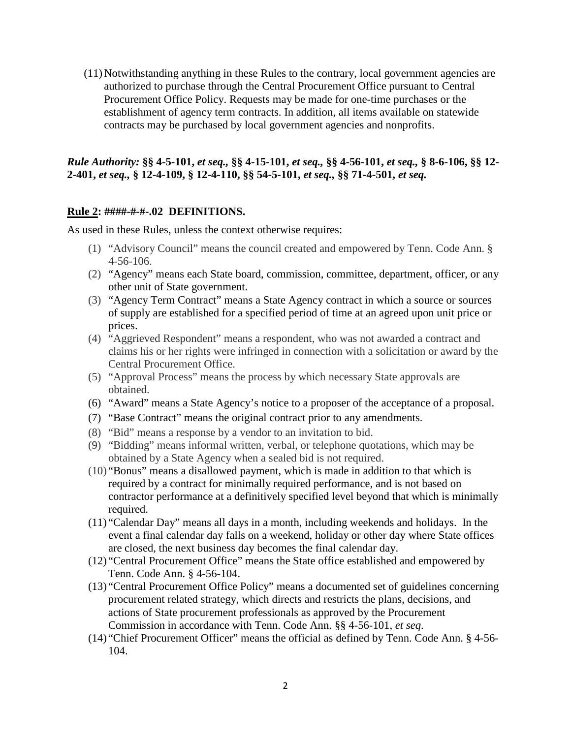(11)Notwithstanding anything in these Rules to the contrary, local government agencies are authorized to purchase through the Central Procurement Office pursuant to Central Procurement Office Policy. Requests may be made for one-time purchases or the establishment of agency term contracts. In addition, all items available on statewide contracts may be purchased by local government agencies and nonprofits.

### *Rule Authority:* **§§ 4-5-101,** *et seq.,* **§§ 4-15-101,** *et seq.,* **§§ 4-56-101,** *et seq.,* **§ 8-6-106, §§ 12- 2-401,** *et seq.,* **§ 12-4-109, § 12-4-110, §§ 54-5-101,** *et seq.,* **§§ 71-4-501,** *et seq.*

### **Rule 2: ####-#-#-.02 DEFINITIONS.**

As used in these Rules, unless the context otherwise requires:

- (1) "Advisory Council" means the council created and empowered by Tenn. Code Ann. § 4-56-106.
- (2) "Agency" means each State board, commission, committee, department, officer, or any other unit of State government.
- (3) "Agency Term Contract" means a State Agency contract in which a source or sources of supply are established for a specified period of time at an agreed upon unit price or prices.
- (4) "Aggrieved Respondent" means a respondent, who was not awarded a contract and claims his or her rights were infringed in connection with a solicitation or award by the Central Procurement Office.
- (5) "Approval Process" means the process by which necessary State approvals are obtained.
- (6) "Award" means a State Agency's notice to a proposer of the acceptance of a proposal.
- (7) "Base Contract" means the original contract prior to any amendments.
- (8) "Bid" means a response by a vendor to an invitation to bid.
- (9) "Bidding" means informal written, verbal, or telephone quotations, which may be obtained by a State Agency when a sealed bid is not required.
- (10) "Bonus" means a disallowed payment, which is made in addition to that which is required by a contract for minimally required performance, and is not based on contractor performance at a definitively specified level beyond that which is minimally required.
- (11) "Calendar Day" means all days in a month, including weekends and holidays. In the event a final calendar day falls on a weekend, holiday or other day where State offices are closed, the next business day becomes the final calendar day.
- (12) "Central Procurement Office" means the State office established and empowered by Tenn. Code Ann. § 4-56-104.
- (13) "Central Procurement Office Policy" means a documented set of guidelines concerning procurement related strategy, which directs and restricts the plans, decisions, and actions of State procurement professionals as approved by the Procurement Commission in accordance with Tenn. Code Ann. §§ 4-56-101, *et seq*.
- (14) "Chief Procurement Officer" means the official as defined by Tenn. Code Ann. § 4-56- 104.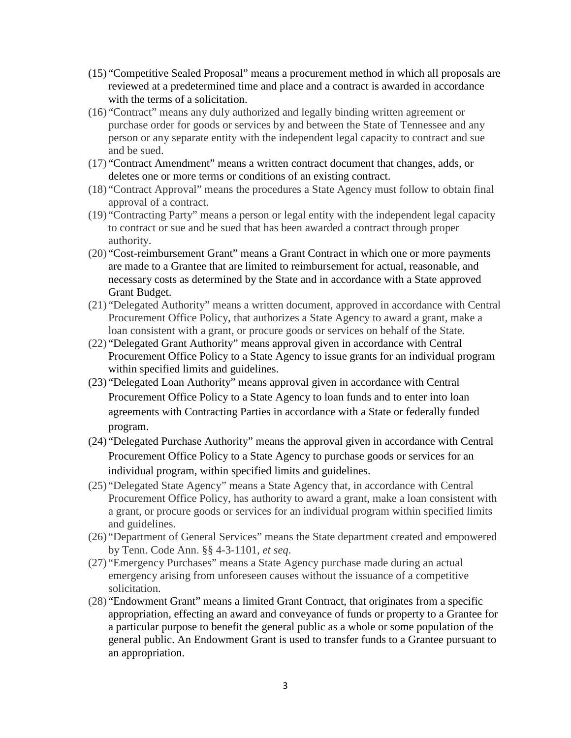- (15) "Competitive Sealed Proposal" means a procurement method in which all proposals are reviewed at a predetermined time and place and a contract is awarded in accordance with the terms of a solicitation.
- (16) "Contract" means any duly authorized and legally binding written agreement or purchase order for goods or services by and between the State of Tennessee and any person or any separate entity with the independent legal capacity to contract and sue and be sued.
- (17) "Contract Amendment" means a written contract document that changes, adds, or deletes one or more terms or conditions of an existing contract.
- (18) "Contract Approval" means the procedures a State Agency must follow to obtain final approval of a contract.
- (19) "Contracting Party" means a person or legal entity with the independent legal capacity to contract or sue and be sued that has been awarded a contract through proper authority.
- (20) "Cost-reimbursement Grant" means a Grant Contract in which one or more payments are made to a Grantee that are limited to reimbursement for actual, reasonable, and necessary costs as determined by the State and in accordance with a State approved Grant Budget.
- (21) "Delegated Authority" means a written document, approved in accordance with Central Procurement Office Policy, that authorizes a State Agency to award a grant, make a loan consistent with a grant, or procure goods or services on behalf of the State.
- (22) "Delegated Grant Authority" means approval given in accordance with Central Procurement Office Policy to a State Agency to issue grants for an individual program within specified limits and guidelines.
- (23) "Delegated Loan Authority" means approval given in accordance with Central Procurement Office Policy to a State Agency to loan funds and to enter into loan agreements with Contracting Parties in accordance with a State or federally funded program.
- (24) "Delegated Purchase Authority" means the approval given in accordance with Central Procurement Office Policy to a State Agency to purchase goods or services for an individual program, within specified limits and guidelines.
- (25) "Delegated State Agency" means a State Agency that, in accordance with Central Procurement Office Policy, has authority to award a grant, make a loan consistent with a grant, or procure goods or services for an individual program within specified limits and guidelines.
- (26) "Department of General Services" means the State department created and empowered by Tenn. Code Ann. §§ 4-3-1101, *et seq*.
- (27) "Emergency Purchases" means a State Agency purchase made during an actual emergency arising from unforeseen causes without the issuance of a competitive solicitation.
- (28) "Endowment Grant" means a limited Grant Contract, that originates from a specific appropriation, effecting an award and conveyance of funds or property to a Grantee for a particular purpose to benefit the general public as a whole or some population of the general public. An Endowment Grant is used to transfer funds to a Grantee pursuant to an appropriation.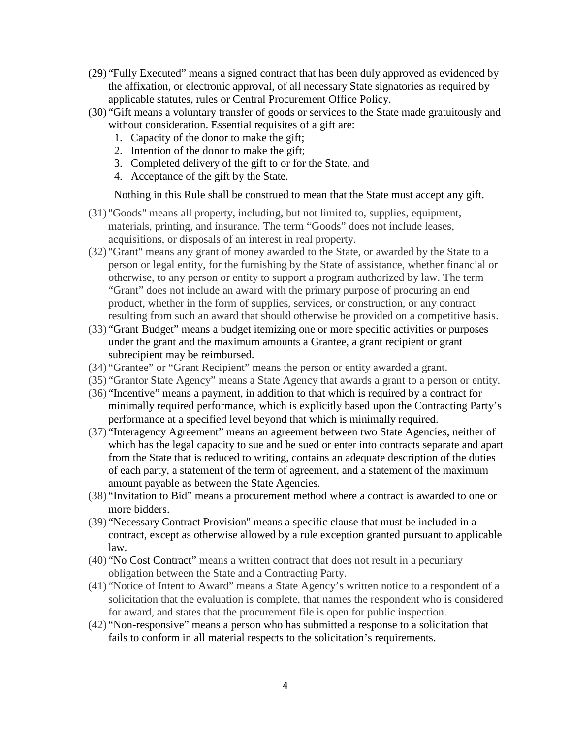- (29) "Fully Executed" means a signed contract that has been duly approved as evidenced by the affixation, or electronic approval, of all necessary State signatories as required by applicable statutes, rules or Central Procurement Office Policy.
- (30) "Gift means a voluntary transfer of goods or services to the State made gratuitously and without consideration. Essential requisites of a gift are:
	- 1. Capacity of the donor to make the gift;
	- 2. Intention of the donor to make the gift;
	- 3. Completed delivery of the gift to or for the State, and
	- 4. Acceptance of the gift by the State.

Nothing in this Rule shall be construed to mean that the State must accept any gift.

- (31) "Goods" means all property, including, but not limited to, supplies, equipment, materials, printing, and insurance. The term "Goods" does not include leases, acquisitions, or disposals of an interest in real property.
- (32) "Grant" means any grant of money awarded to the State, or awarded by the State to a person or legal entity, for the furnishing by the State of assistance, whether financial or otherwise, to any person or entity to support a program authorized by law. The term "Grant" does not include an award with the primary purpose of procuring an end product, whether in the form of supplies, services, or construction, or any contract resulting from such an award that should otherwise be provided on a competitive basis.
- (33) "Grant Budget" means a budget itemizing one or more specific activities or purposes under the grant and the maximum amounts a Grantee, a grant recipient or grant subrecipient may be reimbursed.
- (34) "Grantee" or "Grant Recipient" means the person or entity awarded a grant.
- (35) "Grantor State Agency" means a State Agency that awards a grant to a person or entity.
- (36) "Incentive" means a payment, in addition to that which is required by a contract for minimally required performance, which is explicitly based upon the Contracting Party's performance at a specified level beyond that which is minimally required.
- (37) "Interagency Agreement" means an agreement between two State Agencies, neither of which has the legal capacity to sue and be sued or enter into contracts separate and apart from the State that is reduced to writing, contains an adequate description of the duties of each party, a statement of the term of agreement, and a statement of the maximum amount payable as between the State Agencies.
- (38) "Invitation to Bid" means a procurement method where a contract is awarded to one or more bidders.
- (39) "Necessary Contract Provision" means a specific clause that must be included in a contract, except as otherwise allowed by a rule exception granted pursuant to applicable law.
- (40) "No Cost Contract" means a written contract that does not result in a pecuniary obligation between the State and a Contracting Party.
- (41) "Notice of Intent to Award" means a State Agency's written notice to a respondent of a solicitation that the evaluation is complete, that names the respondent who is considered for award, and states that the procurement file is open for public inspection.
- (42) "Non-responsive" means a person who has submitted a response to a solicitation that fails to conform in all material respects to the solicitation's requirements.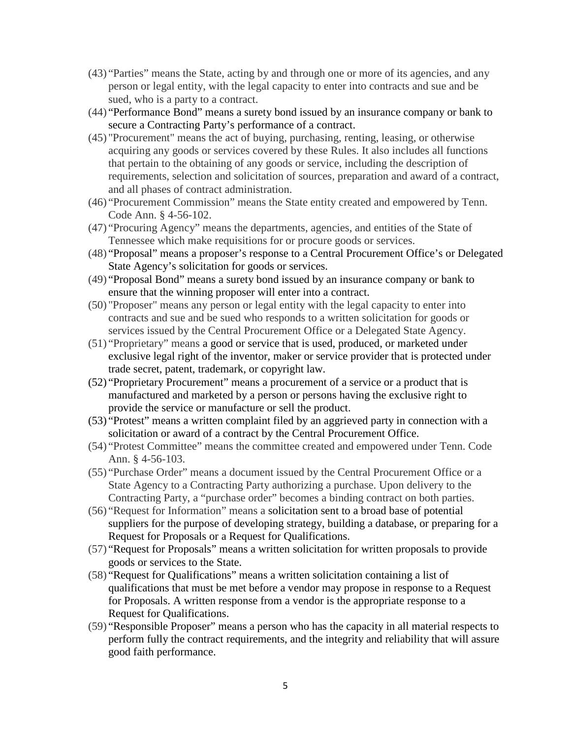- (43) "Parties" means the State, acting by and through one or more of its agencies, and any person or legal entity, with the legal capacity to enter into contracts and sue and be sued, who is a party to a contract.
- (44) "Performance Bond" means a surety bond issued by an insurance company or bank to secure a Contracting Party's performance of a contract.
- (45) "Procurement" means the act of buying, purchasing, renting, leasing, or otherwise acquiring any goods or services covered by these Rules. It also includes all functions that pertain to the obtaining of any goods or service, including the description of requirements, selection and solicitation of sources, preparation and award of a contract, and all phases of contract administration.
- (46) "Procurement Commission" means the State entity created and empowered by Tenn. Code Ann. § 4-56-102.
- (47) "Procuring Agency" means the departments, agencies, and entities of the State of Tennessee which make requisitions for or procure goods or services.
- (48) "Proposal" means a proposer's response to a Central Procurement Office's or Delegated State Agency's solicitation for goods or services.
- (49) "Proposal Bond" means a surety bond issued by an insurance company or bank to ensure that the winning proposer will enter into a contract.
- (50) "Proposer" means any person or legal entity with the legal capacity to enter into contracts and sue and be sued who responds to a written solicitation for goods or services issued by the Central Procurement Office or a Delegated State Agency.
- (51) "Proprietary" means a good or service that is used, produced, or marketed under exclusive legal right of the inventor, maker or service provider that is protected under trade secret, patent, trademark, or copyright law.
- (52) "Proprietary Procurement" means a procurement of a service or a product that is manufactured and marketed by a person or persons having the exclusive right to provide the service or manufacture or sell the product.
- (53) "Protest" means a written complaint filed by an aggrieved party in connection with a solicitation or award of a contract by the Central Procurement Office.
- (54) "Protest Committee" means the committee created and empowered under Tenn. Code Ann. § 4-56-103.
- (55) "Purchase Order" means a document issued by the Central Procurement Office or a State Agency to a Contracting Party authorizing a purchase. Upon delivery to the Contracting Party, a "purchase order" becomes a binding contract on both parties.
- (56) "Request for Information" means a solicitation sent to a broad base of potential suppliers for the purpose of developing strategy, building a database, or preparing for a Request for Proposals or a Request for Qualifications.
- (57) "Request for Proposals" means a written solicitation for written proposals to provide goods or services to the State.
- (58) "Request for Qualifications" means a written solicitation containing a list of qualifications that must be met before a vendor may propose in response to a Request for Proposals. A written response from a vendor is the appropriate response to a Request for Qualifications.
- (59) "Responsible Proposer" means a person who has the capacity in all material respects to perform fully the contract requirements, and the integrity and reliability that will assure good faith performance.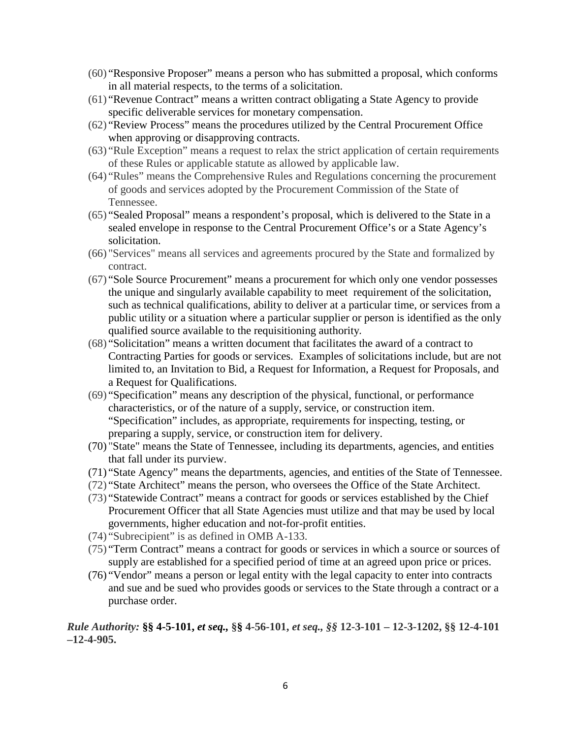- (60) "Responsive Proposer" means a person who has submitted a proposal, which conforms in all material respects, to the terms of a solicitation.
- (61) "Revenue Contract" means a written contract obligating a State Agency to provide specific deliverable services for monetary compensation.
- (62) "Review Process" means the procedures utilized by the Central Procurement Office when approving or disapproving contracts.
- (63) "Rule Exception" means a request to relax the strict application of certain requirements of these Rules or applicable statute as allowed by applicable law.
- (64) "Rules" means the Comprehensive Rules and Regulations concerning the procurement of goods and services adopted by the Procurement Commission of the State of Tennessee.
- (65) "Sealed Proposal" means a respondent's proposal, which is delivered to the State in a sealed envelope in response to the Central Procurement Office's or a State Agency's solicitation.
- (66) "Services" means all services and agreements procured by the State and formalized by contract.
- (67) "Sole Source Procurement" means a procurement for which only one vendor possesses the unique and singularly available capability to meet requirement of the solicitation, such as technical qualifications, ability to deliver at a particular time, or services from a public utility or a situation where a particular supplier or person is identified as the only qualified source available to the requisitioning authority*.*
- (68) "Solicitation" means a written document that facilitates the award of a contract to Contracting Parties for goods or services. Examples of solicitations include, but are not limited to, an Invitation to Bid, a Request for Information, a Request for Proposals, and a Request for Qualifications.
- (69) "Specification" means any description of the physical, functional, or performance characteristics, or of the nature of a supply, service, or construction item. "Specification" includes, as appropriate, requirements for inspecting, testing, or preparing a supply, service, or construction item for delivery.
- (70) "State" means the State of Tennessee, including its departments, agencies, and entities that fall under its purview.
- (71) "State Agency" means the departments, agencies, and entities of the State of Tennessee.
- (72) "State Architect" means the person, who oversees the Office of the State Architect.
- (73) "Statewide Contract" means a contract for goods or services established by the Chief Procurement Officer that all State Agencies must utilize and that may be used by local governments, higher education and not-for-profit entities.
- (74) "Subrecipient" is as defined in OMB A-133.
- (75) "Term Contract" means a contract for goods or services in which a source or sources of supply are established for a specified period of time at an agreed upon price or prices.
- (76) "Vendor" means a person or legal entity with the legal capacity to enter into contracts and sue and be sued who provides goods or services to the State through a contract or a purchase order.

### *Rule Authority:* **§§ 4-5-101,** *et seq.,* **§§ 4-56-101,** *et seq., §§* **12-3-101 – 12-3-1202, §§ 12-4-101 –12-4-905.**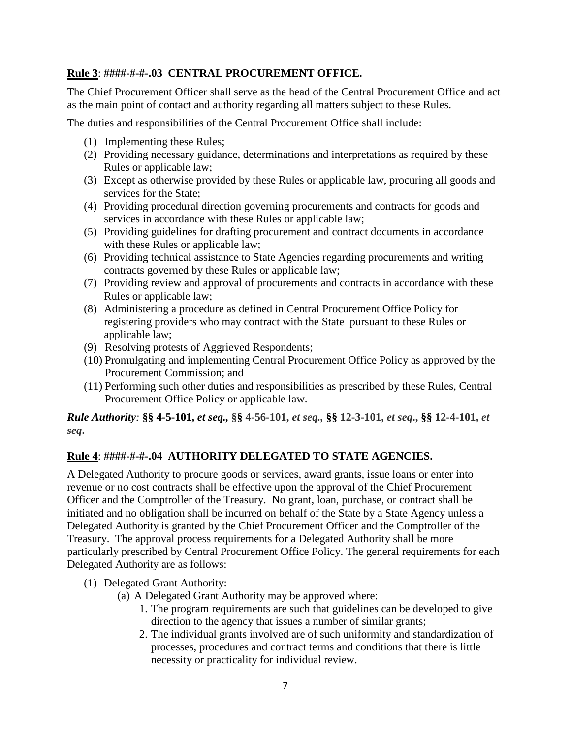### **Rule 3**: **####-#-#-.03 CENTRAL PROCUREMENT OFFICE.**

The Chief Procurement Officer shall serve as the head of the Central Procurement Office and act as the main point of contact and authority regarding all matters subject to these Rules.

The duties and responsibilities of the Central Procurement Office shall include:

- (1) Implementing these Rules;
- (2) Providing necessary guidance, determinations and interpretations as required by these Rules or applicable law;
- (3) Except as otherwise provided by these Rules or applicable law, procuring all goods and services for the State;
- (4) Providing procedural direction governing procurements and contracts for goods and services in accordance with these Rules or applicable law;
- (5) Providing guidelines for drafting procurement and contract documents in accordance with these Rules or applicable law;
- (6) Providing technical assistance to State Agencies regarding procurements and writing contracts governed by these Rules or applicable law;
- (7) Providing review and approval of procurements and contracts in accordance with these Rules or applicable law;
- (8) Administering a procedure as defined in Central Procurement Office Policy for registering providers who may contract with the State pursuant to these Rules or applicable law;
- (9) Resolving protests of Aggrieved Respondents;
- (10) Promulgating and implementing Central Procurement Office Policy as approved by the Procurement Commission; and
- (11) Performing such other duties and responsibilities as prescribed by these Rules, Central Procurement Office Policy or applicable law.

*Rule Authority:* **§§ 4-5-101,** *et seq.,* **§§ 4-56-101,** *et seq.,* **§§ 12-3-101,** *et seq***., §§ 12-4-101,** *et seq***.**

# **Rule 4**: **####-#-#-.04 AUTHORITY DELEGATED TO STATE AGENCIES.**

A Delegated Authority to procure goods or services, award grants, issue loans or enter into revenue or no cost contracts shall be effective upon the approval of the Chief Procurement Officer and the Comptroller of the Treasury. No grant, loan, purchase, or contract shall be initiated and no obligation shall be incurred on behalf of the State by a State Agency unless a Delegated Authority is granted by the Chief Procurement Officer and the Comptroller of the Treasury. The approval process requirements for a Delegated Authority shall be more particularly prescribed by Central Procurement Office Policy. The general requirements for each Delegated Authority are as follows:

- (1) Delegated Grant Authority:
	- (a) A Delegated Grant Authority may be approved where:
		- 1. The program requirements are such that guidelines can be developed to give direction to the agency that issues a number of similar grants;
		- 2. The individual grants involved are of such uniformity and standardization of processes, procedures and contract terms and conditions that there is little necessity or practicality for individual review.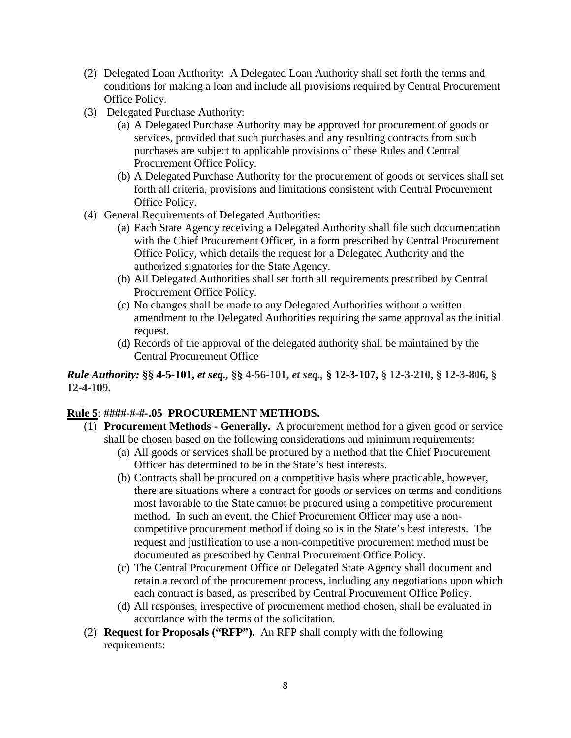- (2) Delegated Loan Authority: A Delegated Loan Authority shall set forth the terms and conditions for making a loan and include all provisions required by Central Procurement Office Policy.
- (3) Delegated Purchase Authority:
	- (a) A Delegated Purchase Authority may be approved for procurement of goods or services, provided that such purchases and any resulting contracts from such purchases are subject to applicable provisions of these Rules and Central Procurement Office Policy.
	- (b) A Delegated Purchase Authority for the procurement of goods or services shall set forth all criteria, provisions and limitations consistent with Central Procurement Office Policy.
- (4) General Requirements of Delegated Authorities:
	- (a) Each State Agency receiving a Delegated Authority shall file such documentation with the Chief Procurement Officer, in a form prescribed by Central Procurement Office Policy, which details the request for a Delegated Authority and the authorized signatories for the State Agency.
	- (b) All Delegated Authorities shall set forth all requirements prescribed by Central Procurement Office Policy.
	- (c) No changes shall be made to any Delegated Authorities without a written amendment to the Delegated Authorities requiring the same approval as the initial request.
	- (d) Records of the approval of the delegated authority shall be maintained by the Central Procurement Office

*Rule Authority:* **§§ 4-5-101,** *et seq.,* **§§ 4-56-101,** *et seq.,* **§ 12-3-107, § 12-3-210, § 12-3-806, § 12-4-109.**

# **Rule 5**: **####-#-#-.05 PROCUREMENT METHODS.**

- (1) **Procurement Methods - Generally.** A procurement method for a given good or service shall be chosen based on the following considerations and minimum requirements:
	- (a) All goods or services shall be procured by a method that the Chief Procurement Officer has determined to be in the State's best interests.
	- (b) Contracts shall be procured on a competitive basis where practicable, however, there are situations where a contract for goods or services on terms and conditions most favorable to the State cannot be procured using a competitive procurement method. In such an event, the Chief Procurement Officer may use a noncompetitive procurement method if doing so is in the State's best interests. The request and justification to use a non-competitive procurement method must be documented as prescribed by Central Procurement Office Policy.
	- (c) The Central Procurement Office or Delegated State Agency shall document and retain a record of the procurement process, including any negotiations upon which each contract is based, as prescribed by Central Procurement Office Policy.
	- (d) All responses, irrespective of procurement method chosen, shall be evaluated in accordance with the terms of the solicitation.
- (2) **Request for Proposals ("RFP").** An RFP shall comply with the following requirements: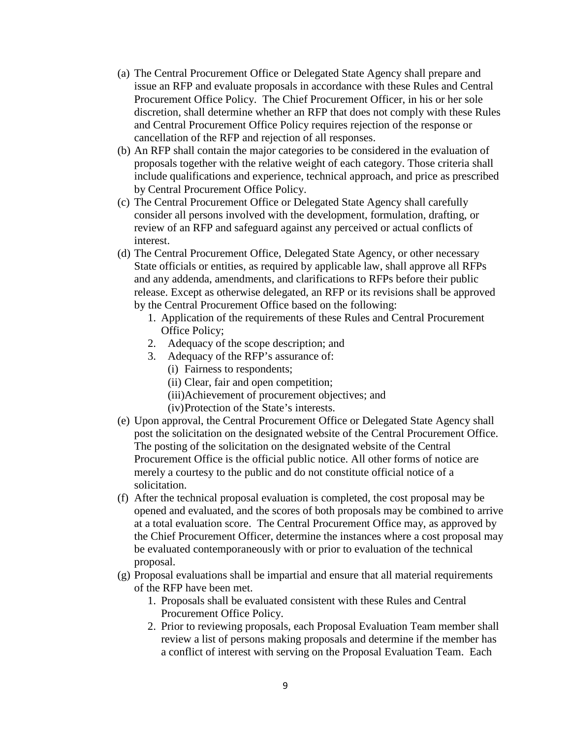- (a) The Central Procurement Office or Delegated State Agency shall prepare and issue an RFP and evaluate proposals in accordance with these Rules and Central Procurement Office Policy. The Chief Procurement Officer, in his or her sole discretion, shall determine whether an RFP that does not comply with these Rules and Central Procurement Office Policy requires rejection of the response or cancellation of the RFP and rejection of all responses.
- (b) An RFP shall contain the major categories to be considered in the evaluation of proposals together with the relative weight of each category. Those criteria shall include qualifications and experience, technical approach, and price as prescribed by Central Procurement Office Policy.
- (c) The Central Procurement Office or Delegated State Agency shall carefully consider all persons involved with the development, formulation, drafting, or review of an RFP and safeguard against any perceived or actual conflicts of interest.
- (d) The Central Procurement Office, Delegated State Agency, or other necessary State officials or entities, as required by applicable law, shall approve all RFPs and any addenda, amendments, and clarifications to RFPs before their public release. Except as otherwise delegated, an RFP or its revisions shall be approved by the Central Procurement Office based on the following:
	- 1. Application of the requirements of these Rules and Central Procurement Office Policy;
	- 2. Adequacy of the scope description; and
	- 3. Adequacy of the RFP's assurance of:
		- (i) Fairness to respondents;
		- (ii) Clear, fair and open competition;
		- (iii)Achievement of procurement objectives; and
		- (iv)Protection of the State's interests.
- (e) Upon approval, the Central Procurement Office or Delegated State Agency shall post the solicitation on the designated website of the Central Procurement Office. The posting of the solicitation on the designated website of the Central Procurement Office is the official public notice. All other forms of notice are merely a courtesy to the public and do not constitute official notice of a solicitation.
- (f) After the technical proposal evaluation is completed, the cost proposal may be opened and evaluated, and the scores of both proposals may be combined to arrive at a total evaluation score. The Central Procurement Office may, as approved by the Chief Procurement Officer, determine the instances where a cost proposal may be evaluated contemporaneously with or prior to evaluation of the technical proposal.
- (g) Proposal evaluations shall be impartial and ensure that all material requirements of the RFP have been met.
	- 1. Proposals shall be evaluated consistent with these Rules and Central Procurement Office Policy.
	- 2. Prior to reviewing proposals, each Proposal Evaluation Team member shall review a list of persons making proposals and determine if the member has a conflict of interest with serving on the Proposal Evaluation Team. Each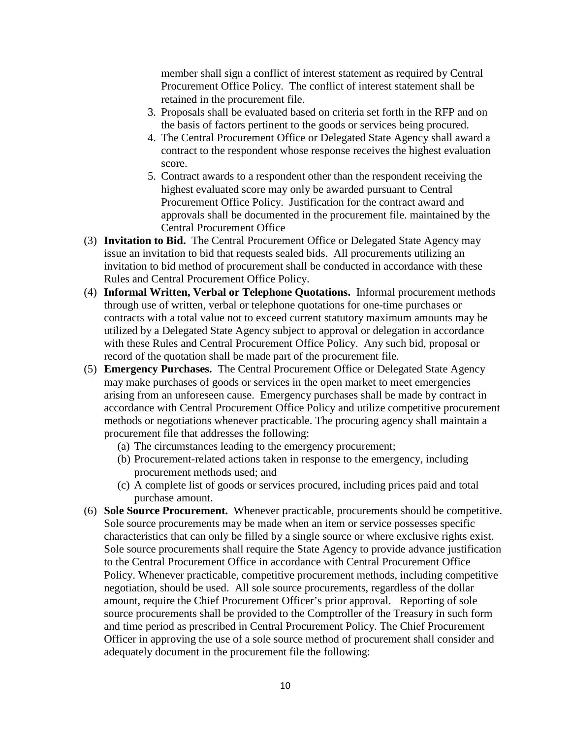member shall sign a conflict of interest statement as required by Central Procurement Office Policy. The conflict of interest statement shall be retained in the procurement file.

- 3. Proposals shall be evaluated based on criteria set forth in the RFP and on the basis of factors pertinent to the goods or services being procured.
- 4. The Central Procurement Office or Delegated State Agency shall award a contract to the respondent whose response receives the highest evaluation score.
- 5. Contract awards to a respondent other than the respondent receiving the highest evaluated score may only be awarded pursuant to Central Procurement Office Policy. Justification for the contract award and approvals shall be documented in the procurement file. maintained by the Central Procurement Office
- (3) **Invitation to Bid.** The Central Procurement Office or Delegated State Agency may issue an invitation to bid that requests sealed bids. All procurements utilizing an invitation to bid method of procurement shall be conducted in accordance with these Rules and Central Procurement Office Policy.
- (4) **Informal Written, Verbal or Telephone Quotations.** Informal procurement methods through use of written, verbal or telephone quotations for one-time purchases or contracts with a total value not to exceed current statutory maximum amounts may be utilized by a Delegated State Agency subject to approval or delegation in accordance with these Rules and Central Procurement Office Policy. Any such bid, proposal or record of the quotation shall be made part of the procurement file.
- (5) **Emergency Purchases.** The Central Procurement Office or Delegated State Agency may make purchases of goods or services in the open market to meet emergencies arising from an unforeseen cause. Emergency purchases shall be made by contract in accordance with Central Procurement Office Policy and utilize competitive procurement methods or negotiations whenever practicable. The procuring agency shall maintain a procurement file that addresses the following:
	- (a) The circumstances leading to the emergency procurement;
	- (b) Procurement-related actions taken in response to the emergency, including procurement methods used; and
	- (c) A complete list of goods or services procured, including prices paid and total purchase amount.
- (6) **Sole Source Procurement.** Whenever practicable, procurements should be competitive. Sole source procurements may be made when an item or service possesses specific characteristics that can only be filled by a single source or where exclusive rights exist. Sole source procurements shall require the State Agency to provide advance justification to the Central Procurement Office in accordance with Central Procurement Office Policy. Whenever practicable, competitive procurement methods, including competitive negotiation, should be used. All sole source procurements, regardless of the dollar amount, require the Chief Procurement Officer's prior approval. Reporting of sole source procurements shall be provided to the Comptroller of the Treasury in such form and time period as prescribed in Central Procurement Policy. The Chief Procurement Officer in approving the use of a sole source method of procurement shall consider and adequately document in the procurement file the following: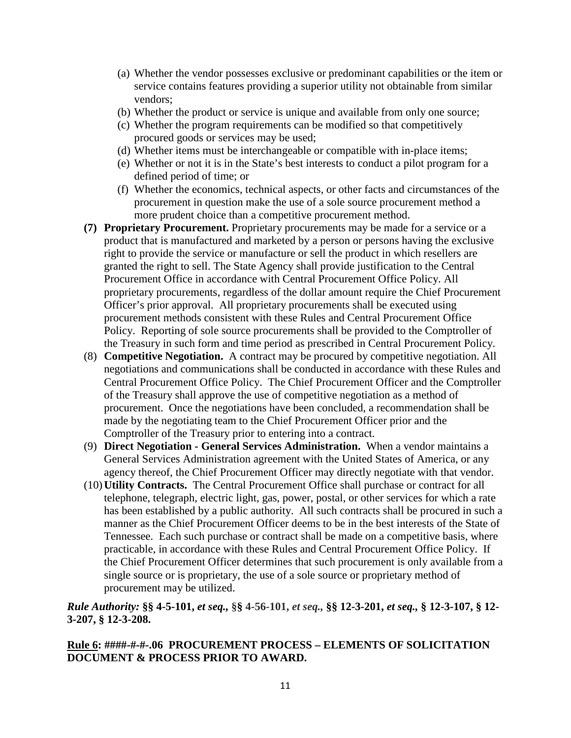- (a) Whether the vendor possesses exclusive or predominant capabilities or the item or service contains features providing a superior utility not obtainable from similar vendors;
- (b) Whether the product or service is unique and available from only one source;
- (c) Whether the program requirements can be modified so that competitively procured goods or services may be used;
- (d) Whether items must be interchangeable or compatible with in-place items;
- (e) Whether or not it is in the State's best interests to conduct a pilot program for a defined period of time; or
- (f) Whether the economics, technical aspects, or other facts and circumstances of the procurement in question make the use of a sole source procurement method a more prudent choice than a competitive procurement method.
- **(7) Proprietary Procurement.** Proprietary procurements may be made for a service or a product that is manufactured and marketed by a person or persons having the exclusive right to provide the service or manufacture or sell the product in which resellers are granted the right to sell. The State Agency shall provide justification to the Central Procurement Office in accordance with Central Procurement Office Policy. All proprietary procurements, regardless of the dollar amount require the Chief Procurement Officer's prior approval. All proprietary procurements shall be executed using procurement methods consistent with these Rules and Central Procurement Office Policy. Reporting of sole source procurements shall be provided to the Comptroller of the Treasury in such form and time period as prescribed in Central Procurement Policy.
- (8) **Competitive Negotiation.** A contract may be procured by competitive negotiation. All negotiations and communications shall be conducted in accordance with these Rules and Central Procurement Office Policy. The Chief Procurement Officer and the Comptroller of the Treasury shall approve the use of competitive negotiation as a method of procurement. Once the negotiations have been concluded, a recommendation shall be made by the negotiating team to the Chief Procurement Officer prior and the Comptroller of the Treasury prior to entering into a contract.
- (9) **Direct Negotiation - General Services Administration.** When a vendor maintains a General Services Administration agreement with the United States of America, or any agency thereof, the Chief Procurement Officer may directly negotiate with that vendor.
- (10)**Utility Contracts.** The Central Procurement Office shall purchase or contract for all telephone, telegraph, electric light, gas, power, postal, or other services for which a rate has been established by a public authority. All such contracts shall be procured in such a manner as the Chief Procurement Officer deems to be in the best interests of the State of Tennessee. Each such purchase or contract shall be made on a competitive basis, where practicable, in accordance with these Rules and Central Procurement Office Policy. If the Chief Procurement Officer determines that such procurement is only available from a single source or is proprietary, the use of a sole source or proprietary method of procurement may be utilized.

*Rule Authority:* **§§ 4-5-101,** *et seq.,* **§§ 4-56-101,** *et seq.,* **§§ 12-3-201,** *et seq.,* **§ 12-3-107, § 12- 3-207, § 12-3-208.**

# **Rule 6: ####-#-#-.06 PROCUREMENT PROCESS – ELEMENTS OF SOLICITATION DOCUMENT & PROCESS PRIOR TO AWARD.**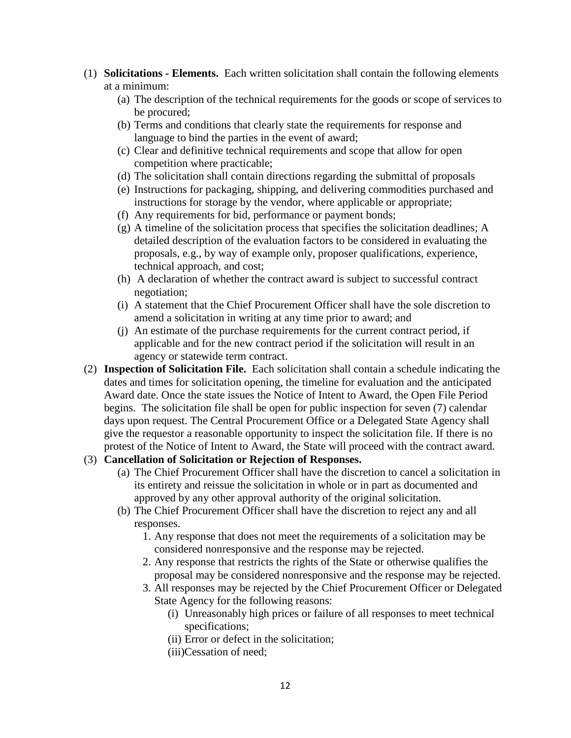- (1) **Solicitations - Elements.**Each written solicitation shall contain the following elements at a minimum:
	- (a) The description of the technical requirements for the goods or scope of services to be procured;
	- (b) Terms and conditions that clearly state the requirements for response and language to bind the parties in the event of award;
	- (c) Clear and definitive technical requirements and scope that allow for open competition where practicable;
	- (d) The solicitation shall contain directions regarding the submittal of proposals
	- (e) Instructions for packaging, shipping, and delivering commodities purchased and instructions for storage by the vendor, where applicable or appropriate;
	- (f) Any requirements for bid, performance or payment bonds;
	- (g) A timeline of the solicitation process that specifies the solicitation deadlines; A detailed description of the evaluation factors to be considered in evaluating the proposals, e.g., by way of example only, proposer qualifications, experience, technical approach, and cost;
	- (h) A declaration of whether the contract award is subject to successful contract negotiation;
	- (i) A statement that the Chief Procurement Officer shall have the sole discretion to amend a solicitation in writing at any time prior to award; and
	- (j) An estimate of the purchase requirements for the current contract period, if applicable and for the new contract period if the solicitation will result in an agency or statewide term contract.
- (2) **Inspection of Solicitation File.** Each solicitation shall contain a schedule indicating the dates and times for solicitation opening, the timeline for evaluation and the anticipated Award date. Once the state issues the Notice of Intent to Award, the Open File Period begins. The solicitation file shall be open for public inspection for seven (7) calendar days upon request. The Central Procurement Office or a Delegated State Agency shall give the requestor a reasonable opportunity to inspect the solicitation file. If there is no protest of the Notice of Intent to Award, the State will proceed with the contract award.

# (3) **Cancellation of Solicitation or Rejection of Responses.**

- (a) The Chief Procurement Officer shall have the discretion to cancel a solicitation in its entirety and reissue the solicitation in whole or in part as documented and approved by any other approval authority of the original solicitation.
- (b) The Chief Procurement Officer shall have the discretion to reject any and all responses.
	- 1. Any response that does not meet the requirements of a solicitation may be considered nonresponsive and the response may be rejected.
	- 2. Any response that restricts the rights of the State or otherwise qualifies the proposal may be considered nonresponsive and the response may be rejected.
	- 3. All responses may be rejected by the Chief Procurement Officer or Delegated State Agency for the following reasons:
		- (i) Unreasonably high prices or failure of all responses to meet technical specifications;
		- (ii) Error or defect in the solicitation;
		- (iii)Cessation of need;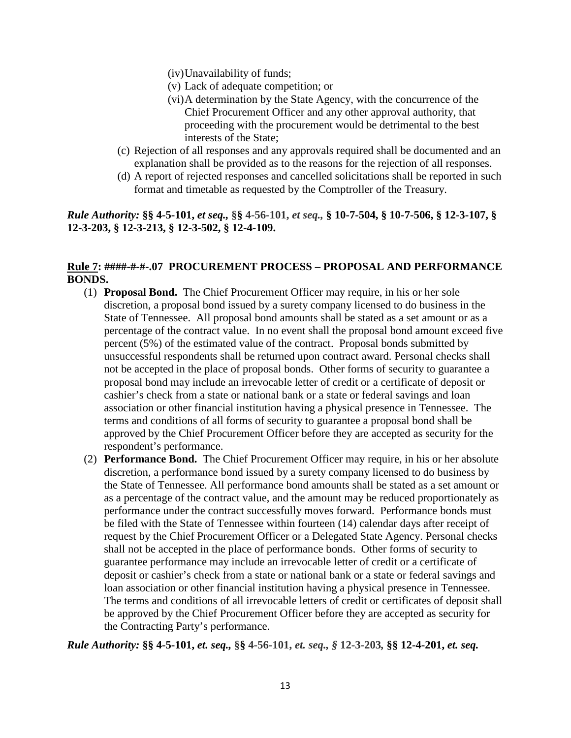(iv)Unavailability of funds;

- (v) Lack of adequate competition; or
- (vi)A determination by the State Agency, with the concurrence of the Chief Procurement Officer and any other approval authority, that proceeding with the procurement would be detrimental to the best interests of the State;
- (c) Rejection of all responses and any approvals required shall be documented and an explanation shall be provided as to the reasons for the rejection of all responses.
- (d) A report of rejected responses and cancelled solicitations shall be reported in such format and timetable as requested by the Comptroller of the Treasury.

### *Rule Authority:* **§§ 4-5-101,** *et seq.,* **§§ 4-56-101,** *et seq.,* **§ 10-7-504, § 10-7-506, § 12-3-107, § 12-3-203, § 12-3-213, § 12-3-502, § 12-4-109.**

# **Rule 7: ####-#-#-.07 PROCUREMENT PROCESS – PROPOSAL AND PERFORMANCE BONDS.**

- (1) **Proposal Bond.** The Chief Procurement Officer may require, in his or her sole discretion, a proposal bond issued by a surety company licensed to do business in the State of Tennessee. All proposal bond amounts shall be stated as a set amount or as a percentage of the contract value. In no event shall the proposal bond amount exceed five percent (5%) of the estimated value of the contract. Proposal bonds submitted by unsuccessful respondents shall be returned upon contract award. Personal checks shall not be accepted in the place of proposal bonds. Other forms of security to guarantee a proposal bond may include an irrevocable letter of credit or a certificate of deposit or cashier's check from a state or national bank or a state or federal savings and loan association or other financial institution having a physical presence in Tennessee. The terms and conditions of all forms of security to guarantee a proposal bond shall be approved by the Chief Procurement Officer before they are accepted as security for the respondent's performance.
- (2) **Performance Bond.** The Chief Procurement Officer may require, in his or her absolute discretion, a performance bond issued by a surety company licensed to do business by the State of Tennessee. All performance bond amounts shall be stated as a set amount or as a percentage of the contract value, and the amount may be reduced proportionately as performance under the contract successfully moves forward. Performance bonds must be filed with the State of Tennessee within fourteen (14) calendar days after receipt of request by the Chief Procurement Officer or a Delegated State Agency. Personal checks shall not be accepted in the place of performance bonds. Other forms of security to guarantee performance may include an irrevocable letter of credit or a certificate of deposit or cashier's check from a state or national bank or a state or federal savings and loan association or other financial institution having a physical presence in Tennessee. The terms and conditions of all irrevocable letters of credit or certificates of deposit shall be approved by the Chief Procurement Officer before they are accepted as security for the Contracting Party's performance.

*Rule Authority:* **§§ 4-5-101,** *et. seq.,* **§§ 4-56-101,** *et. seq., §* **12-3-203***,* **§§ 12-4-201,** *et. seq.*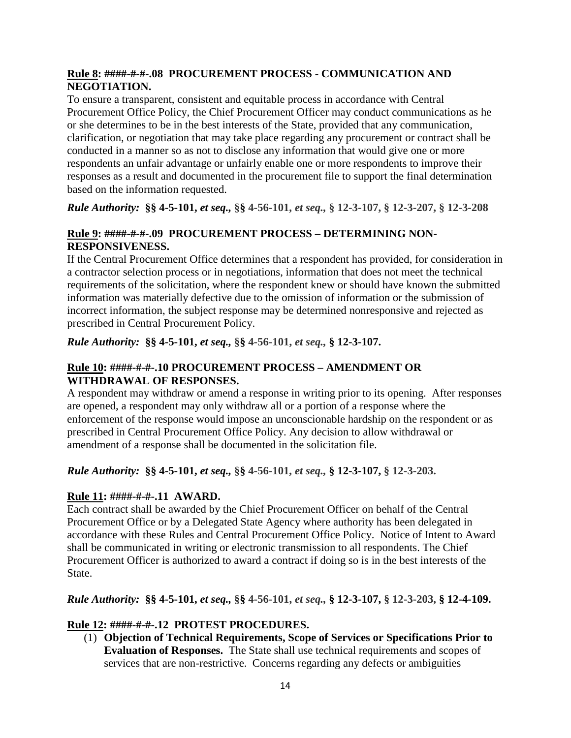# **Rule 8: ####-#-#-.08 PROCUREMENT PROCESS - COMMUNICATION AND NEGOTIATION.**

To ensure a transparent, consistent and equitable process in accordance with Central Procurement Office Policy, the Chief Procurement Officer may conduct communications as he or she determines to be in the best interests of the State, provided that any communication, clarification, or negotiation that may take place regarding any procurement or contract shall be conducted in a manner so as not to disclose any information that would give one or more respondents an unfair advantage or unfairly enable one or more respondents to improve their responses as a result and documented in the procurement file to support the final determination based on the information requested.

*Rule Authority:* **§§ 4-5-101,** *et seq.,* **§§ 4-56-101,** *et seq.,* **§ 12-3-107, § 12-3-207, § 12-3-208**

# **Rule 9: ####-#-#-.09 PROCUREMENT PROCESS – DETERMINING NON-RESPONSIVENESS.**

If the Central Procurement Office determines that a respondent has provided, for consideration in a contractor selection process or in negotiations, information that does not meet the technical requirements of the solicitation, where the respondent knew or should have known the submitted information was materially defective due to the omission of information or the submission of incorrect information, the subject response may be determined nonresponsive and rejected as prescribed in Central Procurement Policy.

*Rule Authority:* **§§ 4-5-101,** *et seq.,* **§§ 4-56-101,** *et seq.,* **§ 12-3-107.**

### **Rule 10: ####-#-#-.10 PROCUREMENT PROCESS – AMENDMENT OR WITHDRAWAL OF RESPONSES.**

A respondent may withdraw or amend a response in writing prior to its opening. After responses are opened, a respondent may only withdraw all or a portion of a response where the enforcement of the response would impose an unconscionable hardship on the respondent or as prescribed in Central Procurement Office Policy. Any decision to allow withdrawal or amendment of a response shall be documented in the solicitation file.

# *Rule Authority:* **§§ 4-5-101,** *et seq.,* **§§ 4-56-101,** *et seq.,* **§ 12-3-107, § 12-3-203.**

# **Rule 11: ####-#-#-.11 AWARD.**

Each contract shall be awarded by the Chief Procurement Officer on behalf of the Central Procurement Office or by a Delegated State Agency where authority has been delegated in accordance with these Rules and Central Procurement Office Policy. Notice of Intent to Award shall be communicated in writing or electronic transmission to all respondents. The Chief Procurement Officer is authorized to award a contract if doing so is in the best interests of the State.

### *Rule Authority:* **§§ 4-5-101,** *et seq.,* **§§ 4-56-101,** *et seq.,* **§ 12-3-107, § 12-3-203, § 12-4-109.**

# **Rule 12: ####-#-#-.12 PROTEST PROCEDURES.**

(1) **Objection of Technical Requirements, Scope of Services or Specifications Prior to Evaluation of Responses.** The State shall use technical requirements and scopes of services that are non-restrictive. Concerns regarding any defects or ambiguities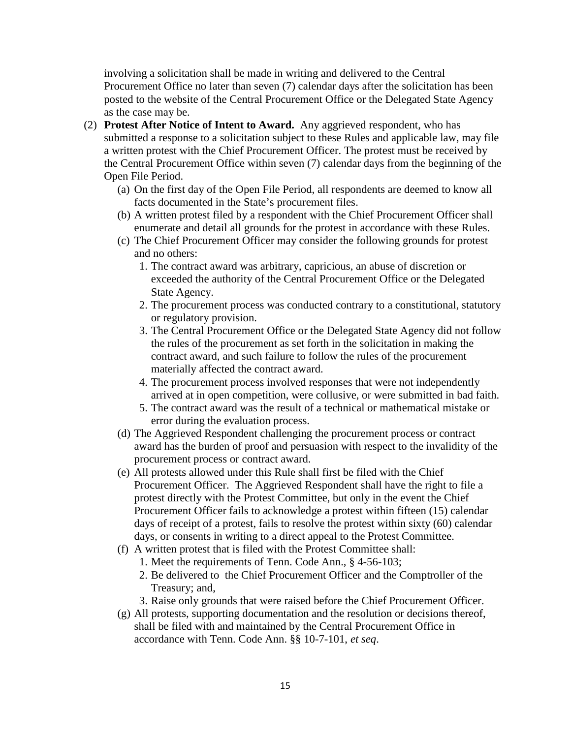involving a solicitation shall be made in writing and delivered to the Central Procurement Office no later than seven (7) calendar days after the solicitation has been posted to the website of the Central Procurement Office or the Delegated State Agency as the case may be.

- (2) **Protest After Notice of Intent to Award.** Any aggrieved respondent, who has submitted a response to a solicitation subject to these Rules and applicable law, may file a written protest with the Chief Procurement Officer. The protest must be received by the Central Procurement Office within seven (7) calendar days from the beginning of the Open File Period.
	- (a) On the first day of the Open File Period, all respondents are deemed to know all facts documented in the State's procurement files.
	- (b) A written protest filed by a respondent with the Chief Procurement Officer shall enumerate and detail all grounds for the protest in accordance with these Rules.
	- (c) The Chief Procurement Officer may consider the following grounds for protest and no others:
		- 1. The contract award was arbitrary, capricious, an abuse of discretion or exceeded the authority of the Central Procurement Office or the Delegated State Agency.
		- 2. The procurement process was conducted contrary to a constitutional, statutory or regulatory provision.
		- 3. The Central Procurement Office or the Delegated State Agency did not follow the rules of the procurement as set forth in the solicitation in making the contract award, and such failure to follow the rules of the procurement materially affected the contract award.
		- 4. The procurement process involved responses that were not independently arrived at in open competition, were collusive, or were submitted in bad faith.
		- 5. The contract award was the result of a technical or mathematical mistake or error during the evaluation process.
	- (d) The Aggrieved Respondent challenging the procurement process or contract award has the burden of proof and persuasion with respect to the invalidity of the procurement process or contract award.
	- (e) All protests allowed under this Rule shall first be filed with the Chief Procurement Officer. The Aggrieved Respondent shall have the right to file a protest directly with the Protest Committee, but only in the event the Chief Procurement Officer fails to acknowledge a protest within fifteen (15) calendar days of receipt of a protest, fails to resolve the protest within sixty (60) calendar days, or consents in writing to a direct appeal to the Protest Committee.
	- (f) A written protest that is filed with the Protest Committee shall:
		- 1. Meet the requirements of Tenn. Code Ann., § 4-56-103;
		- 2. Be delivered to the Chief Procurement Officer and the Comptroller of the Treasury; and,
		- 3. Raise only grounds that were raised before the Chief Procurement Officer.
	- (g) All protests, supporting documentation and the resolution or decisions thereof, shall be filed with and maintained by the Central Procurement Office in accordance with Tenn. Code Ann. §§ 10-7-101, *et seq*.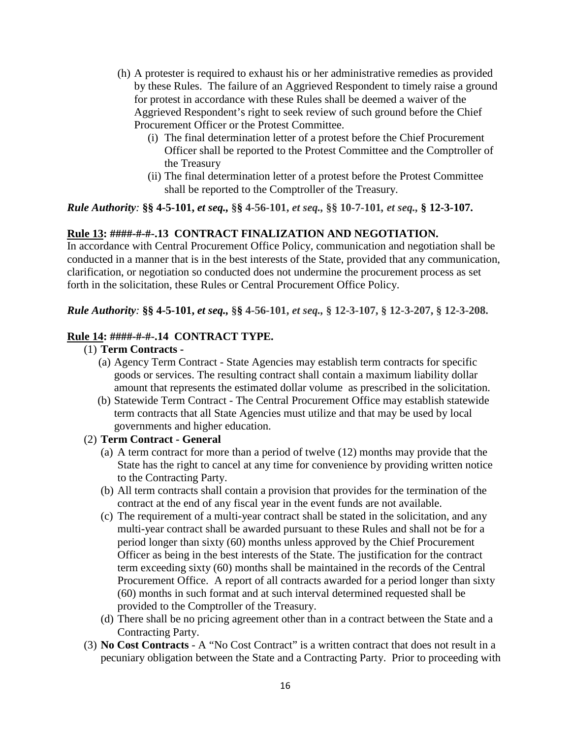- (h) A protester is required to exhaust his or her administrative remedies as provided by these Rules. The failure of an Aggrieved Respondent to timely raise a ground for protest in accordance with these Rules shall be deemed a waiver of the Aggrieved Respondent's right to seek review of such ground before the Chief Procurement Officer or the Protest Committee.
	- (i) The final determination letter of a protest before the Chief Procurement Officer shall be reported to the Protest Committee and the Comptroller of the Treasury
	- (ii) The final determination letter of a protest before the Protest Committee shall be reported to the Comptroller of the Treasury.

*Rule Authority:* **§§ 4-5-101,** *et seq.,* **§§ 4-56-101,** *et seq.,* **§§ 10-7-101***, et seq.,* **§ 12-3-107.**

### **Rule 13: ####-#-#-.13 CONTRACT FINALIZATION AND NEGOTIATION.**

In accordance with Central Procurement Office Policy, communication and negotiation shall be conducted in a manner that is in the best interests of the State, provided that any communication, clarification, or negotiation so conducted does not undermine the procurement process as set forth in the solicitation, these Rules or Central Procurement Office Policy.

*Rule Authority:* **§§ 4-5-101,** *et seq.,* **§§ 4-56-101,** *et seq.,* **§ 12-3-107, § 12-3-207, § 12-3-208.**

### **Rule 14: ####-#-#-.14 CONTRACT TYPE.**

- (1) **Term Contracts -**
	- (a) Agency Term Contract State Agencies may establish term contracts for specific goods or services. The resulting contract shall contain a maximum liability dollar amount that represents the estimated dollar volume as prescribed in the solicitation.
	- (b) Statewide Term Contract The Central Procurement Office may establish statewide term contracts that all State Agencies must utilize and that may be used by local governments and higher education.
- (2) **Term Contract - General**
	- (a) A term contract for more than a period of twelve (12) months may provide that the State has the right to cancel at any time for convenience by providing written notice to the Contracting Party.
	- (b) All term contracts shall contain a provision that provides for the termination of the contract at the end of any fiscal year in the event funds are not available.
	- (c) The requirement of a multi-year contract shall be stated in the solicitation, and any multi-year contract shall be awarded pursuant to these Rules and shall not be for a period longer than sixty (60) months unless approved by the Chief Procurement Officer as being in the best interests of the State. The justification for the contract term exceeding sixty (60) months shall be maintained in the records of the Central Procurement Office. A report of all contracts awarded for a period longer than sixty (60) months in such format and at such interval determined requested shall be provided to the Comptroller of the Treasury.
	- (d) There shall be no pricing agreement other than in a contract between the State and a Contracting Party.
- (3) **No Cost Contracts** A "No Cost Contract" is a written contract that does not result in a pecuniary obligation between the State and a Contracting Party. Prior to proceeding with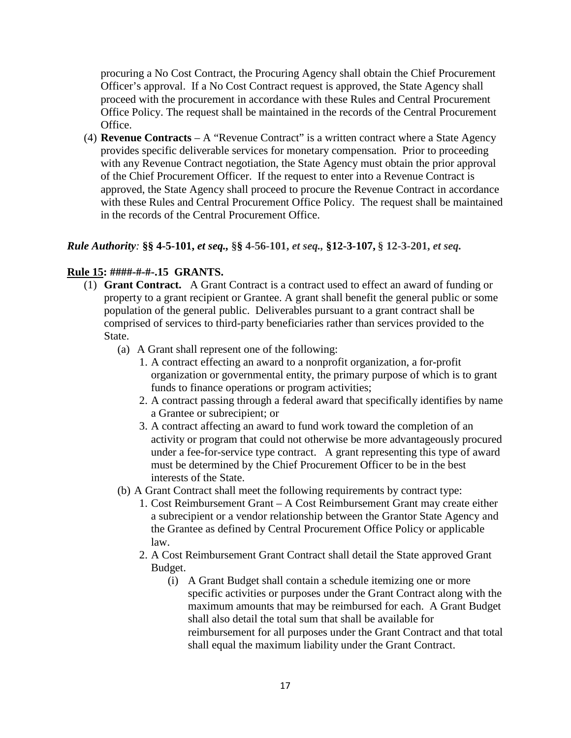procuring a No Cost Contract, the Procuring Agency shall obtain the Chief Procurement Officer's approval. If a No Cost Contract request is approved, the State Agency shall proceed with the procurement in accordance with these Rules and Central Procurement Office Policy. The request shall be maintained in the records of the Central Procurement Office.

(4) **Revenue Contracts** – A "Revenue Contract" is a written contract where a State Agency provides specific deliverable services for monetary compensation. Prior to proceeding with any Revenue Contract negotiation, the State Agency must obtain the prior approval of the Chief Procurement Officer. If the request to enter into a Revenue Contract is approved, the State Agency shall proceed to procure the Revenue Contract in accordance with these Rules and Central Procurement Office Policy. The request shall be maintained in the records of the Central Procurement Office.

# *Rule Authority:* **§§ 4-5-101,** *et seq.,* **§§ 4-56-101,** *et seq.,* **§12-3-107, § 12-3-201,** *et seq.*

### **Rule 15: ####-#-#-.15 GRANTS.**

- (1) **Grant Contract.** A Grant Contract is a contract used to effect an award of funding or property to a grant recipient or Grantee. A grant shall benefit the general public or some population of the general public. Deliverables pursuant to a grant contract shall be comprised of services to third-party beneficiaries rather than services provided to the State.
	- (a) A Grant shall represent one of the following:
		- 1. A contract effecting an award to a nonprofit organization, a for-profit organization or governmental entity, the primary purpose of which is to grant funds to finance operations or program activities;
		- 2. A contract passing through a federal award that specifically identifies by name a Grantee or subrecipient; or
		- 3. A contract affecting an award to fund work toward the completion of an activity or program that could not otherwise be more advantageously procured under a fee-for-service type contract. A grant representing this type of award must be determined by the Chief Procurement Officer to be in the best interests of the State.
	- (b) A Grant Contract shall meet the following requirements by contract type:
		- 1. Cost Reimbursement Grant A Cost Reimbursement Grant may create either a subrecipient or a vendor relationship between the Grantor State Agency and the Grantee as defined by Central Procurement Office Policy or applicable law.
		- 2. A Cost Reimbursement Grant Contract shall detail the State approved Grant Budget.
			- (i) A Grant Budget shall contain a schedule itemizing one or more specific activities or purposes under the Grant Contract along with the maximum amounts that may be reimbursed for each. A Grant Budget shall also detail the total sum that shall be available for reimbursement for all purposes under the Grant Contract and that total shall equal the maximum liability under the Grant Contract.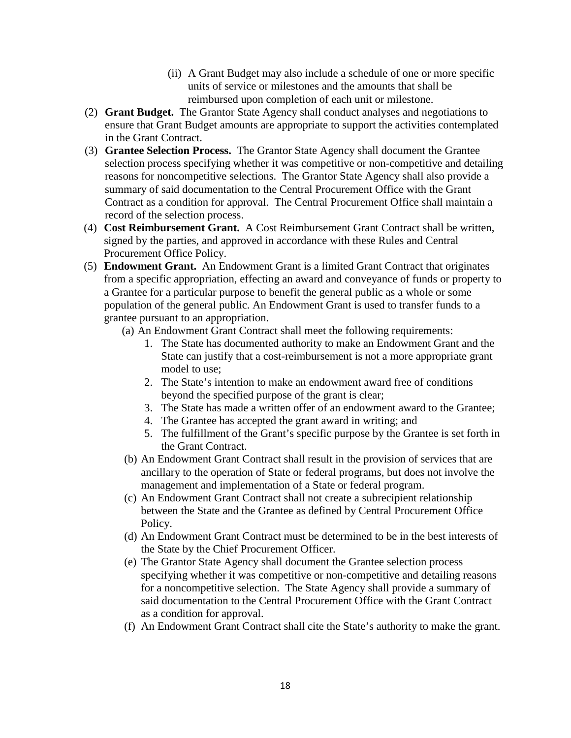- (ii) A Grant Budget may also include a schedule of one or more specific units of service or milestones and the amounts that shall be reimbursed upon completion of each unit or milestone.
- (2) **Grant Budget.** The Grantor State Agency shall conduct analyses and negotiations to ensure that Grant Budget amounts are appropriate to support the activities contemplated in the Grant Contract.
- (3) **Grantee Selection Process.** The Grantor State Agency shall document the Grantee selection process specifying whether it was competitive or non-competitive and detailing reasons for noncompetitive selections. The Grantor State Agency shall also provide a summary of said documentation to the Central Procurement Office with the Grant Contract as a condition for approval. The Central Procurement Office shall maintain a record of the selection process.
- (4) **Cost Reimbursement Grant.** A Cost Reimbursement Grant Contract shall be written, signed by the parties, and approved in accordance with these Rules and Central Procurement Office Policy.
- (5) **Endowment Grant.** An Endowment Grant is a limited Grant Contract that originates from a specific appropriation, effecting an award and conveyance of funds or property to a Grantee for a particular purpose to benefit the general public as a whole or some population of the general public. An Endowment Grant is used to transfer funds to a grantee pursuant to an appropriation.
	- (a) An Endowment Grant Contract shall meet the following requirements:
		- 1. The State has documented authority to make an Endowment Grant and the State can justify that a cost-reimbursement is not a more appropriate grant model to use;
		- 2. The State's intention to make an endowment award free of conditions beyond the specified purpose of the grant is clear;
		- 3. The State has made a written offer of an endowment award to the Grantee;
		- 4. The Grantee has accepted the grant award in writing; and
		- 5. The fulfillment of the Grant's specific purpose by the Grantee is set forth in the Grant Contract.
	- (b) An Endowment Grant Contract shall result in the provision of services that are ancillary to the operation of State or federal programs, but does not involve the management and implementation of a State or federal program.
	- (c) An Endowment Grant Contract shall not create a subrecipient relationship between the State and the Grantee as defined by Central Procurement Office Policy.
	- (d) An Endowment Grant Contract must be determined to be in the best interests of the State by the Chief Procurement Officer.
	- (e) The Grantor State Agency shall document the Grantee selection process specifying whether it was competitive or non-competitive and detailing reasons for a noncompetitive selection. The State Agency shall provide a summary of said documentation to the Central Procurement Office with the Grant Contract as a condition for approval.
	- (f) An Endowment Grant Contract shall cite the State's authority to make the grant.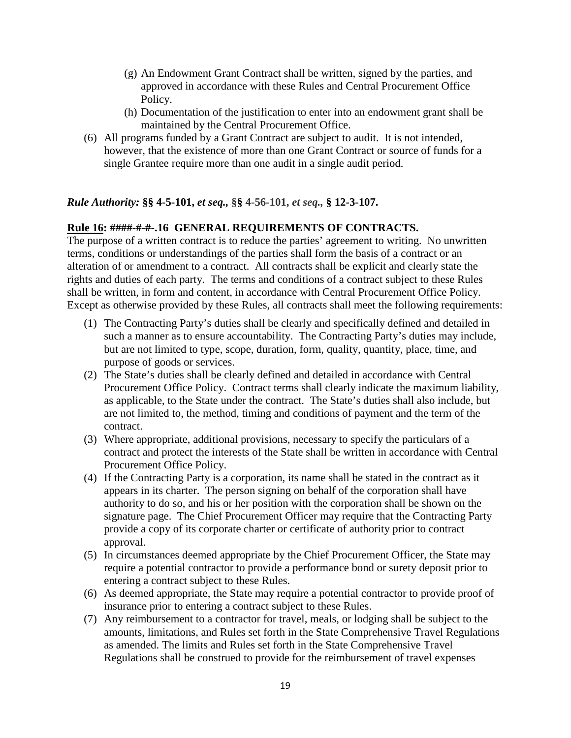- (g) An Endowment Grant Contract shall be written, signed by the parties, and approved in accordance with these Rules and Central Procurement Office Policy.
- (h) Documentation of the justification to enter into an endowment grant shall be maintained by the Central Procurement Office.
- (6) All programs funded by a Grant Contract are subject to audit. It is not intended, however, that the existence of more than one Grant Contract or source of funds for a single Grantee require more than one audit in a single audit period.

### *Rule Authority:* **§§ 4-5-101,** *et seq.,* **§§ 4-56-101,** *et seq.,* **§ 12-3-107.**

### **Rule 16: ####-#-#-.16 GENERAL REQUIREMENTS OF CONTRACTS.**

The purpose of a written contract is to reduce the parties' agreement to writing. No unwritten terms, conditions or understandings of the parties shall form the basis of a contract or an alteration of or amendment to a contract. All contracts shall be explicit and clearly state the rights and duties of each party. The terms and conditions of a contract subject to these Rules shall be written, in form and content, in accordance with Central Procurement Office Policy. Except as otherwise provided by these Rules, all contracts shall meet the following requirements:

- (1) The Contracting Party's duties shall be clearly and specifically defined and detailed in such a manner as to ensure accountability. The Contracting Party's duties may include, but are not limited to type, scope, duration, form, quality, quantity, place, time, and purpose of goods or services.
- (2) The State's duties shall be clearly defined and detailed in accordance with Central Procurement Office Policy. Contract terms shall clearly indicate the maximum liability, as applicable, to the State under the contract. The State's duties shall also include, but are not limited to, the method, timing and conditions of payment and the term of the contract.
- (3) Where appropriate, additional provisions, necessary to specify the particulars of a contract and protect the interests of the State shall be written in accordance with Central Procurement Office Policy.
- (4) If the Contracting Party is a corporation, its name shall be stated in the contract as it appears in its charter. The person signing on behalf of the corporation shall have authority to do so, and his or her position with the corporation shall be shown on the signature page. The Chief Procurement Officer may require that the Contracting Party provide a copy of its corporate charter or certificate of authority prior to contract approval.
- (5) In circumstances deemed appropriate by the Chief Procurement Officer, the State may require a potential contractor to provide a performance bond or surety deposit prior to entering a contract subject to these Rules.
- (6) As deemed appropriate, the State may require a potential contractor to provide proof of insurance prior to entering a contract subject to these Rules.
- (7) Any reimbursement to a contractor for travel, meals, or lodging shall be subject to the amounts, limitations, and Rules set forth in the State Comprehensive Travel Regulations as amended. The limits and Rules set forth in the State Comprehensive Travel Regulations shall be construed to provide for the reimbursement of travel expenses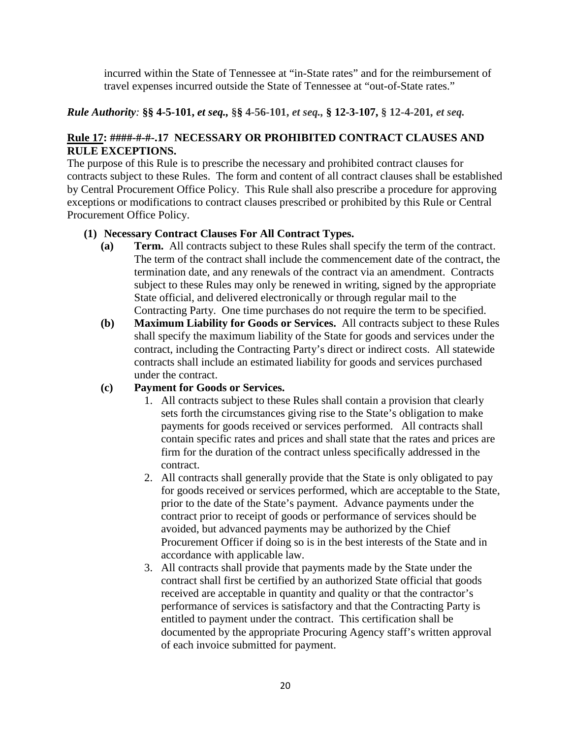incurred within the State of Tennessee at "in-State rates" and for the reimbursement of travel expenses incurred outside the State of Tennessee at "out-of-State rates."

### *Rule Authority:* **§§ 4-5-101,** *et seq.,* **§§ 4-56-101,** *et seq.,* **§ 12-3-107, § 12-4-201***, et seq.*

# **Rule 17: ####-#-#-.17 NECESSARY OR PROHIBITED CONTRACT CLAUSES AND RULE EXCEPTIONS.**

The purpose of this Rule is to prescribe the necessary and prohibited contract clauses for contracts subject to these Rules. The form and content of all contract clauses shall be established by Central Procurement Office Policy. This Rule shall also prescribe a procedure for approving exceptions or modifications to contract clauses prescribed or prohibited by this Rule or Central Procurement Office Policy.

### **(1) Necessary Contract Clauses For All Contract Types.**

- **(a) Term.** All contracts subject to these Rules shall specify the term of the contract. The term of the contract shall include the commencement date of the contract, the termination date, and any renewals of the contract via an amendment. Contracts subject to these Rules may only be renewed in writing, signed by the appropriate State official, and delivered electronically or through regular mail to the Contracting Party. One time purchases do not require the term to be specified.
- **(b) Maximum Liability for Goods or Services.** All contracts subject to these Rules shall specify the maximum liability of the State for goods and services under the contract, including the Contracting Party's direct or indirect costs. All statewide contracts shall include an estimated liability for goods and services purchased under the contract.

# **(c) Payment for Goods or Services.**

- 1. All contracts subject to these Rules shall contain a provision that clearly sets forth the circumstances giving rise to the State's obligation to make payments for goods received or services performed. All contracts shall contain specific rates and prices and shall state that the rates and prices are firm for the duration of the contract unless specifically addressed in the contract.
- 2. All contracts shall generally provide that the State is only obligated to pay for goods received or services performed, which are acceptable to the State, prior to the date of the State's payment. Advance payments under the contract prior to receipt of goods or performance of services should be avoided, but advanced payments may be authorized by the Chief Procurement Officer if doing so is in the best interests of the State and in accordance with applicable law.
- 3. All contracts shall provide that payments made by the State under the contract shall first be certified by an authorized State official that goods received are acceptable in quantity and quality or that the contractor's performance of services is satisfactory and that the Contracting Party is entitled to payment under the contract. This certification shall be documented by the appropriate Procuring Agency staff's written approval of each invoice submitted for payment.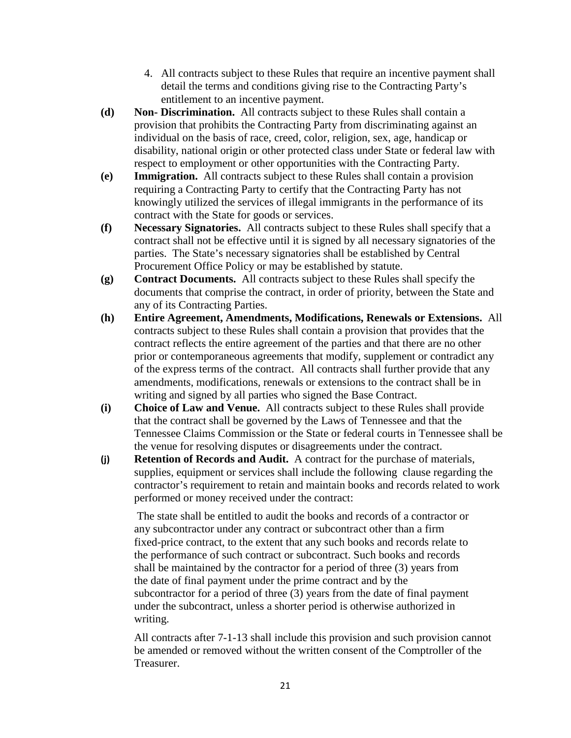- 4. All contracts subject to these Rules that require an incentive payment shall detail the terms and conditions giving rise to the Contracting Party's entitlement to an incentive payment.
- **(d) Non- Discrimination.** All contracts subject to these Rules shall contain a provision that prohibits the Contracting Party from discriminating against an individual on the basis of race, creed, color, religion, sex, age, handicap or disability, national origin or other protected class under State or federal law with respect to employment or other opportunities with the Contracting Party.
- **(e) Immigration.** All contracts subject to these Rules shall contain a provision requiring a Contracting Party to certify that the Contracting Party has not knowingly utilized the services of illegal immigrants in the performance of its contract with the State for goods or services.
- **(f) Necessary Signatories.** All contracts subject to these Rules shall specify that a contract shall not be effective until it is signed by all necessary signatories of the parties. The State's necessary signatories shall be established by Central Procurement Office Policy or may be established by statute.
- **(g) Contract Documents.** All contracts subject to these Rules shall specify the documents that comprise the contract, in order of priority, between the State and any of its Contracting Parties.
- **(h) Entire Agreement, Amendments, Modifications, Renewals or Extensions.** All contracts subject to these Rules shall contain a provision that provides that the contract reflects the entire agreement of the parties and that there are no other prior or contemporaneous agreements that modify, supplement or contradict any of the express terms of the contract. All contracts shall further provide that any amendments, modifications, renewals or extensions to the contract shall be in writing and signed by all parties who signed the Base Contract.
- **(i) Choice of Law and Venue.** All contracts subject to these Rules shall provide that the contract shall be governed by the Laws of Tennessee and that the Tennessee Claims Commission or the State or federal courts in Tennessee shall be the venue for resolving disputes or disagreements under the contract.
- **(j) Retention of Records and Audit.** A contract for the purchase of materials, supplies, equipment or services shall include the following clause regarding the contractor's requirement to retain and maintain books and records related to work performed or money received under the contract:

The state shall be entitled to audit the books and records of a contractor or any subcontractor under any contract or subcontract other than a firm fixed-price contract, to the extent that any such books and records relate to the performance of such contract or subcontract. Such books and records shall be maintained by the contractor for a period of three (3) years from the date of final payment under the prime contract and by the subcontractor for a period of three (3) years from the date of final payment under the subcontract, unless a shorter period is otherwise authorized in writing.

All contracts after 7-1-13 shall include this provision and such provision cannot be amended or removed without the written consent of the Comptroller of the Treasurer.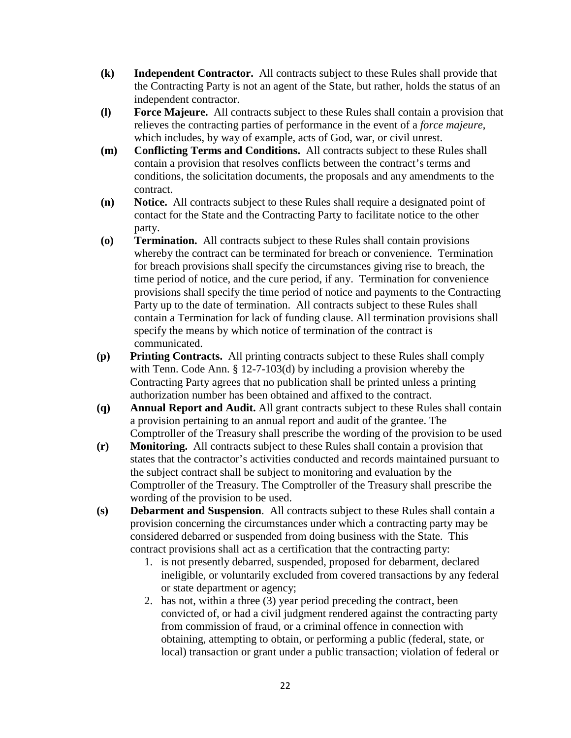- **(k) Independent Contractor.** All contracts subject to these Rules shall provide that the Contracting Party is not an agent of the State, but rather, holds the status of an independent contractor.
- **(l) Force Majeure.** All contracts subject to these Rules shall contain a provision that relieves the contracting parties of performance in the event of a *force majeure*, which includes, by way of example, acts of God, war, or civil unrest.
- **(m) Conflicting Terms and Conditions.** All contracts subject to these Rules shall contain a provision that resolves conflicts between the contract's terms and conditions, the solicitation documents, the proposals and any amendments to the contract.
- **(n) Notice.** All contracts subject to these Rules shall require a designated point of contact for the State and the Contracting Party to facilitate notice to the other party.
- **(o) Termination.** All contracts subject to these Rules shall contain provisions whereby the contract can be terminated for breach or convenience. Termination for breach provisions shall specify the circumstances giving rise to breach, the time period of notice, and the cure period, if any. Termination for convenience provisions shall specify the time period of notice and payments to the Contracting Party up to the date of termination. All contracts subject to these Rules shall contain a Termination for lack of funding clause. All termination provisions shall specify the means by which notice of termination of the contract is communicated.
- **(p) Printing Contracts.** All printing contracts subject to these Rules shall comply with Tenn. Code Ann. § 12-7-103(d) by including a provision whereby the Contracting Party agrees that no publication shall be printed unless a printing authorization number has been obtained and affixed to the contract.
- **(q) Annual Report and Audit.** All grant contracts subject to these Rules shall contain a provision pertaining to an annual report and audit of the grantee. The Comptroller of the Treasury shall prescribe the wording of the provision to be used
- **(r) Monitoring.** All contracts subject to these Rules shall contain a provision that states that the contractor's activities conducted and records maintained pursuant to the subject contract shall be subject to monitoring and evaluation by the Comptroller of the Treasury. The Comptroller of the Treasury shall prescribe the wording of the provision to be used.
- **(s) Debarment and Suspension**. All contracts subject to these Rules shall contain a provision concerning the circumstances under which a contracting party may be considered debarred or suspended from doing business with the State. This contract provisions shall act as a certification that the contracting party:
	- 1. is not presently debarred, suspended, proposed for debarment, declared ineligible, or voluntarily excluded from covered transactions by any federal or state department or agency;
	- 2. has not, within a three (3) year period preceding the contract, been convicted of, or had a civil judgment rendered against the contracting party from commission of fraud, or a criminal offence in connection with obtaining, attempting to obtain, or performing a public (federal, state, or local) transaction or grant under a public transaction; violation of federal or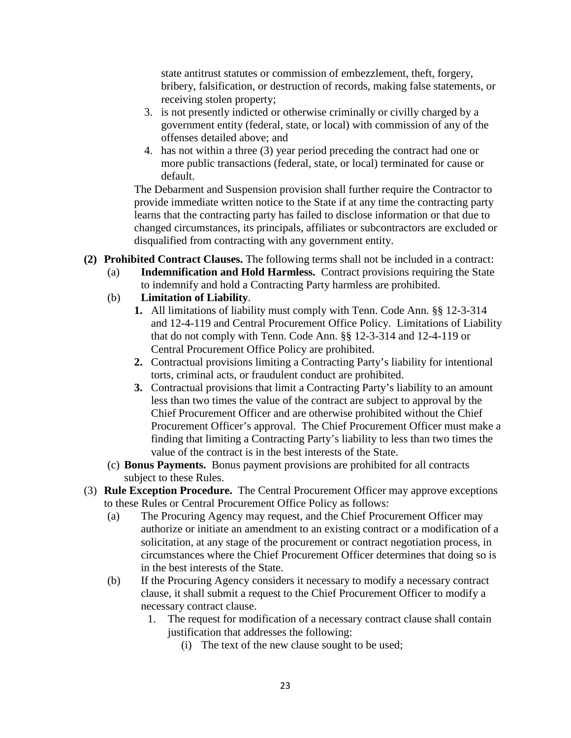state antitrust statutes or commission of embezzlement, theft, forgery, bribery, falsification, or destruction of records, making false statements, or receiving stolen property;

- 3. is not presently indicted or otherwise criminally or civilly charged by a government entity (federal, state, or local) with commission of any of the offenses detailed above; and
- 4. has not within a three (3) year period preceding the contract had one or more public transactions (federal, state, or local) terminated for cause or default.

The Debarment and Suspension provision shall further require the Contractor to provide immediate written notice to the State if at any time the contracting party learns that the contracting party has failed to disclose information or that due to changed circumstances, its principals, affiliates or subcontractors are excluded or disqualified from contracting with any government entity.

- **(2) Prohibited Contract Clauses.** The following terms shall not be included in a contract:
	- (a) **Indemnification and Hold Harmless.** Contract provisions requiring the State to indemnify and hold a Contracting Party harmless are prohibited.
	- (b) **Limitation of Liability**.
		- **1.** All limitations of liability must comply with Tenn. Code Ann. §§ 12-3-314 and 12-4-119 and Central Procurement Office Policy. Limitations of Liability that do not comply with Tenn. Code Ann. §§ 12-3-314 and 12-4-119 or Central Procurement Office Policy are prohibited.
		- **2.** Contractual provisions limiting a Contracting Party's liability for intentional torts, criminal acts, or fraudulent conduct are prohibited.
		- **3.** Contractual provisions that limit a Contracting Party's liability to an amount less than two times the value of the contract are subject to approval by the Chief Procurement Officer and are otherwise prohibited without the Chief Procurement Officer's approval. The Chief Procurement Officer must make a finding that limiting a Contracting Party's liability to less than two times the value of the contract is in the best interests of the State.
	- (c) **Bonus Payments.** Bonus payment provisions are prohibited for all contracts subject to these Rules.
- (3) **Rule Exception Procedure.** The Central Procurement Officer may approve exceptions to these Rules or Central Procurement Office Policy as follows:
	- (a) The Procuring Agency may request, and the Chief Procurement Officer may authorize or initiate an amendment to an existing contract or a modification of a solicitation, at any stage of the procurement or contract negotiation process, in circumstances where the Chief Procurement Officer determines that doing so is in the best interests of the State.
	- (b) If the Procuring Agency considers it necessary to modify a necessary contract clause, it shall submit a request to the Chief Procurement Officer to modify a necessary contract clause.
		- 1. The request for modification of a necessary contract clause shall contain justification that addresses the following:
			- (i) The text of the new clause sought to be used;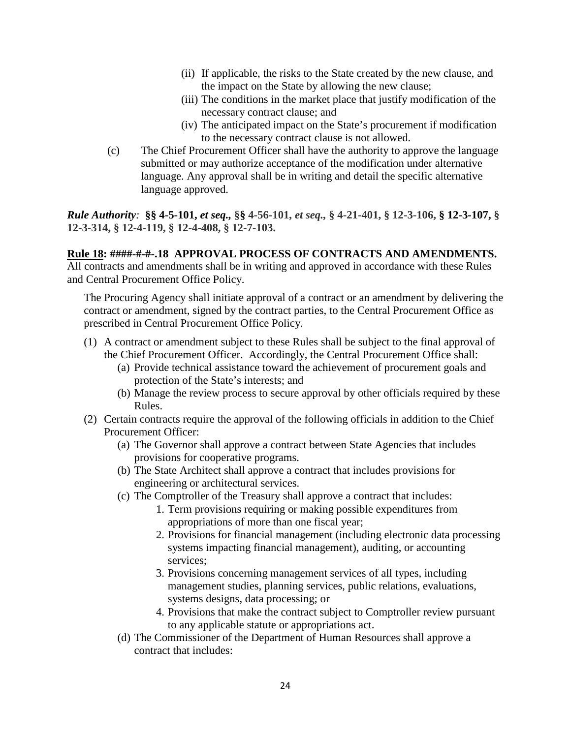- (ii) If applicable, the risks to the State created by the new clause, and the impact on the State by allowing the new clause;
- (iii) The conditions in the market place that justify modification of the necessary contract clause; and
- (iv) The anticipated impact on the State's procurement if modification to the necessary contract clause is not allowed.
- (c) The Chief Procurement Officer shall have the authority to approve the language submitted or may authorize acceptance of the modification under alternative language. Any approval shall be in writing and detail the specific alternative language approved.

*Rule Authority:* **§§ 4-5-101,** *et seq.,* **§§ 4-56-101,** *et seq.,* **§ 4-21-401, § 12-3-106, § 12-3-107, § 12-3-314, § 12-4-119, § 12-4-408, § 12-7-103.**

# **Rule 18: ####-#-#-.18 APPROVAL PROCESS OF CONTRACTS AND AMENDMENTS.**

All contracts and amendments shall be in writing and approved in accordance with these Rules and Central Procurement Office Policy.

The Procuring Agency shall initiate approval of a contract or an amendment by delivering the contract or amendment, signed by the contract parties, to the Central Procurement Office as prescribed in Central Procurement Office Policy.

- (1) A contract or amendment subject to these Rules shall be subject to the final approval of the Chief Procurement Officer. Accordingly, the Central Procurement Office shall:
	- (a) Provide technical assistance toward the achievement of procurement goals and protection of the State's interests; and
	- (b) Manage the review process to secure approval by other officials required by these Rules.
- (2) Certain contracts require the approval of the following officials in addition to the Chief Procurement Officer:
	- (a) The Governor shall approve a contract between State Agencies that includes provisions for cooperative programs.
	- (b) The State Architect shall approve a contract that includes provisions for engineering or architectural services.
	- (c) The Comptroller of the Treasury shall approve a contract that includes:
		- 1. Term provisions requiring or making possible expenditures from appropriations of more than one fiscal year;
		- 2. Provisions for financial management (including electronic data processing systems impacting financial management), auditing, or accounting services;
		- 3. Provisions concerning management services of all types, including management studies, planning services, public relations, evaluations, systems designs, data processing; or
		- 4. Provisions that make the contract subject to Comptroller review pursuant to any applicable statute or appropriations act.
	- (d) The Commissioner of the Department of Human Resources shall approve a contract that includes: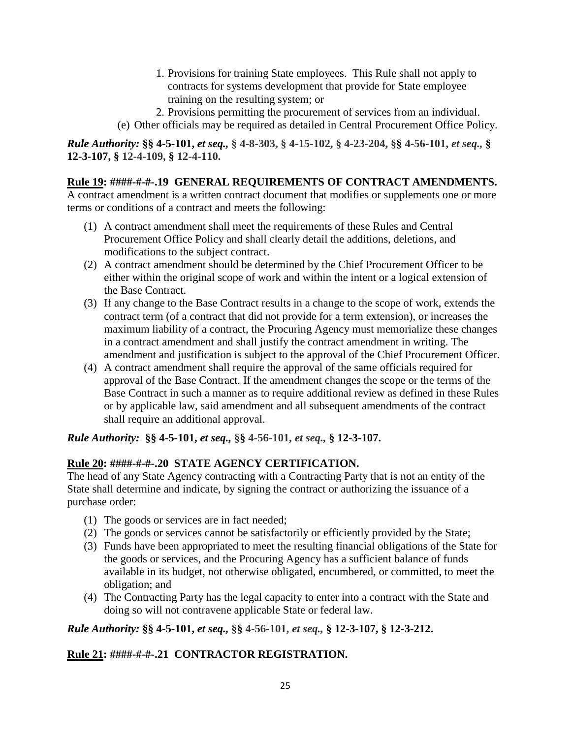- 1. Provisions for training State employees. This Rule shall not apply to contracts for systems development that provide for State employee training on the resulting system; or
- 2. Provisions permitting the procurement of services from an individual.
- (e) Other officials may be required as detailed in Central Procurement Office Policy.

*Rule Authority:* **§§ 4-5-101,** *et seq.,* **§ 4-8-303, § 4-15-102, § 4-23-204, §§ 4-56-101,** *et seq.,* **§ 12-3-107, § 12-4-109, § 12-4-110.**

# **Rule 19: ####-#-#-.19 GENERAL REQUIREMENTS OF CONTRACT AMENDMENTS.**

A contract amendment is a written contract document that modifies or supplements one or more terms or conditions of a contract and meets the following:

- (1) A contract amendment shall meet the requirements of these Rules and Central Procurement Office Policy and shall clearly detail the additions, deletions, and modifications to the subject contract.
- (2) A contract amendment should be determined by the Chief Procurement Officer to be either within the original scope of work and within the intent or a logical extension of the Base Contract.
- (3) If any change to the Base Contract results in a change to the scope of work, extends the contract term (of a contract that did not provide for a term extension), or increases the maximum liability of a contract, the Procuring Agency must memorialize these changes in a contract amendment and shall justify the contract amendment in writing. The amendment and justification is subject to the approval of the Chief Procurement Officer.
- (4) A contract amendment shall require the approval of the same officials required for approval of the Base Contract. If the amendment changes the scope or the terms of the Base Contract in such a manner as to require additional review as defined in these Rules or by applicable law, said amendment and all subsequent amendments of the contract shall require an additional approval.

*Rule Authority:* **§§ 4-5-101,** *et seq.,* **§§ 4-56-101,** *et seq.,* **§ 12-3-107.**

# **Rule 20: ####-#-#-.20 STATE AGENCY CERTIFICATION.**

The head of any State Agency contracting with a Contracting Party that is not an entity of the State shall determine and indicate, by signing the contract or authorizing the issuance of a purchase order:

- (1) The goods or services are in fact needed;
- (2) The goods or services cannot be satisfactorily or efficiently provided by the State;
- (3) Funds have been appropriated to meet the resulting financial obligations of the State for the goods or services, and the Procuring Agency has a sufficient balance of funds available in its budget, not otherwise obligated, encumbered, or committed, to meet the obligation; and
- (4) The Contracting Party has the legal capacity to enter into a contract with the State and doing so will not contravene applicable State or federal law.

*Rule Authority:* **§§ 4-5-101,** *et seq.,* **§§ 4-56-101,** *et seq.,* **§ 12-3-107, § 12-3-212.**

# **Rule 21: ####-#-#-.21 CONTRACTOR REGISTRATION.**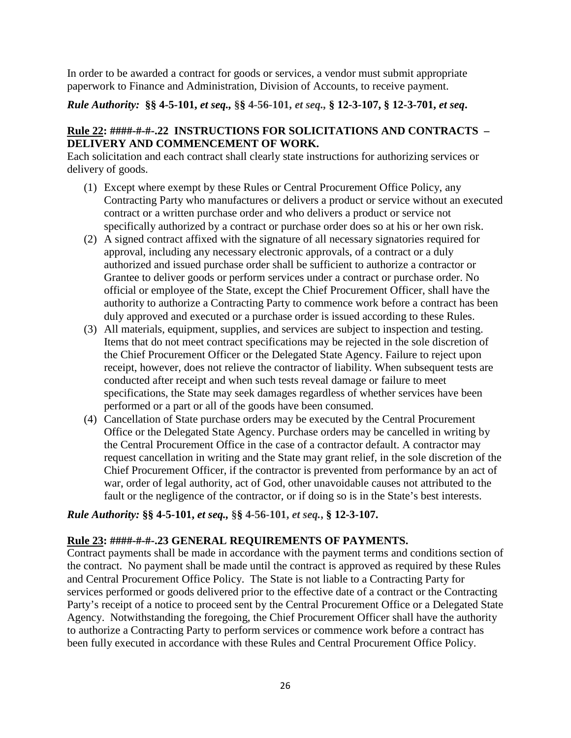In order to be awarded a contract for goods or services, a vendor must submit appropriate paperwork to Finance and Administration, Division of Accounts, to receive payment.

### *Rule Authority:* **§§ 4-5-101,** *et seq.,* **§§ 4-56-101,** *et seq.,* **§ 12-3-107, § 12-3-701,** *et seq***.**

### **Rule 22: ####-#-#-.22 INSTRUCTIONS FOR SOLICITATIONS AND CONTRACTS – DELIVERY AND COMMENCEMENT OF WORK.**

Each solicitation and each contract shall clearly state instructions for authorizing services or delivery of goods.

- (1) Except where exempt by these Rules or Central Procurement Office Policy, any Contracting Party who manufactures or delivers a product or service without an executed contract or a written purchase order and who delivers a product or service not specifically authorized by a contract or purchase order does so at his or her own risk.
- (2) A signed contract affixed with the signature of all necessary signatories required for approval, including any necessary electronic approvals, of a contract or a duly authorized and issued purchase order shall be sufficient to authorize a contractor or Grantee to deliver goods or perform services under a contract or purchase order. No official or employee of the State, except the Chief Procurement Officer, shall have the authority to authorize a Contracting Party to commence work before a contract has been duly approved and executed or a purchase order is issued according to these Rules.
- (3) All materials, equipment, supplies, and services are subject to inspection and testing. Items that do not meet contract specifications may be rejected in the sole discretion of the Chief Procurement Officer or the Delegated State Agency. Failure to reject upon receipt, however, does not relieve the contractor of liability. When subsequent tests are conducted after receipt and when such tests reveal damage or failure to meet specifications, the State may seek damages regardless of whether services have been performed or a part or all of the goods have been consumed.
- (4) Cancellation of State purchase orders may be executed by the Central Procurement Office or the Delegated State Agency. Purchase orders may be cancelled in writing by the Central Procurement Office in the case of a contractor default. A contractor may request cancellation in writing and the State may grant relief, in the sole discretion of the Chief Procurement Officer, if the contractor is prevented from performance by an act of war, order of legal authority, act of God, other unavoidable causes not attributed to the fault or the negligence of the contractor, or if doing so is in the State's best interests.

# *Rule Authority:* **§§ 4-5-101,** *et seq.,* **§§ 4-56-101,** *et seq.***, § 12-3-107.**

# **Rule 23: ####-#-#-.23 GENERAL REQUIREMENTS OF PAYMENTS.**

Contract payments shall be made in accordance with the payment terms and conditions section of the contract. No payment shall be made until the contract is approved as required by these Rules and Central Procurement Office Policy. The State is not liable to a Contracting Party for services performed or goods delivered prior to the effective date of a contract or the Contracting Party's receipt of a notice to proceed sent by the Central Procurement Office or a Delegated State Agency. Notwithstanding the foregoing, the Chief Procurement Officer shall have the authority to authorize a Contracting Party to perform services or commence work before a contract has been fully executed in accordance with these Rules and Central Procurement Office Policy.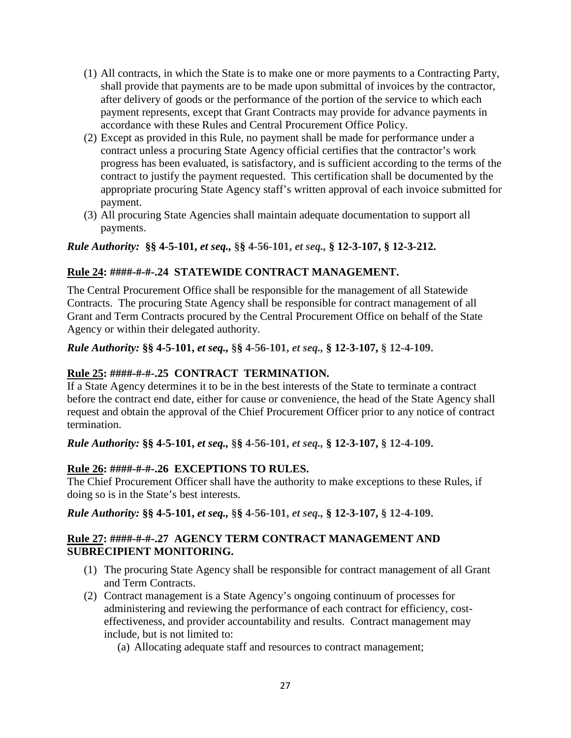- (1) All contracts, in which the State is to make one or more payments to a Contracting Party, shall provide that payments are to be made upon submittal of invoices by the contractor, after delivery of goods or the performance of the portion of the service to which each payment represents, except that Grant Contracts may provide for advance payments in accordance with these Rules and Central Procurement Office Policy.
- (2) Except as provided in this Rule, no payment shall be made for performance under a contract unless a procuring State Agency official certifies that the contractor's work progress has been evaluated, is satisfactory, and is sufficient according to the terms of the contract to justify the payment requested. This certification shall be documented by the appropriate procuring State Agency staff's written approval of each invoice submitted for payment.
- (3) All procuring State Agencies shall maintain adequate documentation to support all payments.

# *Rule Authority:* **§§ 4-5-101,** *et seq.,* **§§ 4-56-101,** *et seq.,* **§ 12-3-107, § 12-3-212.**

# **Rule 24: ####-#-#-.24 STATEWIDE CONTRACT MANAGEMENT.**

The Central Procurement Office shall be responsible for the management of all Statewide Contracts. The procuring State Agency shall be responsible for contract management of all Grant and Term Contracts procured by the Central Procurement Office on behalf of the State Agency or within their delegated authority.

# *Rule Authority:* **§§ 4-5-101,** *et seq.,* **§§ 4-56-101,** *et seq.,* **§ 12-3-107, § 12-4-109.**

# **Rule 25: ####-#-#-.25 CONTRACT TERMINATION.**

If a State Agency determines it to be in the best interests of the State to terminate a contract before the contract end date, either for cause or convenience, the head of the State Agency shall request and obtain the approval of the Chief Procurement Officer prior to any notice of contract termination.

# *Rule Authority:* **§§ 4-5-101,** *et seq.,* **§§ 4-56-101,** *et seq.,* **§ 12-3-107, § 12-4-109.**

# **Rule 26: ####-#-#-.26 EXCEPTIONS TO RULES.**

The Chief Procurement Officer shall have the authority to make exceptions to these Rules, if doing so is in the State's best interests.

# *Rule Authority:* **§§ 4-5-101,** *et seq.,* **§§ 4-56-101,** *et seq.,* **§ 12-3-107, § 12-4-109.**

# **Rule 27: ####-#-#-.27 AGENCY TERM CONTRACT MANAGEMENT AND SUBRECIPIENT MONITORING.**

- (1) The procuring State Agency shall be responsible for contract management of all Grant and Term Contracts.
- (2) Contract management is a State Agency's ongoing continuum of processes for administering and reviewing the performance of each contract for efficiency, costeffectiveness, and provider accountability and results. Contract management may include, but is not limited to:
	- (a) Allocating adequate staff and resources to contract management;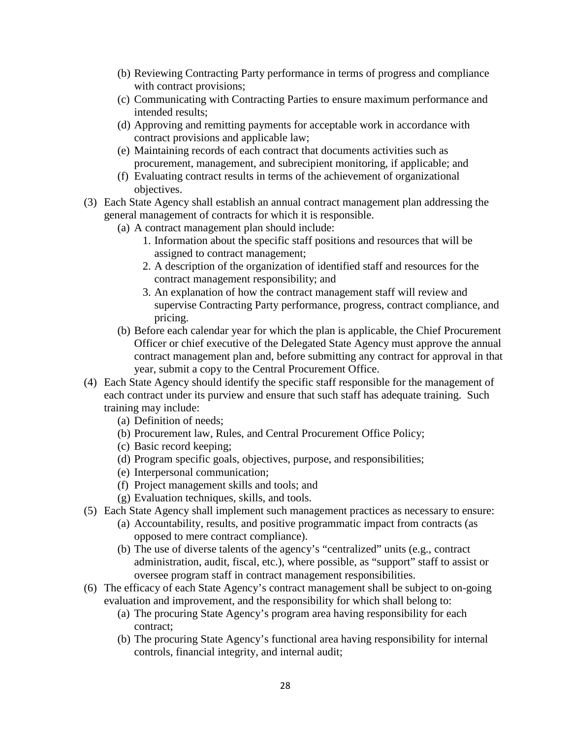- (b) Reviewing Contracting Party performance in terms of progress and compliance with contract provisions;
- (c) Communicating with Contracting Parties to ensure maximum performance and intended results;
- (d) Approving and remitting payments for acceptable work in accordance with contract provisions and applicable law;
- (e) Maintaining records of each contract that documents activities such as procurement, management, and subrecipient monitoring, if applicable; and
- (f) Evaluating contract results in terms of the achievement of organizational objectives.
- (3) Each State Agency shall establish an annual contract management plan addressing the general management of contracts for which it is responsible.
	- (a) A contract management plan should include:
		- 1. Information about the specific staff positions and resources that will be assigned to contract management;
		- 2. A description of the organization of identified staff and resources for the contract management responsibility; and
		- 3. An explanation of how the contract management staff will review and supervise Contracting Party performance, progress, contract compliance, and pricing.
	- (b) Before each calendar year for which the plan is applicable, the Chief Procurement Officer or chief executive of the Delegated State Agency must approve the annual contract management plan and, before submitting any contract for approval in that year, submit a copy to the Central Procurement Office.
- (4) Each State Agency should identify the specific staff responsible for the management of each contract under its purview and ensure that such staff has adequate training. Such training may include:
	- (a) Definition of needs;
	- (b) Procurement law, Rules, and Central Procurement Office Policy;
	- (c) Basic record keeping;
	- (d) Program specific goals, objectives, purpose, and responsibilities;
	- (e) Interpersonal communication;
	- (f) Project management skills and tools; and
	- (g) Evaluation techniques, skills, and tools.
- (5) Each State Agency shall implement such management practices as necessary to ensure:
	- (a) Accountability, results, and positive programmatic impact from contracts (as opposed to mere contract compliance).
	- (b) The use of diverse talents of the agency's "centralized" units (e.g., contract administration, audit, fiscal, etc.), where possible, as "support" staff to assist or oversee program staff in contract management responsibilities.
- (6) The efficacy of each State Agency's contract management shall be subject to on-going evaluation and improvement, and the responsibility for which shall belong to:
	- (a) The procuring State Agency's program area having responsibility for each contract;
	- (b) The procuring State Agency's functional area having responsibility for internal controls, financial integrity, and internal audit;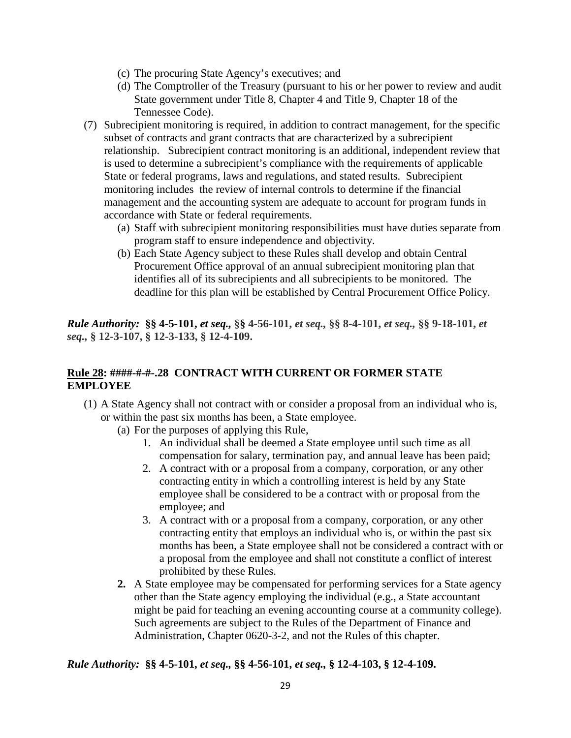- (c) The procuring State Agency's executives; and
- (d) The Comptroller of the Treasury (pursuant to his or her power to review and audit State government under Title 8, Chapter 4 and Title 9, Chapter 18 of the Tennessee Code).
- (7) Subrecipient monitoring is required, in addition to contract management, for the specific subset of contracts and grant contracts that are characterized by a subrecipient relationship. Subrecipient contract monitoring is an additional, independent review that is used to determine a subrecipient's compliance with the requirements of applicable State or federal programs, laws and regulations, and stated results. Subrecipient monitoring includes the review of internal controls to determine if the financial management and the accounting system are adequate to account for program funds in accordance with State or federal requirements.
	- (a) Staff with subrecipient monitoring responsibilities must have duties separate from program staff to ensure independence and objectivity.
	- (b) Each State Agency subject to these Rules shall develop and obtain Central Procurement Office approval of an annual subrecipient monitoring plan that identifies all of its subrecipients and all subrecipients to be monitored. The deadline for this plan will be established by Central Procurement Office Policy.

*Rule Authority:* **§§ 4-5-101,** *et seq.,* **§§ 4-56-101,** *et seq.,* **§§ 8-4-101,** *et seq.,* **§§ 9-18-101,** *et seq.,* **§ 12-3-107, § 12-3-133, § 12-4-109.**

### **Rule 28: ####-#-#-.28 CONTRACT WITH CURRENT OR FORMER STATE EMPLOYEE**

- (1) A State Agency shall not contract with or consider a proposal from an individual who is, or within the past six months has been, a State employee.
	- (a) For the purposes of applying this Rule,
		- 1. An individual shall be deemed a State employee until such time as all compensation for salary, termination pay, and annual leave has been paid;
		- 2. A contract with or a proposal from a company, corporation, or any other contracting entity in which a controlling interest is held by any State employee shall be considered to be a contract with or proposal from the employee; and
		- 3. A contract with or a proposal from a company, corporation, or any other contracting entity that employs an individual who is, or within the past six months has been, a State employee shall not be considered a contract with or a proposal from the employee and shall not constitute a conflict of interest prohibited by these Rules.
	- **2.** A State employee may be compensated for performing services for a State agency other than the State agency employing the individual (e.g., a State accountant might be paid for teaching an evening accounting course at a community college). Such agreements are subject to the Rules of the Department of Finance and Administration, Chapter 0620-3-2, and not the Rules of this chapter.

# *Rule Authority:* **§§ 4-5-101,** *et seq.,* **§§ 4-56-101,** *et seq.,* **§ 12-4-103, § 12-4-109.**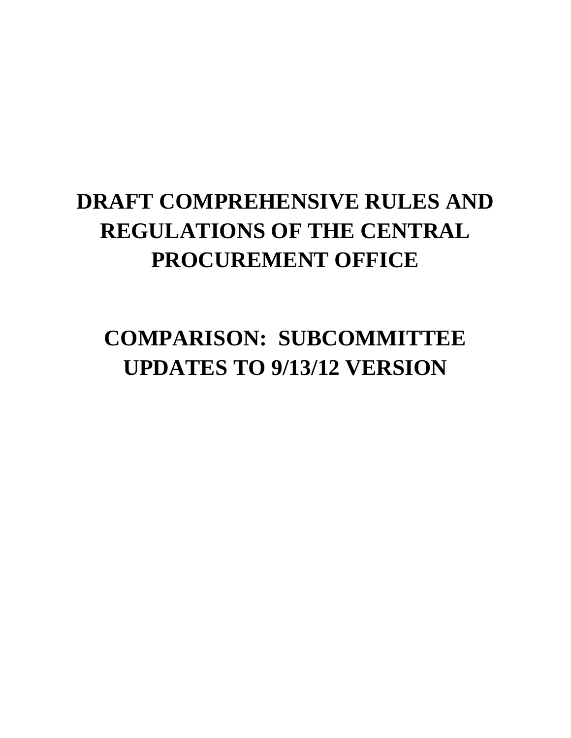# **DRAFT COMPREHENSIVE RULES AND REGULATIONS OF THE CENTRAL PROCUREMENT OFFICE**

# **COMPARISON: SUBCOMMITTEE UPDATES TO 9/13/12 VERSION**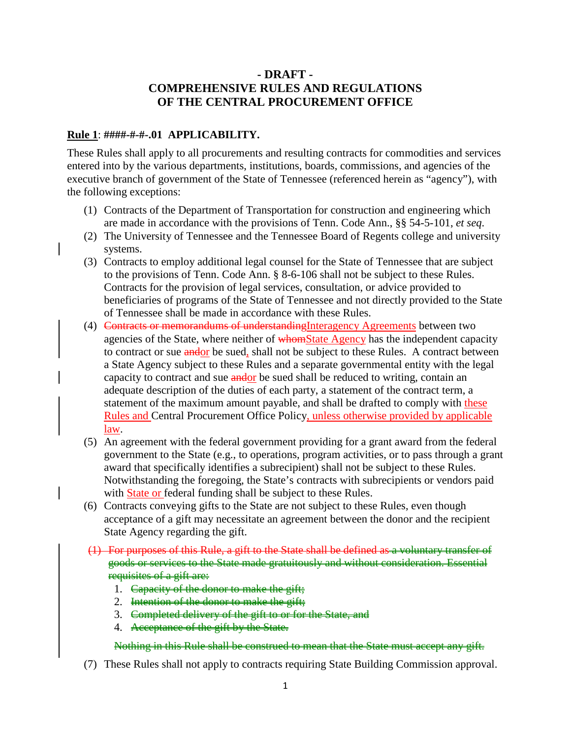# **- DRAFT - COMPREHENSIVE RULES AND REGULATIONS OF THE CENTRAL PROCUREMENT OFFICE**

#### **Rule 1**: **####-#-#-.01 APPLICABILITY.**

These Rules shall apply to all procurements and resulting contracts for commodities and services entered into by the various departments, institutions, boards, commissions, and agencies of the executive branch of government of the State of Tennessee (referenced herein as "agency"), with the following exceptions:

- (1) Contracts of the Department of Transportation for construction and engineering which are made in accordance with the provisions of Tenn. Code Ann., §§ 54-5-101, *et seq*.
- (2) The University of Tennessee and the Tennessee Board of Regents college and university systems.
- (3) Contracts to employ additional legal counsel for the State of Tennessee that are subject to the provisions of Tenn. Code Ann. § 8-6-106 shall not be subject to these Rules. Contracts for the provision of legal services, consultation, or advice provided to beneficiaries of programs of the State of Tennessee and not directly provided to the State of Tennessee shall be made in accordance with these Rules.
- (4) Contracts or memorandums of understandingInteragency Agreements between two agencies of the State, where neither of whomState Agency has the independent capacity to contract or sue andor be sued, shall not be subject to these Rules. A contract between a State Agency subject to these Rules and a separate governmental entity with the legal capacity to contract and sue andor be sued shall be reduced to writing, contain an adequate description of the duties of each party, a statement of the contract term, a statement of the maximum amount payable, and shall be drafted to comply with these Rules and Central Procurement Office Policy, unless otherwise provided by applicable law.
- (5) An agreement with the federal government providing for a grant award from the federal government to the State (e.g., to operations, program activities, or to pass through a grant award that specifically identifies a subrecipient) shall not be subject to these Rules. Notwithstanding the foregoing, the State's contracts with subrecipients or vendors paid with **State or federal funding shall be subject to these Rules.**
- (6) Contracts conveying gifts to the State are not subject to these Rules, even though acceptance of a gift may necessitate an agreement between the donor and the recipient State Agency regarding the gift.
- (1) For purposes of this Rule, a gift to the State shall be defined as a voluntary transfer of goods or services to the State made gratuitously and without consideration. Essential requisites of a gift are:
	- 1. Capacity of the donor to make the gift;
	- 2. Intention of the donor to make the gift;
	- 3. Completed delivery of the gift to or for the State, and
	- 4. Acceptance of the gift by the State.

Nothing in this Rule shall be construed to mean that the State must accept any gift.

(7) These Rules shall not apply to contracts requiring State Building Commission approval.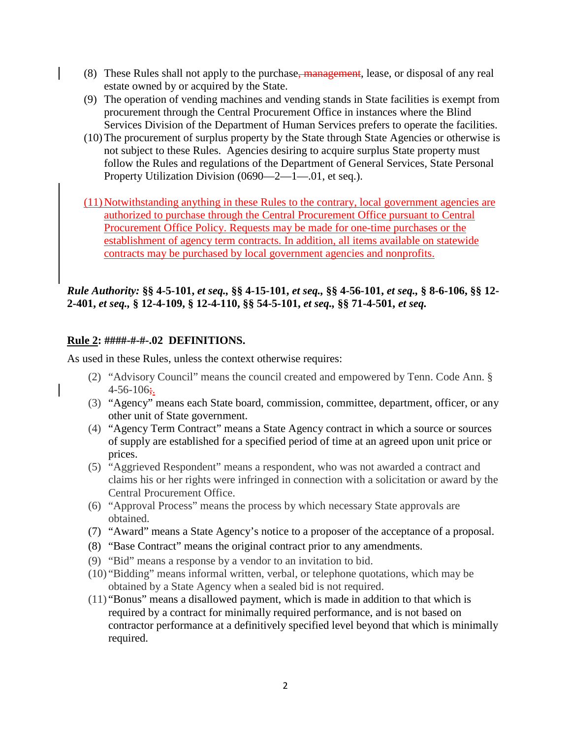- (8) These Rules shall not apply to the purchase, management, lease, or disposal of any real estate owned by or acquired by the State.
- (9) The operation of vending machines and vending stands in State facilities is exempt from procurement through the Central Procurement Office in instances where the Blind Services Division of the Department of Human Services prefers to operate the facilities.
- (10)The procurement of surplus property by the State through State Agencies or otherwise is not subject to these Rules. Agencies desiring to acquire surplus State property must follow the Rules and regulations of the Department of General Services, State Personal Property Utilization Division (0690—2—1—.01, et seq.).
- (11)Notwithstanding anything in these Rules to the contrary, local government agencies are authorized to purchase through the Central Procurement Office pursuant to Central Procurement Office Policy. Requests may be made for one-time purchases or the establishment of agency term contracts. In addition, all items available on statewide contracts may be purchased by local government agencies and nonprofits.

# *Rule Authority:* **§§ 4-5-101,** *et seq.,* **§§ 4-15-101,** *et seq.,* **§§ 4-56-101,** *et seq.,* **§ 8-6-106, §§ 12- 2-401,** *et seq.,* **§ 12-4-109, § 12-4-110, §§ 54-5-101,** *et seq.,* **§§ 71-4-501,** *et seq.*

# **Rule 2: ####-#-#-.02 DEFINITIONS.**

As used in these Rules, unless the context otherwise requires:

- (2) "Advisory Council" means the council created and empowered by Tenn. Code Ann. §  $4-56-106$ ;
- (3) "Agency" means each State board, commission, committee, department, officer, or any other unit of State government.
- (4) "Agency Term Contract" means a State Agency contract in which a source or sources of supply are established for a specified period of time at an agreed upon unit price or prices.
- (5) "Aggrieved Respondent" means a respondent, who was not awarded a contract and claims his or her rights were infringed in connection with a solicitation or award by the Central Procurement Office.
- (6) "Approval Process" means the process by which necessary State approvals are obtained.
- (7) "Award" means a State Agency's notice to a proposer of the acceptance of a proposal.
- (8) "Base Contract" means the original contract prior to any amendments.
- (9) "Bid" means a response by a vendor to an invitation to bid.
- (10) "Bidding" means informal written, verbal, or telephone quotations, which may be obtained by a State Agency when a sealed bid is not required.
- (11) "Bonus" means a disallowed payment, which is made in addition to that which is required by a contract for minimally required performance, and is not based on contractor performance at a definitively specified level beyond that which is minimally required.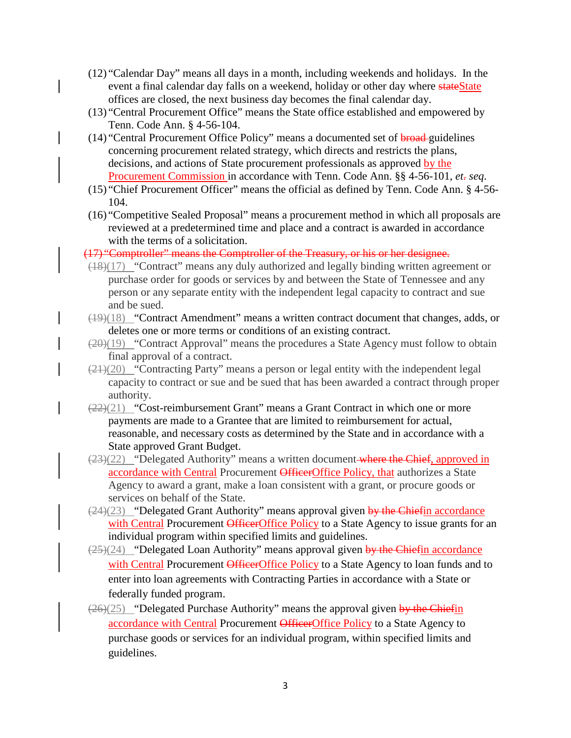- (12) "Calendar Day" means all days in a month, including weekends and holidays. In the event a final calendar day falls on a weekend, holiday or other day where stateState offices are closed, the next business day becomes the final calendar day.
- (13) "Central Procurement Office" means the State office established and empowered by Tenn. Code Ann. § 4-56-104.
- (14) "Central Procurement Office Policy" means a documented set of broad-guidelines concerning procurement related strategy, which directs and restricts the plans, decisions, and actions of State procurement professionals as approved by the Procurement Commission in accordance with Tenn. Code Ann. §§ 4-56-101, *et. seq*.
- (15) "Chief Procurement Officer" means the official as defined by Tenn. Code Ann. § 4-56- 104.
- (16) "Competitive Sealed Proposal" means a procurement method in which all proposals are reviewed at a predetermined time and place and a contract is awarded in accordance with the terms of a solicitation.

(17) "Comptroller" means the Comptroller of the Treasury, or his or her designee.

- (18)(17) "Contract" means any duly authorized and legally binding written agreement or purchase order for goods or services by and between the State of Tennessee and any person or any separate entity with the independent legal capacity to contract and sue and be sued.
- (19)(18) "Contract Amendment" means a written contract document that changes, adds, or deletes one or more terms or conditions of an existing contract.
- $(20)(19)$  "Contract Approval" means the procedures a State Agency must follow to obtain final approval of a contract.
- (21)(20) "Contracting Party" means a person or legal entity with the independent legal capacity to contract or sue and be sued that has been awarded a contract through proper authority.
- (22)(21) "Cost-reimbursement Grant" means a Grant Contract in which one or more payments are made to a Grantee that are limited to reimbursement for actual, reasonable, and necessary costs as determined by the State and in accordance with a State approved Grant Budget.
- (23)(22) "Delegated Authority" means a written document where the Chief, approved in accordance with Central Procurement OfficerOffice Policy, that authorizes a State Agency to award a grant, make a loan consistent with a grant, or procure goods or services on behalf of the State.
- $(24)(23)$  "Delegated Grant Authority" means approval given by the Chiefin accordance with Central Procurement OfficerOffice Policy to a State Agency to issue grants for an individual program within specified limits and guidelines.
- (25)(24) "Delegated Loan Authority" means approval given by the Chiefin accordance with Central Procurement OfficerOffice Policy to a State Agency to loan funds and to enter into loan agreements with Contracting Parties in accordance with a State or federally funded program.
- $(26)(25)$  "Delegated Purchase Authority" means the approval given by the Chiefin accordance with Central Procurement OfficerOffice Policy to a State Agency to purchase goods or services for an individual program, within specified limits and guidelines.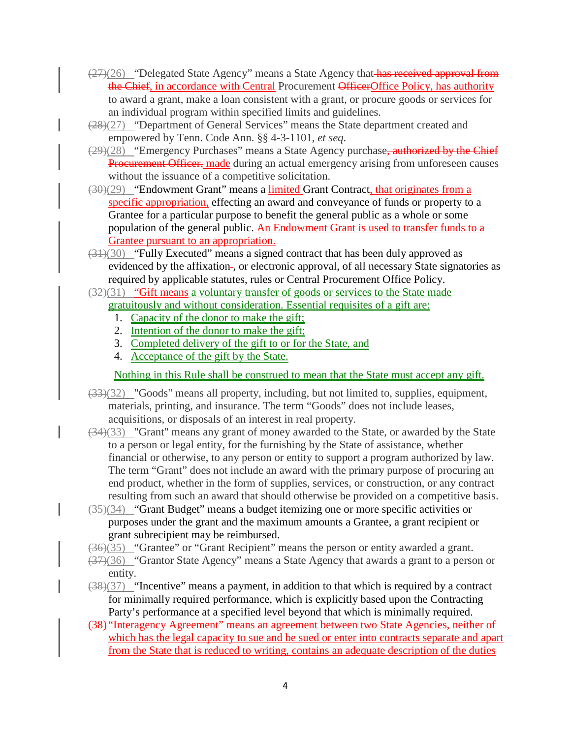- (27)(26) "Delegated State Agency" means a State Agency that has received approval from the Chief, in accordance with Central Procurement OfficerOffice Policy, has authority to award a grant, make a loan consistent with a grant, or procure goods or services for an individual program within specified limits and guidelines.
- (28)(27) "Department of General Services" means the State department created and empowered by Tenn. Code Ann. §§ 4-3-1101, *et seq*.
- (29)(28) "Emergency Purchases" means a State Agency purchase, authorized by the Chief Procurement Officer, made during an actual emergency arising from unforeseen causes without the issuance of a competitive solicitation.
- (30)(29) "Endowment Grant" means a limited Grant Contract, that originates from a specific appropriation, effecting an award and conveyance of funds or property to a Grantee for a particular purpose to benefit the general public as a whole or some population of the general public. An Endowment Grant is used to transfer funds to a Grantee pursuant to an appropriation.
- $(31)(30)$  "Fully Executed" means a signed contract that has been duly approved as evidenced by the affixation-, or electronic approval, of all necessary State signatories as required by applicable statutes, rules or Central Procurement Office Policy.
- (32)(31) "Gift means a voluntary transfer of goods or services to the State made
	- gratuitously and without consideration. Essential requisites of a gift are:
		- 1. Capacity of the donor to make the gift;
		- 2. Intention of the donor to make the gift;
		- 3. Completed delivery of the gift to or for the State, and
		- 4. Acceptance of the gift by the State.

Nothing in this Rule shall be construed to mean that the State must accept any gift.

- (33)(32) "Goods" means all property, including, but not limited to, supplies, equipment, materials, printing, and insurance. The term "Goods" does not include leases, acquisitions, or disposals of an interest in real property.
- (34)(33) "Grant" means any grant of money awarded to the State, or awarded by the State to a person or legal entity, for the furnishing by the State of assistance, whether financial or otherwise, to any person or entity to support a program authorized by law. The term "Grant" does not include an award with the primary purpose of procuring an end product, whether in the form of supplies, services, or construction, or any contract resulting from such an award that should otherwise be provided on a competitive basis.
- (35)(34) "Grant Budget" means a budget itemizing one or more specific activities or purposes under the grant and the maximum amounts a Grantee, a grant recipient or grant subrecipient may be reimbursed.
- (36)(35) "Grantee" or "Grant Recipient" means the person or entity awarded a grant.
- (37)(36) "Grantor State Agency" means a State Agency that awards a grant to a person or entity.
- $(38)(37)$  "Incentive" means a payment, in addition to that which is required by a contract for minimally required performance, which is explicitly based upon the Contracting Party's performance at a specified level beyond that which is minimally required.
- (38) "Interagency Agreement" means an agreement between two State Agencies, neither of which has the legal capacity to sue and be sued or enter into contracts separate and apart from the State that is reduced to writing, contains an adequate description of the duties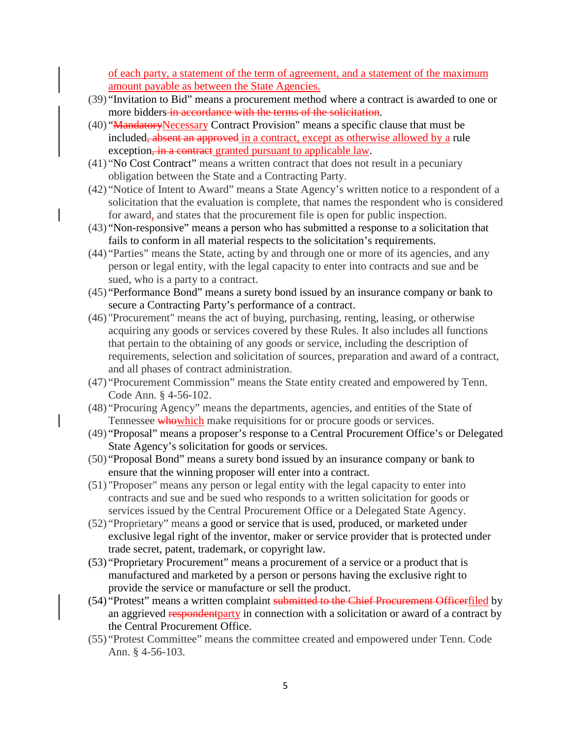of each party, a statement of the term of agreement, and a statement of the maximum amount payable as between the State Agencies.

- (39) "Invitation to Bid" means a procurement method where a contract is awarded to one or more bidders-in accordance with the terms of the solicitation.
- (40) "MandatoryNecessary Contract Provision" means a specific clause that must be included, absent an approved in a contract, except as otherwise allowed by a rule exception, in a contract granted pursuant to applicable law.
- (41) "No Cost Contract" means a written contract that does not result in a pecuniary obligation between the State and a Contracting Party.
- (42) "Notice of Intent to Award" means a State Agency's written notice to a respondent of a solicitation that the evaluation is complete, that names the respondent who is considered for award, and states that the procurement file is open for public inspection.
- (43) "Non-responsive" means a person who has submitted a response to a solicitation that fails to conform in all material respects to the solicitation's requirements.
- (44) "Parties" means the State, acting by and through one or more of its agencies, and any person or legal entity, with the legal capacity to enter into contracts and sue and be sued, who is a party to a contract.
- (45) "Performance Bond" means a surety bond issued by an insurance company or bank to secure a Contracting Party's performance of a contract.
- (46) "Procurement" means the act of buying, purchasing, renting, leasing, or otherwise acquiring any goods or services covered by these Rules. It also includes all functions that pertain to the obtaining of any goods or service, including the description of requirements, selection and solicitation of sources, preparation and award of a contract, and all phases of contract administration.
- (47) "Procurement Commission" means the State entity created and empowered by Tenn. Code Ann. § 4-56-102.
- (48) "Procuring Agency" means the departments, agencies, and entities of the State of Tennessee whowhich make requisitions for or procure goods or services.
- (49) "Proposal" means a proposer's response to a Central Procurement Office's or Delegated State Agency's solicitation for goods or services.
- (50) "Proposal Bond" means a surety bond issued by an insurance company or bank to ensure that the winning proposer will enter into a contract.
- (51) "Proposer" means any person or legal entity with the legal capacity to enter into contracts and sue and be sued who responds to a written solicitation for goods or services issued by the Central Procurement Office or a Delegated State Agency.
- (52) "Proprietary" means a good or service that is used, produced, or marketed under exclusive legal right of the inventor, maker or service provider that is protected under trade secret, patent, trademark, or copyright law.
- (53) "Proprietary Procurement" means a procurement of a service or a product that is manufactured and marketed by a person or persons having the exclusive right to provide the service or manufacture or sell the product.
- (54) "Protest" means a written complaint submitted to the Chief Procurement Officerfiled by an aggrieved respondent party in connection with a solicitation or award of a contract by the Central Procurement Office.
- (55) "Protest Committee" means the committee created and empowered under Tenn. Code Ann. § 4-56-103.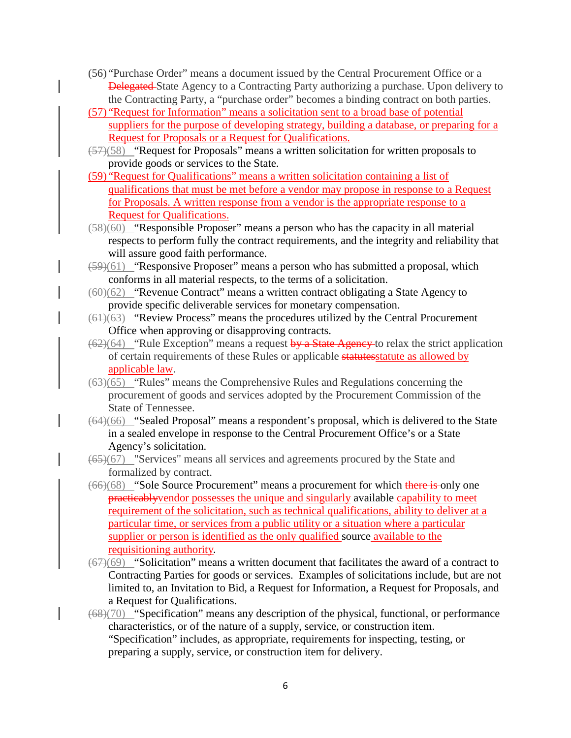- (56) "Purchase Order" means a document issued by the Central Procurement Office or a Delegated State Agency to a Contracting Party authorizing a purchase. Upon delivery to the Contracting Party, a "purchase order" becomes a binding contract on both parties.
- (57) "Request for Information" means a solicitation sent to a broad base of potential suppliers for the purpose of developing strategy, building a database, or preparing for a Request for Proposals or a Request for Qualifications.
- (57)(58) "Request for Proposals" means a written solicitation for written proposals to provide goods or services to the State.
- (59) "Request for Qualifications" means a written solicitation containing a list of qualifications that must be met before a vendor may propose in response to a Request for Proposals. A written response from a vendor is the appropriate response to a Request for Qualifications.
- (58)(60) "Responsible Proposer" means a person who has the capacity in all material respects to perform fully the contract requirements, and the integrity and reliability that will assure good faith performance.
- (59)(61) "Responsive Proposer" means a person who has submitted a proposal, which conforms in all material respects, to the terms of a solicitation.
- (60)(62) "Revenue Contract" means a written contract obligating a State Agency to provide specific deliverable services for monetary compensation.
- $(61)(63)$  "Review Process" means the procedures utilized by the Central Procurement Office when approving or disapproving contracts.
- $(62)(64)$  "Rule Exception" means a request by a State Agency to relax the strict application of certain requirements of these Rules or applicable statutesstatute as allowed by applicable law.
- (63)(65) "Rules" means the Comprehensive Rules and Regulations concerning the procurement of goods and services adopted by the Procurement Commission of the State of Tennessee.
- (64)(66) "Sealed Proposal" means a respondent's proposal, which is delivered to the State in a sealed envelope in response to the Central Procurement Office's or a State Agency's solicitation.
- (65)(67) "Services" means all services and agreements procured by the State and formalized by contract.
- (66)(68) "Sole Source Procurement" means a procurement for which there is only one practicablyvendor possesses the unique and singularly available capability to meet requirement of the solicitation, such as technical qualifications, ability to deliver at a particular time, or services from a public utility or a situation where a particular supplier or person is identified as the only qualified source available to the requisitioning authority*.*
- (67)(69) "Solicitation" means a written document that facilitates the award of a contract to Contracting Parties for goods or services. Examples of solicitations include, but are not limited to, an Invitation to Bid, a Request for Information, a Request for Proposals, and a Request for Qualifications.
- (68)(70) "Specification" means any description of the physical, functional, or performance characteristics, or of the nature of a supply, service, or construction item.

"Specification" includes, as appropriate, requirements for inspecting, testing, or preparing a supply, service, or construction item for delivery.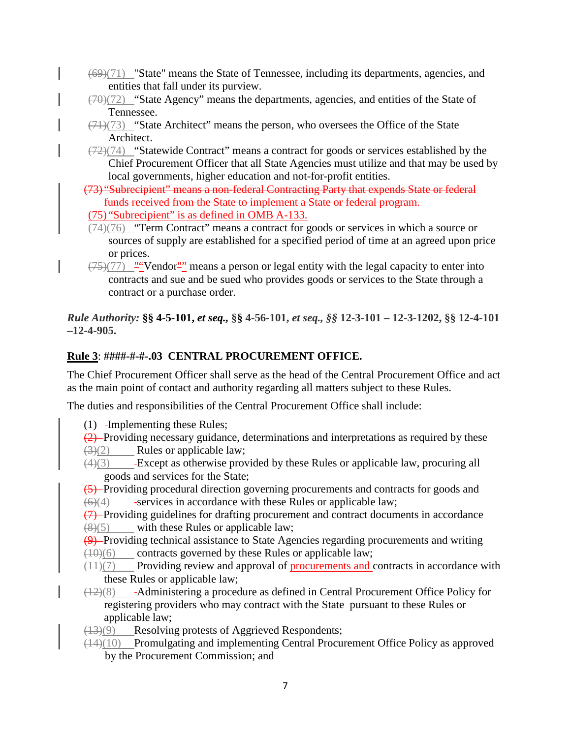- (69)(71) "State" means the State of Tennessee, including its departments, agencies, and entities that fall under its purview.
- (70)(72) "State Agency" means the departments, agencies, and entities of the State of Tennessee.
- (71)(73) "State Architect" means the person, who oversees the Office of the State Architect.
- (72)(74) "Statewide Contract" means a contract for goods or services established by the Chief Procurement Officer that all State Agencies must utilize and that may be used by local governments, higher education and not-for-profit entities.
- (73) "Subrecipient" means a non-federal Contracting Party that expends State or federal funds received from the State to implement a State or federal program.
- (75) "Subrecipient" is as defined in OMB A-133.
- (74)(76) "Term Contract" means a contract for goods or services in which a source or sources of supply are established for a specified period of time at an agreed upon price or prices.
- $(75)(77)$  ""Vendor"" means a person or legal entity with the legal capacity to enter into contracts and sue and be sued who provides goods or services to the State through a contract or a purchase order.

# *Rule Authority:* **§§ 4-5-101,** *et seq.,* **§§ 4-56-101,** *et seq., §§* **12-3-101 – 12-3-1202, §§ 12-4-101 –12-4-905.**

# **Rule 3**: **####-#-#-.03 CENTRAL PROCUREMENT OFFICE.**

The Chief Procurement Officer shall serve as the head of the Central Procurement Office and act as the main point of contact and authority regarding all matters subject to these Rules.

The duties and responsibilities of the Central Procurement Office shall include:

- $(1)$  -Implementing these Rules;
- (2) Providing necessary guidance, determinations and interpretations as required by these
- $(3)(2)$  Rules or applicable law;
- $(4)(3)$  -Except as otherwise provided by these Rules or applicable law, procuring all goods and services for the State;
- (5) Providing procedural direction governing procurements and contracts for goods and  $(6)(4)$  -services in accordance with these Rules or applicable law;
- (7) Providing guidelines for drafting procurement and contract documents in accordance  $\left(\frac{8}{5}\right)$  with these Rules or applicable law;
- (9) Providing technical assistance to State Agencies regarding procurements and writing  $(10)(6)$  contracts governed by these Rules or applicable law;
- $(11)(7)$  -Providing review and approval of procurements and contracts in accordance with these Rules or applicable law;
- (12)(8) Administering a procedure as defined in Central Procurement Office Policy for registering providers who may contract with the State pursuant to these Rules or applicable law;
- (13)(9) Resolving protests of Aggrieved Respondents;
- (14)(10) Promulgating and implementing Central Procurement Office Policy as approved by the Procurement Commission; and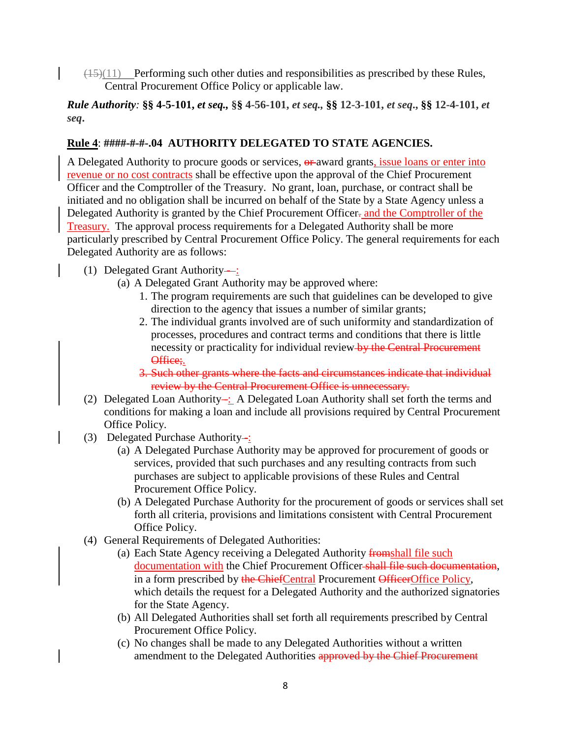$(15)(11)$  Performing such other duties and responsibilities as prescribed by these Rules, Central Procurement Office Policy or applicable law.

# *Rule Authority:* **§§ 4-5-101,** *et seq.,* **§§ 4-56-101,** *et seq.,* **§§ 12-3-101,** *et seq***., §§ 12-4-101,** *et seq***.**

# **Rule 4**: **####-#-#-.04 AUTHORITY DELEGATED TO STATE AGENCIES.**

A Delegated Authority to procure goods or services,  $\theta$ **F**-award grants, issue loans or enter into revenue or no cost contracts shall be effective upon the approval of the Chief Procurement Officer and the Comptroller of the Treasury. No grant, loan, purchase, or contract shall be initiated and no obligation shall be incurred on behalf of the State by a State Agency unless a Delegated Authority is granted by the Chief Procurement Officer- and the Comptroller of the Treasury. The approval process requirements for a Delegated Authority shall be more particularly prescribed by Central Procurement Office Policy. The general requirements for each Delegated Authority are as follows:

- (1) Delegated Grant Authority- $\frac{1}{2}$ 
	- (a) A Delegated Grant Authority may be approved where:
		- 1. The program requirements are such that guidelines can be developed to give direction to the agency that issues a number of similar grants;
		- 2. The individual grants involved are of such uniformity and standardization of processes, procedures and contract terms and conditions that there is little necessity or practicality for individual review by the Central Procurement Office:
		- 3. Such other grants where the facts and circumstances indicate that individual review by the Central Procurement Office is unnecessary.
- (2) Delegated Loan Authority- $\frac{1}{2}$  A Delegated Loan Authority shall set forth the terms and conditions for making a loan and include all provisions required by Central Procurement Office Policy.
- (3) Delegated Purchase Authority-:
	- (a) A Delegated Purchase Authority may be approved for procurement of goods or services, provided that such purchases and any resulting contracts from such purchases are subject to applicable provisions of these Rules and Central Procurement Office Policy.
	- (b) A Delegated Purchase Authority for the procurement of goods or services shall set forth all criteria, provisions and limitations consistent with Central Procurement Office Policy.
- (4) General Requirements of Delegated Authorities:
	- (a) Each State Agency receiving a Delegated Authority **fromshall file such** documentation with the Chief Procurement Officer shall file such documentation, in a form prescribed by the ChiefCentral Procurement OfficerOffice Policy, which details the request for a Delegated Authority and the authorized signatories for the State Agency.
	- (b) All Delegated Authorities shall set forth all requirements prescribed by Central Procurement Office Policy.
	- (c) No changes shall be made to any Delegated Authorities without a written amendment to the Delegated Authorities approved by the Chief Procurement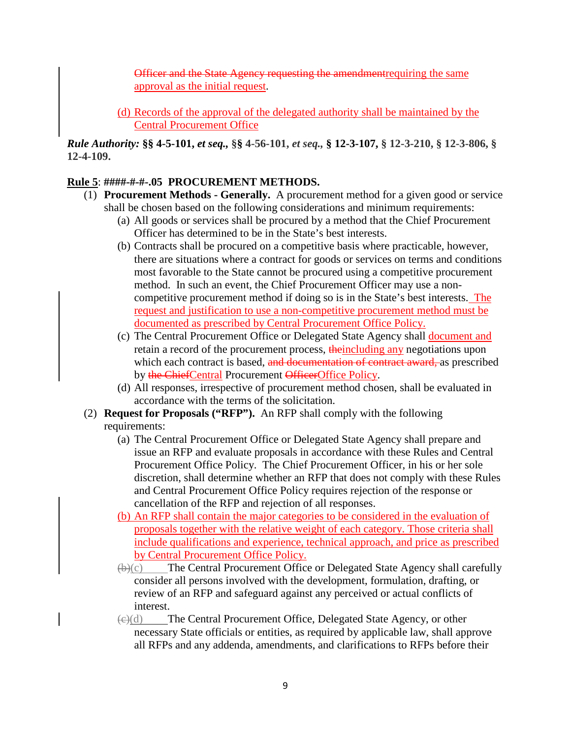Officer and the State Agency requesting the amendmentrequiring the same approval as the initial request.

(d) Records of the approval of the delegated authority shall be maintained by the Central Procurement Office

*Rule Authority:* **§§ 4-5-101,** *et seq.,* **§§ 4-56-101,** *et seq.,* **§ 12-3-107, § 12-3-210, § 12-3-806, § 12-4-109.**

# **Rule 5**: **####-#-#-.05 PROCUREMENT METHODS.**

- (1) **Procurement Methods - Generally.** A procurement method for a given good or service shall be chosen based on the following considerations and minimum requirements:
	- (a) All goods or services shall be procured by a method that the Chief Procurement Officer has determined to be in the State's best interests.
	- (b) Contracts shall be procured on a competitive basis where practicable, however, there are situations where a contract for goods or services on terms and conditions most favorable to the State cannot be procured using a competitive procurement method. In such an event, the Chief Procurement Officer may use a noncompetitive procurement method if doing so is in the State's best interests. The request and justification to use a non-competitive procurement method must be documented as prescribed by Central Procurement Office Policy.
	- (c) The Central Procurement Office or Delegated State Agency shall document and retain a record of the procurement process, theincluding any negotiations upon which each contract is based, and documentation of contract award, as prescribed by the ChiefCentral Procurement OfficerOffice Policy.
	- (d) All responses, irrespective of procurement method chosen, shall be evaluated in accordance with the terms of the solicitation.
- (2) **Request for Proposals ("RFP").** An RFP shall comply with the following requirements:
	- (a) The Central Procurement Office or Delegated State Agency shall prepare and issue an RFP and evaluate proposals in accordance with these Rules and Central Procurement Office Policy. The Chief Procurement Officer, in his or her sole discretion, shall determine whether an RFP that does not comply with these Rules and Central Procurement Office Policy requires rejection of the response or cancellation of the RFP and rejection of all responses.
	- (b) An RFP shall contain the major categories to be considered in the evaluation of proposals together with the relative weight of each category. Those criteria shall include qualifications and experience, technical approach, and price as prescribed by Central Procurement Office Policy.
	- (b)(c) The Central Procurement Office or Delegated State Agency shall carefully consider all persons involved with the development, formulation, drafting, or review of an RFP and safeguard against any perceived or actual conflicts of interest.
	- (c)(d) The Central Procurement Office, Delegated State Agency, or other necessary State officials or entities, as required by applicable law, shall approve all RFPs and any addenda, amendments, and clarifications to RFPs before their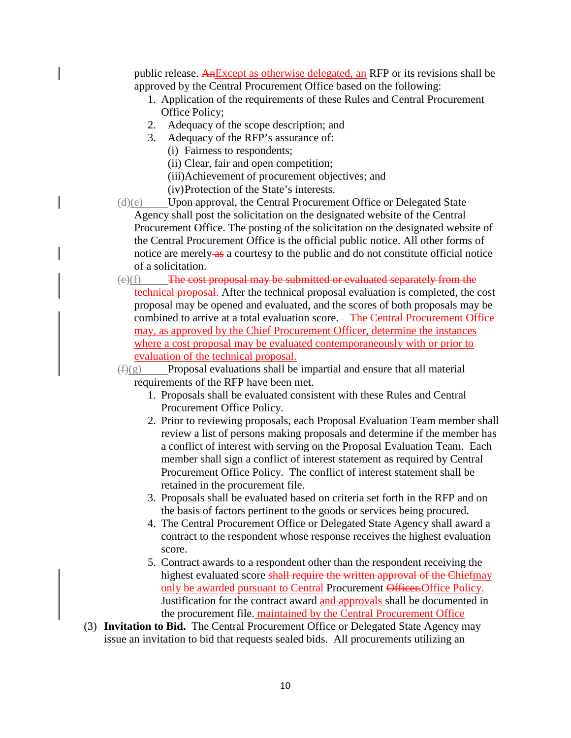public release. AnExcept as otherwise delegated, an RFP or its revisions shall be approved by the Central Procurement Office based on the following:

- 1. Application of the requirements of these Rules and Central Procurement Office Policy;
- 2. Adequacy of the scope description; and
- 3. Adequacy of the RFP's assurance of:
	- (i) Fairness to respondents;
	- (ii) Clear, fair and open competition;
	- (iii)Achievement of procurement objectives; and
	- (iv)Protection of the State's interests.
- (d)(e) Upon approval, the Central Procurement Office or Delegated State Agency shall post the solicitation on the designated website of the Central Procurement Office. The posting of the solicitation on the designated website of the Central Procurement Office is the official public notice. All other forms of notice are merely as a courtesy to the public and do not constitute official notice of a solicitation.
- (e)(f) The cost proposal may be submitted or evaluated separately from the technical proposal. After the technical proposal evaluation is completed, the cost proposal may be opened and evaluated, and the scores of both proposals may be combined to arrive at a total evaluation score.- The Central Procurement Office may, as approved by the Chief Procurement Officer, determine the instances where a cost proposal may be evaluated contemporaneously with or prior to evaluation of the technical proposal.
- $(f)(g)$  Proposal evaluations shall be impartial and ensure that all material requirements of the RFP have been met.
	- 1. Proposals shall be evaluated consistent with these Rules and Central Procurement Office Policy.
	- 2. Prior to reviewing proposals, each Proposal Evaluation Team member shall review a list of persons making proposals and determine if the member has a conflict of interest with serving on the Proposal Evaluation Team. Each member shall sign a conflict of interest statement as required by Central Procurement Office Policy. The conflict of interest statement shall be retained in the procurement file.
	- 3. Proposals shall be evaluated based on criteria set forth in the RFP and on the basis of factors pertinent to the goods or services being procured.
	- 4. The Central Procurement Office or Delegated State Agency shall award a contract to the respondent whose response receives the highest evaluation score.
	- 5. Contract awards to a respondent other than the respondent receiving the highest evaluated score shall require the written approval of the Chiefmay only be awarded pursuant to Central Procurement Officer. Office Policy. Justification for the contract award and approvals shall be documented in the procurement file. maintained by the Central Procurement Office
- (3) **Invitation to Bid.** The Central Procurement Office or Delegated State Agency may issue an invitation to bid that requests sealed bids. All procurements utilizing an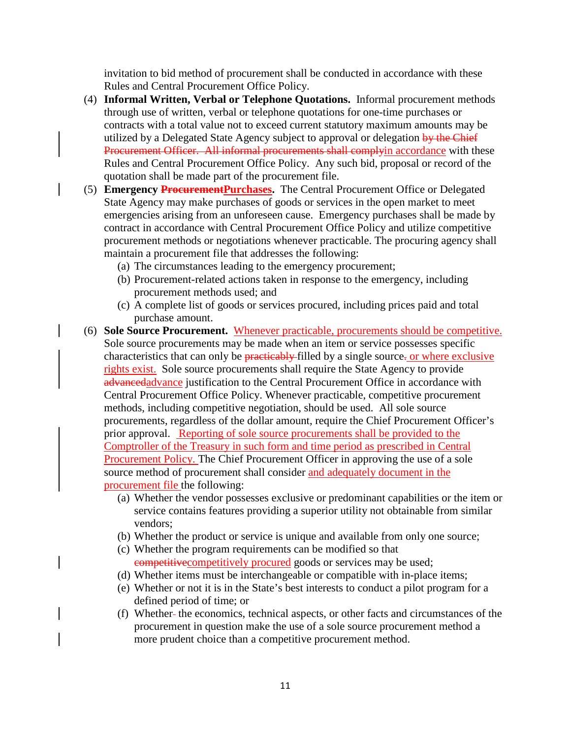invitation to bid method of procurement shall be conducted in accordance with these Rules and Central Procurement Office Policy.

- (4) **Informal Written, Verbal or Telephone Quotations.** Informal procurement methods through use of written, verbal or telephone quotations for one-time purchases or contracts with a total value not to exceed current statutory maximum amounts may be utilized by a Delegated State Agency subject to approval or delegation by the Chief Procurement Officer. All informal procurements shall complyin accordance with these Rules and Central Procurement Office Policy. Any such bid, proposal or record of the quotation shall be made part of the procurement file.
- (5) **Emergency ProcurementPurchases.** The Central Procurement Office or Delegated State Agency may make purchases of goods or services in the open market to meet emergencies arising from an unforeseen cause. Emergency purchases shall be made by contract in accordance with Central Procurement Office Policy and utilize competitive procurement methods or negotiations whenever practicable. The procuring agency shall maintain a procurement file that addresses the following:
	- (a) The circumstances leading to the emergency procurement;
	- (b) Procurement-related actions taken in response to the emergency, including procurement methods used; and
	- (c) A complete list of goods or services procured, including prices paid and total purchase amount.
- (6) **Sole Source Procurement.** Whenever practicable, procurements should be competitive. Sole source procurements may be made when an item or service possesses specific characteristics that can only be **practicably**-filled by a single source- or where exclusive rights exist. Sole source procurements shall require the State Agency to provide advancedadvance justification to the Central Procurement Office in accordance with Central Procurement Office Policy. Whenever practicable, competitive procurement methods, including competitive negotiation, should be used. All sole source procurements, regardless of the dollar amount, require the Chief Procurement Officer's prior approval. Reporting of sole source procurements shall be provided to the Comptroller of the Treasury in such form and time period as prescribed in Central Procurement Policy. The Chief Procurement Officer in approving the use of a sole source method of procurement shall consider and adequately document in the procurement file the following:
	- (a) Whether the vendor possesses exclusive or predominant capabilities or the item or service contains features providing a superior utility not obtainable from similar vendors;
	- (b) Whether the product or service is unique and available from only one source;
	- (c) Whether the program requirements can be modified so that competitivecompetitively procured goods or services may be used;
	- (d) Whether items must be interchangeable or compatible with in-place items;
	- (e) Whether or not it is in the State's best interests to conduct a pilot program for a defined period of time; or
	- (f) Whether- the economics, technical aspects, or other facts and circumstances of the procurement in question make the use of a sole source procurement method a more prudent choice than a competitive procurement method.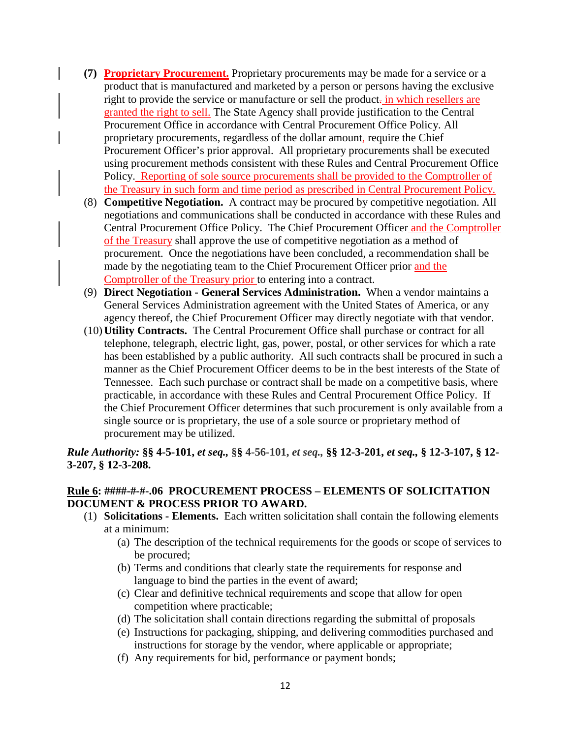- **(7) Proprietary Procurement.** Proprietary procurements may be made for a service or a product that is manufactured and marketed by a person or persons having the exclusive right to provide the service or manufacture or sell the product. in which resellers are granted the right to sell. The State Agency shall provide justification to the Central Procurement Office in accordance with Central Procurement Office Policy. All proprietary procurements, regardless of the dollar amount, require the Chief Procurement Officer's prior approval. All proprietary procurements shall be executed using procurement methods consistent with these Rules and Central Procurement Office Policy. Reporting of sole source procurements shall be provided to the Comptroller of the Treasury in such form and time period as prescribed in Central Procurement Policy.
- (8) **Competitive Negotiation.** A contract may be procured by competitive negotiation. All negotiations and communications shall be conducted in accordance with these Rules and Central Procurement Office Policy. The Chief Procurement Officer and the Comptroller of the Treasury shall approve the use of competitive negotiation as a method of procurement. Once the negotiations have been concluded, a recommendation shall be made by the negotiating team to the Chief Procurement Officer prior and the Comptroller of the Treasury prior to entering into a contract.
- (9) **Direct Negotiation - General Services Administration.** When a vendor maintains a General Services Administration agreement with the United States of America, or any agency thereof, the Chief Procurement Officer may directly negotiate with that vendor.
- (10)**Utility Contracts.** The Central Procurement Office shall purchase or contract for all telephone, telegraph, electric light, gas, power, postal, or other services for which a rate has been established by a public authority. All such contracts shall be procured in such a manner as the Chief Procurement Officer deems to be in the best interests of the State of Tennessee. Each such purchase or contract shall be made on a competitive basis, where practicable, in accordance with these Rules and Central Procurement Office Policy. If the Chief Procurement Officer determines that such procurement is only available from a single source or is proprietary, the use of a sole source or proprietary method of procurement may be utilized.

### *Rule Authority:* **§§ 4-5-101,** *et seq.,* **§§ 4-56-101,** *et seq.,* **§§ 12-3-201,** *et seq.,* **§ 12-3-107, § 12- 3-207, § 12-3-208.**

### **Rule 6: ####-#-#-.06 PROCUREMENT PROCESS – ELEMENTS OF SOLICITATION DOCUMENT & PROCESS PRIOR TO AWARD.**

- (1) **Solicitations - Elements.**Each written solicitation shall contain the following elements at a minimum:
	- (a) The description of the technical requirements for the goods or scope of services to be procured;
	- (b) Terms and conditions that clearly state the requirements for response and language to bind the parties in the event of award;
	- (c) Clear and definitive technical requirements and scope that allow for open competition where practicable;
	- (d) The solicitation shall contain directions regarding the submittal of proposals
	- (e) Instructions for packaging, shipping, and delivering commodities purchased and instructions for storage by the vendor, where applicable or appropriate;
	- (f) Any requirements for bid, performance or payment bonds;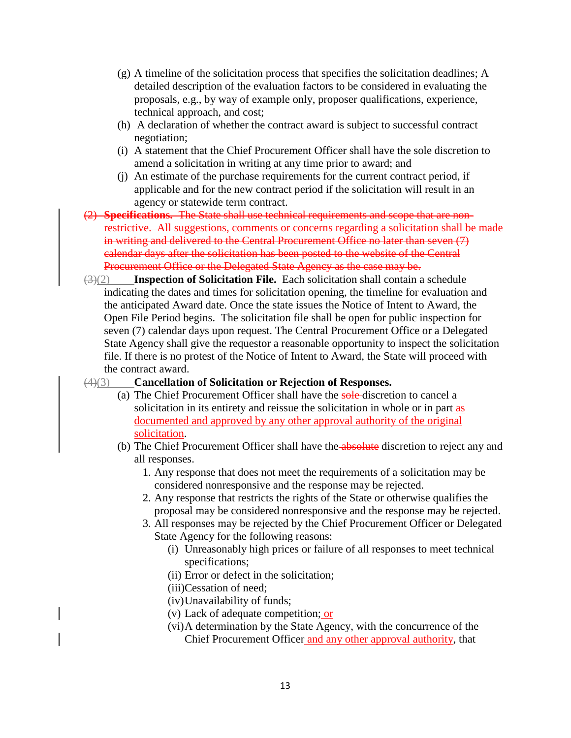- (g) A timeline of the solicitation process that specifies the solicitation deadlines; A detailed description of the evaluation factors to be considered in evaluating the proposals, e.g., by way of example only, proposer qualifications, experience, technical approach, and cost;
- (h) A declaration of whether the contract award is subject to successful contract negotiation;
- (i) A statement that the Chief Procurement Officer shall have the sole discretion to amend a solicitation in writing at any time prior to award; and
- (j) An estimate of the purchase requirements for the current contract period, if applicable and for the new contract period if the solicitation will result in an agency or statewide term contract.
- (2) **Specifications.** The State shall use technical requirements and scope that are nonrestrictive. All suggestions, comments or concerns regarding a solicitation shall be made in writing and delivered to the Central Procurement Office no later than seven (7) calendar days after the solicitation has been posted to the website of the Central Procurement Office or the Delegated State Agency as the case may be.
- (3)(2) **Inspection of Solicitation File.** Each solicitation shall contain a schedule indicating the dates and times for solicitation opening, the timeline for evaluation and the anticipated Award date. Once the state issues the Notice of Intent to Award, the Open File Period begins. The solicitation file shall be open for public inspection for seven (7) calendar days upon request. The Central Procurement Office or a Delegated State Agency shall give the requestor a reasonable opportunity to inspect the solicitation file. If there is no protest of the Notice of Intent to Award, the State will proceed with the contract award.

### (4)(3) **Cancellation of Solicitation or Rejection of Responses.**

- (a) The Chief Procurement Officer shall have the sole-discretion to cancel a solicitation in its entirety and reissue the solicitation in whole or in part as documented and approved by any other approval authority of the original solicitation.
- (b) The Chief Procurement Officer shall have the absolute discretion to reject any and all responses.
	- 1. Any response that does not meet the requirements of a solicitation may be considered nonresponsive and the response may be rejected.
	- 2. Any response that restricts the rights of the State or otherwise qualifies the proposal may be considered nonresponsive and the response may be rejected.
	- 3. All responses may be rejected by the Chief Procurement Officer or Delegated State Agency for the following reasons:
		- (i) Unreasonably high prices or failure of all responses to meet technical specifications;
		- (ii) Error or defect in the solicitation;
		- (iii)Cessation of need;
		- (iv)Unavailability of funds;
		- (v) Lack of adequate competition; or
		- (vi)A determination by the State Agency, with the concurrence of the Chief Procurement Officer and any other approval authority, that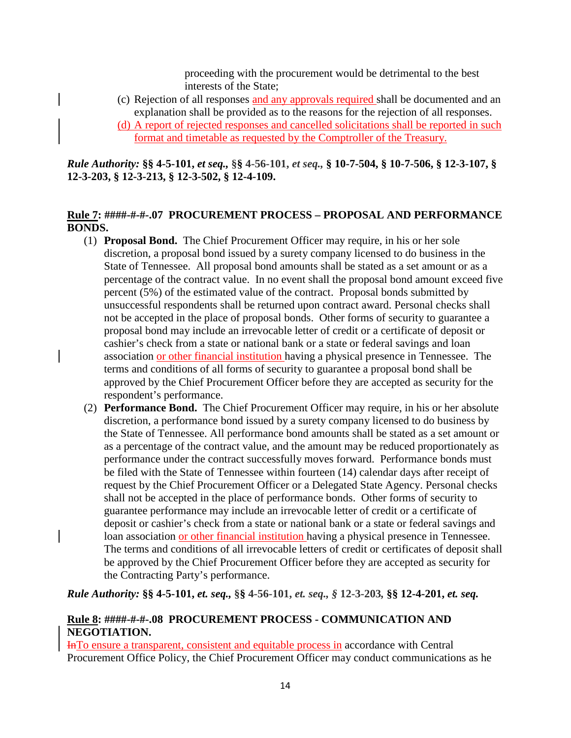proceeding with the procurement would be detrimental to the best interests of the State;

- (c) Rejection of all responses and any approvals required shall be documented and an explanation shall be provided as to the reasons for the rejection of all responses.
- (d) A report of rejected responses and cancelled solicitations shall be reported in such format and timetable as requested by the Comptroller of the Treasury.

*Rule Authority:* **§§ 4-5-101,** *et seq.,* **§§ 4-56-101,** *et seq.,* **§ 10-7-504, § 10-7-506, § 12-3-107, § 12-3-203, § 12-3-213, § 12-3-502, § 12-4-109.**

### **Rule 7: ####-#-#-.07 PROCUREMENT PROCESS – PROPOSAL AND PERFORMANCE BONDS.**

- (1) **Proposal Bond.** The Chief Procurement Officer may require, in his or her sole discretion, a proposal bond issued by a surety company licensed to do business in the State of Tennessee. All proposal bond amounts shall be stated as a set amount or as a percentage of the contract value. In no event shall the proposal bond amount exceed five percent (5%) of the estimated value of the contract. Proposal bonds submitted by unsuccessful respondents shall be returned upon contract award. Personal checks shall not be accepted in the place of proposal bonds. Other forms of security to guarantee a proposal bond may include an irrevocable letter of credit or a certificate of deposit or cashier's check from a state or national bank or a state or federal savings and loan association or other financial institution having a physical presence in Tennessee. The terms and conditions of all forms of security to guarantee a proposal bond shall be approved by the Chief Procurement Officer before they are accepted as security for the respondent's performance.
- (2) **Performance Bond.** The Chief Procurement Officer may require, in his or her absolute discretion, a performance bond issued by a surety company licensed to do business by the State of Tennessee. All performance bond amounts shall be stated as a set amount or as a percentage of the contract value, and the amount may be reduced proportionately as performance under the contract successfully moves forward. Performance bonds must be filed with the State of Tennessee within fourteen (14) calendar days after receipt of request by the Chief Procurement Officer or a Delegated State Agency. Personal checks shall not be accepted in the place of performance bonds. Other forms of security to guarantee performance may include an irrevocable letter of credit or a certificate of deposit or cashier's check from a state or national bank or a state or federal savings and loan association or other financial institution having a physical presence in Tennessee. The terms and conditions of all irrevocable letters of credit or certificates of deposit shall be approved by the Chief Procurement Officer before they are accepted as security for the Contracting Party's performance.

*Rule Authority:* **§§ 4-5-101,** *et. seq.,* **§§ 4-56-101,** *et. seq., §* **12-3-203***,* **§§ 12-4-201,** *et. seq.*

### **Rule 8: ####-#-#-.08 PROCUREMENT PROCESS - COMMUNICATION AND NEGOTIATION.**

InTo ensure a transparent, consistent and equitable process in accordance with Central Procurement Office Policy, the Chief Procurement Officer may conduct communications as he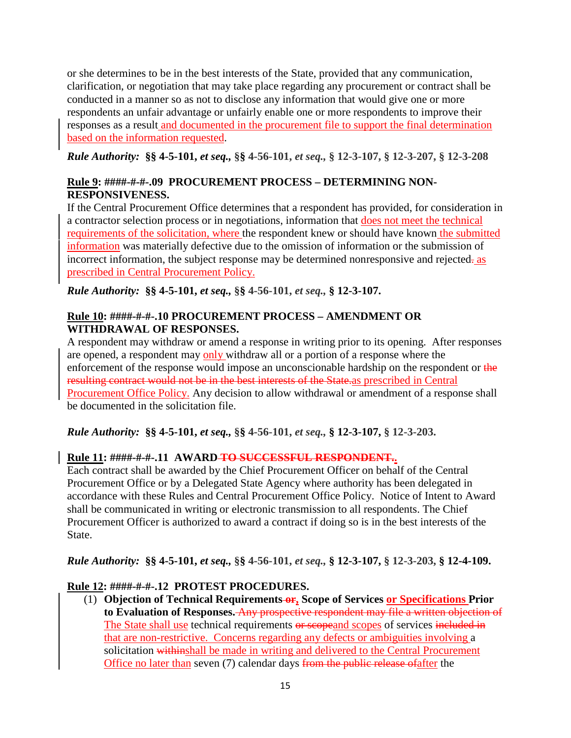or she determines to be in the best interests of the State, provided that any communication, clarification, or negotiation that may take place regarding any procurement or contract shall be conducted in a manner so as not to disclose any information that would give one or more respondents an unfair advantage or unfairly enable one or more respondents to improve their responses as a result and documented in the procurement file to support the final determination based on the information requested.

*Rule Authority:* **§§ 4-5-101,** *et seq.,* **§§ 4-56-101,** *et seq.,* **§ 12-3-107, § 12-3-207, § 12-3-208**

# **Rule 9: ####-#-#-.09 PROCUREMENT PROCESS – DETERMINING NON-RESPONSIVENESS.**

If the Central Procurement Office determines that a respondent has provided, for consideration in a contractor selection process or in negotiations, information that does not meet the technical requirements of the solicitation, where the respondent knew or should have known the submitted information was materially defective due to the omission of information or the submission of incorrect information, the subject response may be determined nonresponsive and rejected-as prescribed in Central Procurement Policy.

*Rule Authority:* **§§ 4-5-101,** *et seq.,* **§§ 4-56-101,** *et seq.,* **§ 12-3-107.**

# **Rule 10: ####-#-#-.10 PROCUREMENT PROCESS – AMENDMENT OR WITHDRAWAL OF RESPONSES.**

A respondent may withdraw or amend a response in writing prior to its opening. After responses are opened, a respondent may only withdraw all or a portion of a response where the enforcement of the response would impose an unconscionable hardship on the respondent or the resulting contract would not be in the best interests of the State.as prescribed in Central Procurement Office Policy. Any decision to allow withdrawal or amendment of a response shall be documented in the solicitation file.

*Rule Authority:* **§§ 4-5-101,** *et seq.,* **§§ 4-56-101,** *et seq.,* **§ 12-3-107, § 12-3-203.**

# **Rule 11: ####-#-#-.11 AWARD TO SUCCESSFUL RESPONDENT..**

Each contract shall be awarded by the Chief Procurement Officer on behalf of the Central Procurement Office or by a Delegated State Agency where authority has been delegated in accordance with these Rules and Central Procurement Office Policy. Notice of Intent to Award shall be communicated in writing or electronic transmission to all respondents. The Chief Procurement Officer is authorized to award a contract if doing so is in the best interests of the State.

*Rule Authority:* **§§ 4-5-101,** *et seq.,* **§§ 4-56-101,** *et seq.,* **§ 12-3-107, § 12-3-203, § 12-4-109.**

# **Rule 12: ####-#-#-.12 PROTEST PROCEDURES.**

(1) **Objection of Technical Requirements or, Scope of Services or Specifications Prior to Evaluation of Responses.** Any prospective respondent may file a written objection of The State shall use technical requirements or scopeand scopes of services included in that are non-restrictive. Concerns regarding any defects or ambiguities involving a solicitation withinshall be made in writing and delivered to the Central Procurement Office no later than seven (7) calendar days from the public release ofafter the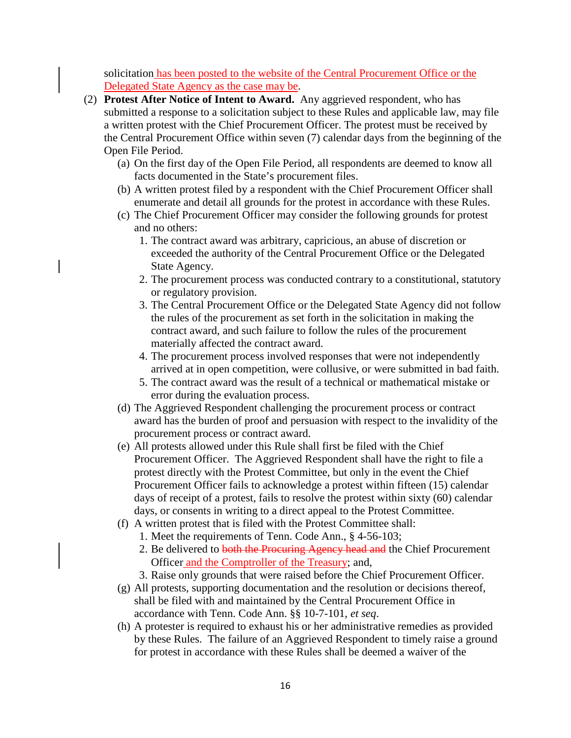solicitation has been posted to the website of the Central Procurement Office or the Delegated State Agency as the case may be.

- (2) **Protest After Notice of Intent to Award.** Any aggrieved respondent, who has submitted a response to a solicitation subject to these Rules and applicable law, may file a written protest with the Chief Procurement Officer. The protest must be received by the Central Procurement Office within seven (7) calendar days from the beginning of the Open File Period.
	- (a) On the first day of the Open File Period, all respondents are deemed to know all facts documented in the State's procurement files.
	- (b) A written protest filed by a respondent with the Chief Procurement Officer shall enumerate and detail all grounds for the protest in accordance with these Rules.
	- (c) The Chief Procurement Officer may consider the following grounds for protest and no others:
		- 1. The contract award was arbitrary, capricious, an abuse of discretion or exceeded the authority of the Central Procurement Office or the Delegated State Agency.
		- 2. The procurement process was conducted contrary to a constitutional, statutory or regulatory provision.
		- 3. The Central Procurement Office or the Delegated State Agency did not follow the rules of the procurement as set forth in the solicitation in making the contract award, and such failure to follow the rules of the procurement materially affected the contract award.
		- 4. The procurement process involved responses that were not independently arrived at in open competition, were collusive, or were submitted in bad faith.
		- 5. The contract award was the result of a technical or mathematical mistake or error during the evaluation process.
	- (d) The Aggrieved Respondent challenging the procurement process or contract award has the burden of proof and persuasion with respect to the invalidity of the procurement process or contract award.
	- (e) All protests allowed under this Rule shall first be filed with the Chief Procurement Officer. The Aggrieved Respondent shall have the right to file a protest directly with the Protest Committee, but only in the event the Chief Procurement Officer fails to acknowledge a protest within fifteen (15) calendar days of receipt of a protest, fails to resolve the protest within sixty (60) calendar days, or consents in writing to a direct appeal to the Protest Committee.
	- (f) A written protest that is filed with the Protest Committee shall:
		- 1. Meet the requirements of Tenn. Code Ann., § 4-56-103;
		- 2. Be delivered to both the Procuring Agency head and the Chief Procurement Officer and the Comptroller of the Treasury; and,
		- 3. Raise only grounds that were raised before the Chief Procurement Officer.
	- (g) All protests, supporting documentation and the resolution or decisions thereof, shall be filed with and maintained by the Central Procurement Office in accordance with Tenn. Code Ann. §§ 10-7-101, *et seq*.
	- (h) A protester is required to exhaust his or her administrative remedies as provided by these Rules. The failure of an Aggrieved Respondent to timely raise a ground for protest in accordance with these Rules shall be deemed a waiver of the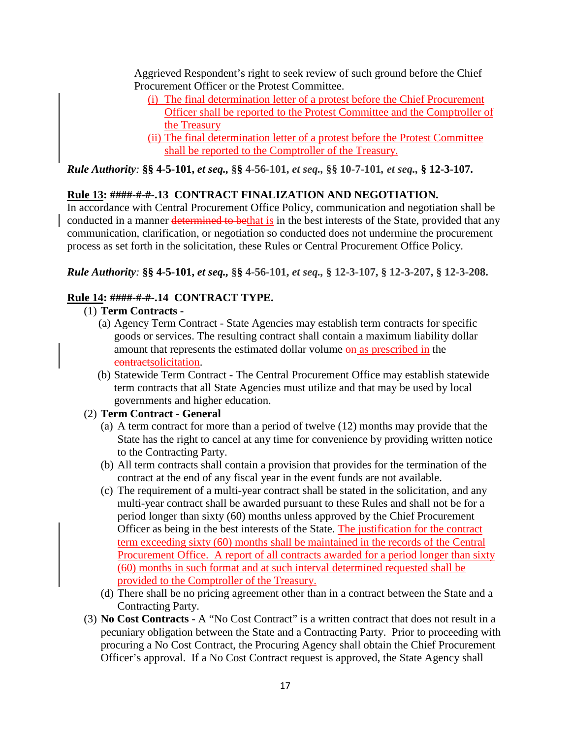Aggrieved Respondent's right to seek review of such ground before the Chief Procurement Officer or the Protest Committee.

- (i) The final determination letter of a protest before the Chief Procurement Officer shall be reported to the Protest Committee and the Comptroller of the Treasury
- (ii) The final determination letter of a protest before the Protest Committee shall be reported to the Comptroller of the Treasury.

*Rule Authority:* **§§ 4-5-101,** *et seq.,* **§§ 4-56-101,** *et seq.,* **§§ 10-7-101***, et seq.,* **§ 12-3-107.**

# **Rule 13: ####-#-#-.13 CONTRACT FINALIZATION AND NEGOTIATION.**

In accordance with Central Procurement Office Policy, communication and negotiation shall be conducted in a manner determined to bethat is in the best interests of the State, provided that any communication, clarification, or negotiation so conducted does not undermine the procurement process as set forth in the solicitation, these Rules or Central Procurement Office Policy.

# *Rule Authority:* **§§ 4-5-101,** *et seq.,* **§§ 4-56-101,** *et seq.,* **§ 12-3-107, § 12-3-207, § 12-3-208.**

# **Rule 14: ####-#-#-.14 CONTRACT TYPE.**

# (1) **Term Contracts -**

- (a) Agency Term Contract State Agencies may establish term contracts for specific goods or services. The resulting contract shall contain a maximum liability dollar amount that represents the estimated dollar volume on as prescribed in the contractsolicitation.
- (b) Statewide Term Contract The Central Procurement Office may establish statewide term contracts that all State Agencies must utilize and that may be used by local governments and higher education.

# (2) **Term Contract - General**

- (a) A term contract for more than a period of twelve (12) months may provide that the State has the right to cancel at any time for convenience by providing written notice to the Contracting Party.
- (b) All term contracts shall contain a provision that provides for the termination of the contract at the end of any fiscal year in the event funds are not available.
- (c) The requirement of a multi-year contract shall be stated in the solicitation, and any multi-year contract shall be awarded pursuant to these Rules and shall not be for a period longer than sixty (60) months unless approved by the Chief Procurement Officer as being in the best interests of the State. The justification for the contract term exceeding sixty (60) months shall be maintained in the records of the Central Procurement Office. A report of all contracts awarded for a period longer than sixty (60) months in such format and at such interval determined requested shall be provided to the Comptroller of the Treasury.
- (d) There shall be no pricing agreement other than in a contract between the State and a Contracting Party.
- (3) **No Cost Contracts** A "No Cost Contract" is a written contract that does not result in a pecuniary obligation between the State and a Contracting Party. Prior to proceeding with procuring a No Cost Contract, the Procuring Agency shall obtain the Chief Procurement Officer's approval. If a No Cost Contract request is approved, the State Agency shall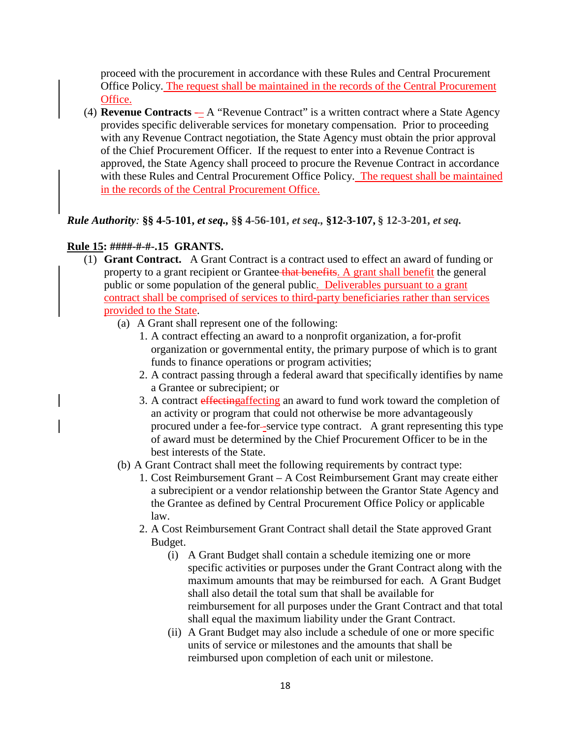proceed with the procurement in accordance with these Rules and Central Procurement Office Policy. The request shall be maintained in the records of the Central Procurement Office.

(4) **Revenue Contracts** -– A "Revenue Contract" is a written contract where a State Agency provides specific deliverable services for monetary compensation. Prior to proceeding with any Revenue Contract negotiation, the State Agency must obtain the prior approval of the Chief Procurement Officer. If the request to enter into a Revenue Contract is approved, the State Agency shall proceed to procure the Revenue Contract in accordance with these Rules and Central Procurement Office Policy. The request shall be maintained in the records of the Central Procurement Office.

### *Rule Authority:* **§§ 4-5-101,** *et seq.,* **§§ 4-56-101,** *et seq.,* **§12-3-107, § 12-3-201,** *et seq.*

### **Rule 15: ####-#-#-.15 GRANTS.**

- (1) **Grant Contract.** A Grant Contract is a contract used to effect an award of funding or property to a grant recipient or Grantee that benefits. A grant shall benefit the general public or some population of the general public. Deliverables pursuant to a grant contract shall be comprised of services to third-party beneficiaries rather than services provided to the State.
	- (a) A Grant shall represent one of the following:
		- 1. A contract effecting an award to a nonprofit organization, a for-profit organization or governmental entity, the primary purpose of which is to grant funds to finance operations or program activities;
		- 2. A contract passing through a federal award that specifically identifies by name a Grantee or subrecipient; or
		- 3. A contract effectingaffecting an award to fund work toward the completion of an activity or program that could not otherwise be more advantageously procured under a fee-for -service type contract. A grant representing this type of award must be determined by the Chief Procurement Officer to be in the best interests of the State.
	- (b) A Grant Contract shall meet the following requirements by contract type:
		- 1. Cost Reimbursement Grant A Cost Reimbursement Grant may create either a subrecipient or a vendor relationship between the Grantor State Agency and the Grantee as defined by Central Procurement Office Policy or applicable law.
		- 2. A Cost Reimbursement Grant Contract shall detail the State approved Grant Budget.
			- (i) A Grant Budget shall contain a schedule itemizing one or more specific activities or purposes under the Grant Contract along with the maximum amounts that may be reimbursed for each. A Grant Budget shall also detail the total sum that shall be available for reimbursement for all purposes under the Grant Contract and that total shall equal the maximum liability under the Grant Contract.
			- (ii) A Grant Budget may also include a schedule of one or more specific units of service or milestones and the amounts that shall be reimbursed upon completion of each unit or milestone.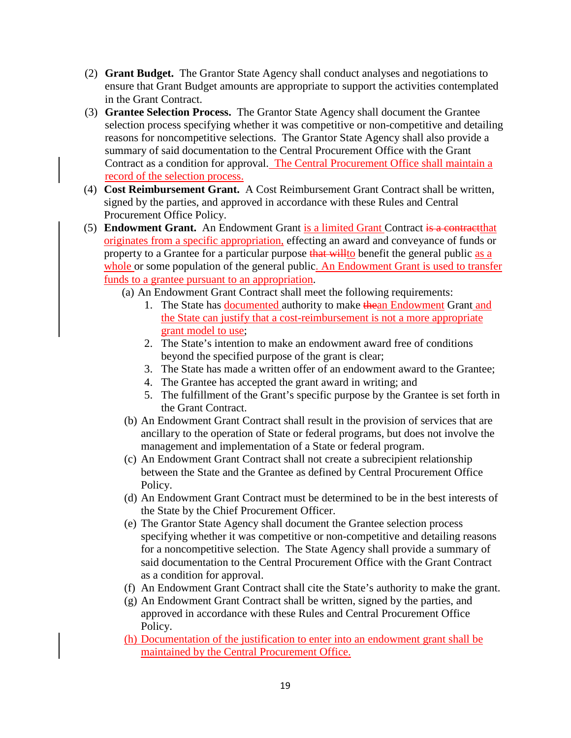- (2) **Grant Budget.** The Grantor State Agency shall conduct analyses and negotiations to ensure that Grant Budget amounts are appropriate to support the activities contemplated in the Grant Contract.
- (3) **Grantee Selection Process.** The Grantor State Agency shall document the Grantee selection process specifying whether it was competitive or non-competitive and detailing reasons for noncompetitive selections. The Grantor State Agency shall also provide a summary of said documentation to the Central Procurement Office with the Grant Contract as a condition for approval. The Central Procurement Office shall maintain a record of the selection process.
- (4) **Cost Reimbursement Grant.** A Cost Reimbursement Grant Contract shall be written, signed by the parties, and approved in accordance with these Rules and Central Procurement Office Policy.
- (5) **Endowment Grant.** An Endowment Grant is a limited Grant Contract is a contract that originates from a specific appropriation, effecting an award and conveyance of funds or property to a Grantee for a particular purpose that will to benefit the general public as a whole or some population of the general public. An Endowment Grant is used to transfer funds to a grantee pursuant to an appropriation.
	- (a) An Endowment Grant Contract shall meet the following requirements:
		- 1. The State has documented authority to make thean Endowment Grant and the State can justify that a cost-reimbursement is not a more appropriate grant model to use;
		- 2. The State's intention to make an endowment award free of conditions beyond the specified purpose of the grant is clear;
		- 3. The State has made a written offer of an endowment award to the Grantee;
		- 4. The Grantee has accepted the grant award in writing; and
		- 5. The fulfillment of the Grant's specific purpose by the Grantee is set forth in the Grant Contract.
	- (b) An Endowment Grant Contract shall result in the provision of services that are ancillary to the operation of State or federal programs, but does not involve the management and implementation of a State or federal program.
	- (c) An Endowment Grant Contract shall not create a subrecipient relationship between the State and the Grantee as defined by Central Procurement Office Policy.
	- (d) An Endowment Grant Contract must be determined to be in the best interests of the State by the Chief Procurement Officer.
	- (e) The Grantor State Agency shall document the Grantee selection process specifying whether it was competitive or non-competitive and detailing reasons for a noncompetitive selection. The State Agency shall provide a summary of said documentation to the Central Procurement Office with the Grant Contract as a condition for approval.
	- (f) An Endowment Grant Contract shall cite the State's authority to make the grant.
	- (g) An Endowment Grant Contract shall be written, signed by the parties, and approved in accordance with these Rules and Central Procurement Office Policy.
	- (h) Documentation of the justification to enter into an endowment grant shall be maintained by the Central Procurement Office.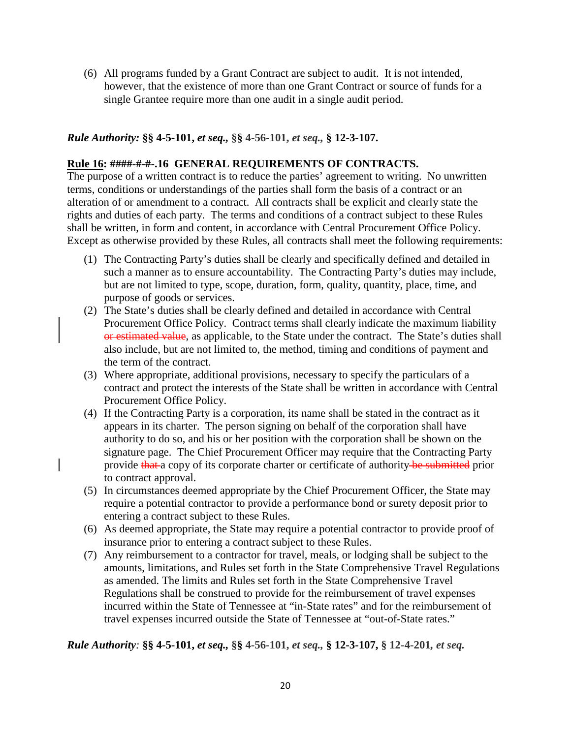(6) All programs funded by a Grant Contract are subject to audit. It is not intended, however, that the existence of more than one Grant Contract or source of funds for a single Grantee require more than one audit in a single audit period.

### *Rule Authority:* **§§ 4-5-101,** *et seq.,* **§§ 4-56-101,** *et seq.,* **§ 12-3-107.**

### **Rule 16: ####-#-#-.16 GENERAL REQUIREMENTS OF CONTRACTS.**

The purpose of a written contract is to reduce the parties' agreement to writing. No unwritten terms, conditions or understandings of the parties shall form the basis of a contract or an alteration of or amendment to a contract. All contracts shall be explicit and clearly state the rights and duties of each party. The terms and conditions of a contract subject to these Rules shall be written, in form and content, in accordance with Central Procurement Office Policy. Except as otherwise provided by these Rules, all contracts shall meet the following requirements:

- (1) The Contracting Party's duties shall be clearly and specifically defined and detailed in such a manner as to ensure accountability. The Contracting Party's duties may include, but are not limited to type, scope, duration, form, quality, quantity, place, time, and purpose of goods or services.
- (2) The State's duties shall be clearly defined and detailed in accordance with Central Procurement Office Policy. Contract terms shall clearly indicate the maximum liability or estimated value, as applicable, to the State under the contract. The State's duties shall also include, but are not limited to, the method, timing and conditions of payment and the term of the contract.
- (3) Where appropriate, additional provisions, necessary to specify the particulars of a contract and protect the interests of the State shall be written in accordance with Central Procurement Office Policy.
- (4) If the Contracting Party is a corporation, its name shall be stated in the contract as it appears in its charter. The person signing on behalf of the corporation shall have authority to do so, and his or her position with the corporation shall be shown on the signature page. The Chief Procurement Officer may require that the Contracting Party provide that a copy of its corporate charter or certificate of authority be submitted prior to contract approval.
- (5) In circumstances deemed appropriate by the Chief Procurement Officer, the State may require a potential contractor to provide a performance bond or surety deposit prior to entering a contract subject to these Rules.
- (6) As deemed appropriate, the State may require a potential contractor to provide proof of insurance prior to entering a contract subject to these Rules.
- (7) Any reimbursement to a contractor for travel, meals, or lodging shall be subject to the amounts, limitations, and Rules set forth in the State Comprehensive Travel Regulations as amended. The limits and Rules set forth in the State Comprehensive Travel Regulations shall be construed to provide for the reimbursement of travel expenses incurred within the State of Tennessee at "in-State rates" and for the reimbursement of travel expenses incurred outside the State of Tennessee at "out-of-State rates."

*Rule Authority:* **§§ 4-5-101,** *et seq.,* **§§ 4-56-101,** *et seq.,* **§ 12-3-107, § 12-4-201***, et seq.*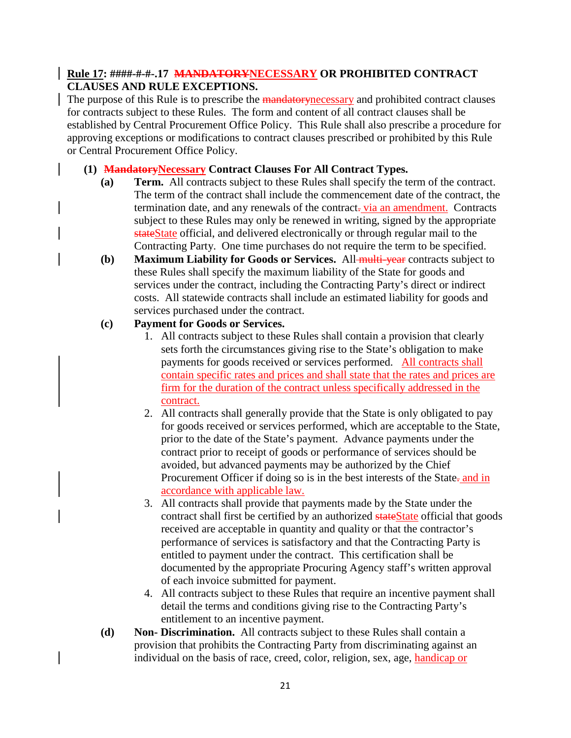# **Rule 17: ####-#-#-.17 MANDATORYNECESSARY OR PROHIBITED CONTRACT CLAUSES AND RULE EXCEPTIONS.**

The purpose of this Rule is to prescribe the mandatorynecessary and prohibited contract clauses for contracts subject to these Rules. The form and content of all contract clauses shall be established by Central Procurement Office Policy. This Rule shall also prescribe a procedure for approving exceptions or modifications to contract clauses prescribed or prohibited by this Rule or Central Procurement Office Policy.

### **(1) MandatoryNecessary Contract Clauses For All Contract Types.**

- **(a) Term.** All contracts subject to these Rules shall specify the term of the contract. The term of the contract shall include the commencement date of the contract, the termination date, and any renewals of the contract-via an amendment. Contracts subject to these Rules may only be renewed in writing, signed by the appropriate stateState official, and delivered electronically or through regular mail to the Contracting Party. One time purchases do not require the term to be specified.
- **(b) Maximum Liability for Goods or Services.** All *multi-year* contracts subject to these Rules shall specify the maximum liability of the State for goods and services under the contract, including the Contracting Party's direct or indirect costs. All statewide contracts shall include an estimated liability for goods and services purchased under the contract.

### **(c) Payment for Goods or Services.**

- 1. All contracts subject to these Rules shall contain a provision that clearly sets forth the circumstances giving rise to the State's obligation to make payments for goods received or services performed. All contracts shall contain specific rates and prices and shall state that the rates and prices are firm for the duration of the contract unless specifically addressed in the contract.
- 2. All contracts shall generally provide that the State is only obligated to pay for goods received or services performed, which are acceptable to the State, prior to the date of the State's payment. Advance payments under the contract prior to receipt of goods or performance of services should be avoided, but advanced payments may be authorized by the Chief Procurement Officer if doing so is in the best interests of the State- and in accordance with applicable law.
- 3. All contracts shall provide that payments made by the State under the contract shall first be certified by an authorized **stateState** official that goods received are acceptable in quantity and quality or that the contractor's performance of services is satisfactory and that the Contracting Party is entitled to payment under the contract. This certification shall be documented by the appropriate Procuring Agency staff's written approval of each invoice submitted for payment.
- 4. All contracts subject to these Rules that require an incentive payment shall detail the terms and conditions giving rise to the Contracting Party's entitlement to an incentive payment.
- **(d) Non- Discrimination.** All contracts subject to these Rules shall contain a provision that prohibits the Contracting Party from discriminating against an individual on the basis of race, creed, color, religion, sex, age, handicap or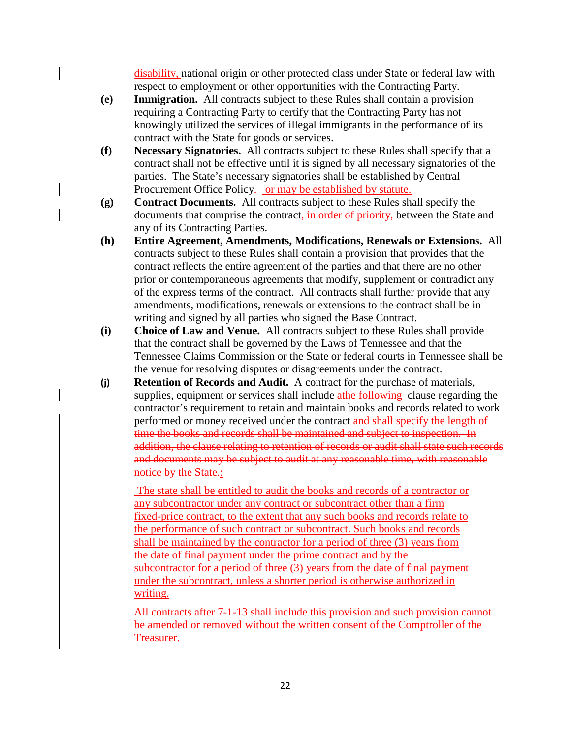disability, national origin or other protected class under State or federal law with respect to employment or other opportunities with the Contracting Party.

- **(e) Immigration.** All contracts subject to these Rules shall contain a provision requiring a Contracting Party to certify that the Contracting Party has not knowingly utilized the services of illegal immigrants in the performance of its contract with the State for goods or services.
- **(f) Necessary Signatories.** All contracts subject to these Rules shall specify that a contract shall not be effective until it is signed by all necessary signatories of the parties. The State's necessary signatories shall be established by Central Procurement Office Policy— or may be established by statute.
- **(g) Contract Documents.** All contracts subject to these Rules shall specify the documents that comprise the contract, in order of priority, between the State and any of its Contracting Parties.
- **(h) Entire Agreement, Amendments, Modifications, Renewals or Extensions.** All contracts subject to these Rules shall contain a provision that provides that the contract reflects the entire agreement of the parties and that there are no other prior or contemporaneous agreements that modify, supplement or contradict any of the express terms of the contract. All contracts shall further provide that any amendments, modifications, renewals or extensions to the contract shall be in writing and signed by all parties who signed the Base Contract.
- **(i) Choice of Law and Venue.** All contracts subject to these Rules shall provide that the contract shall be governed by the Laws of Tennessee and that the Tennessee Claims Commission or the State or federal courts in Tennessee shall be the venue for resolving disputes or disagreements under the contract.
- **(j) Retention of Records and Audit.** A contract for the purchase of materials, supplies, equipment or services shall include athe following clause regarding the contractor's requirement to retain and maintain books and records related to work performed or money received under the contract and shall specify the length of time the books and records shall be maintained and subject to inspection. In addition, the clause relating to retention of records or audit shall state such records and documents may be subject to audit at any reasonable time, with reasonable notice by the State.:

The state shall be entitled to audit the books and records of a contractor or any subcontractor under any contract or subcontract other than a firm fixed-price contract, to the extent that any such books and records relate to the performance of such contract or subcontract. Such books and records shall be maintained by the contractor for a period of three (3) years from the date of final payment under the prime contract and by the subcontractor for a period of three (3) years from the date of final payment under the subcontract, unless a shorter period is otherwise authorized in writing.

All contracts after 7-1-13 shall include this provision and such provision cannot be amended or removed without the written consent of the Comptroller of the Treasurer.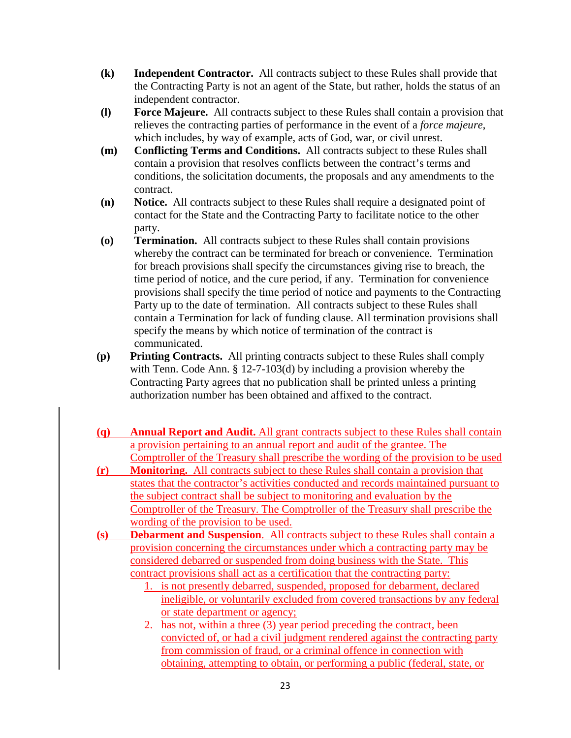- **(k) Independent Contractor.** All contracts subject to these Rules shall provide that the Contracting Party is not an agent of the State, but rather, holds the status of an independent contractor.
- **(l) Force Majeure.** All contracts subject to these Rules shall contain a provision that relieves the contracting parties of performance in the event of a *force majeure*, which includes, by way of example, acts of God, war, or civil unrest.
- **(m) Conflicting Terms and Conditions.** All contracts subject to these Rules shall contain a provision that resolves conflicts between the contract's terms and conditions, the solicitation documents, the proposals and any amendments to the contract.
- **(n) Notice.** All contracts subject to these Rules shall require a designated point of contact for the State and the Contracting Party to facilitate notice to the other party.
- **(o) Termination.** All contracts subject to these Rules shall contain provisions whereby the contract can be terminated for breach or convenience. Termination for breach provisions shall specify the circumstances giving rise to breach, the time period of notice, and the cure period, if any. Termination for convenience provisions shall specify the time period of notice and payments to the Contracting Party up to the date of termination. All contracts subject to these Rules shall contain a Termination for lack of funding clause. All termination provisions shall specify the means by which notice of termination of the contract is communicated.
- **(p) Printing Contracts.** All printing contracts subject to these Rules shall comply with Tenn. Code Ann. § 12-7-103(d) by including a provision whereby the Contracting Party agrees that no publication shall be printed unless a printing authorization number has been obtained and affixed to the contract.
- **(q) Annual Report and Audit.** All grant contracts subject to these Rules shall contain a provision pertaining to an annual report and audit of the grantee. The Comptroller of the Treasury shall prescribe the wording of the provision to be used
- **(r) Monitoring.** All contracts subject to these Rules shall contain a provision that states that the contractor's activities conducted and records maintained pursuant to the subject contract shall be subject to monitoring and evaluation by the Comptroller of the Treasury. The Comptroller of the Treasury shall prescribe the wording of the provision to be used.
- **(s) Debarment and Suspension**. All contracts subject to these Rules shall contain a provision concerning the circumstances under which a contracting party may be considered debarred or suspended from doing business with the State. This contract provisions shall act as a certification that the contracting party:
	- 1. is not presently debarred, suspended, proposed for debarment, declared ineligible, or voluntarily excluded from covered transactions by any federal or state department or agency;
	- 2. has not, within a three (3) year period preceding the contract, been convicted of, or had a civil judgment rendered against the contracting party from commission of fraud, or a criminal offence in connection with obtaining, attempting to obtain, or performing a public (federal, state, or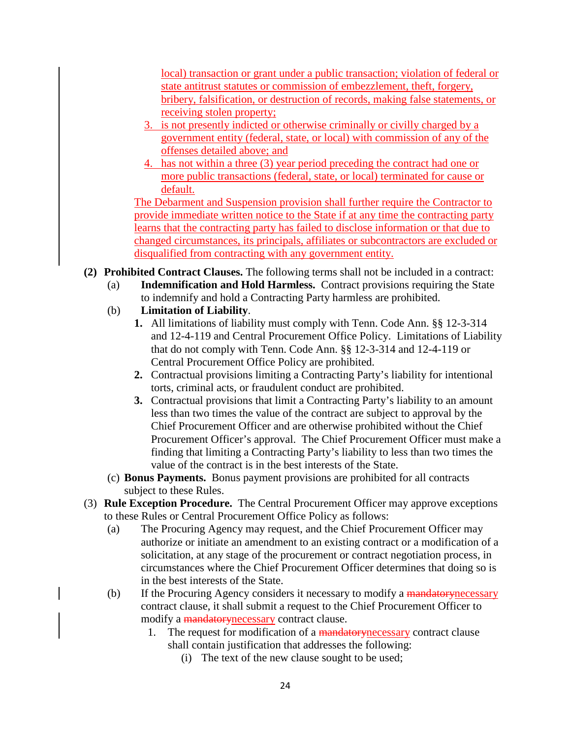local) transaction or grant under a public transaction; violation of federal or state antitrust statutes or commission of embezzlement, theft, forgery, bribery, falsification, or destruction of records, making false statements, or receiving stolen property;

- 3. is not presently indicted or otherwise criminally or civilly charged by a government entity (federal, state, or local) with commission of any of the offenses detailed above; and
- 4. has not within a three (3) year period preceding the contract had one or more public transactions (federal, state, or local) terminated for cause or default.

The Debarment and Suspension provision shall further require the Contractor to provide immediate written notice to the State if at any time the contracting party learns that the contracting party has failed to disclose information or that due to changed circumstances, its principals, affiliates or subcontractors are excluded or disqualified from contracting with any government entity.

- **(2) Prohibited Contract Clauses.** The following terms shall not be included in a contract:
	- (a) **Indemnification and Hold Harmless.** Contract provisions requiring the State to indemnify and hold a Contracting Party harmless are prohibited.
	- (b) **Limitation of Liability**.
		- **1.** All limitations of liability must comply with Tenn. Code Ann. §§ 12-3-314 and 12-4-119 and Central Procurement Office Policy. Limitations of Liability that do not comply with Tenn. Code Ann. §§ 12-3-314 and 12-4-119 or Central Procurement Office Policy are prohibited.
		- **2.** Contractual provisions limiting a Contracting Party's liability for intentional torts, criminal acts, or fraudulent conduct are prohibited.
		- **3.** Contractual provisions that limit a Contracting Party's liability to an amount less than two times the value of the contract are subject to approval by the Chief Procurement Officer and are otherwise prohibited without the Chief Procurement Officer's approval. The Chief Procurement Officer must make a finding that limiting a Contracting Party's liability to less than two times the value of the contract is in the best interests of the State.
	- (c) **Bonus Payments.** Bonus payment provisions are prohibited for all contracts subject to these Rules.
- (3) **Rule Exception Procedure.** The Central Procurement Officer may approve exceptions to these Rules or Central Procurement Office Policy as follows:
	- (a) The Procuring Agency may request, and the Chief Procurement Officer may authorize or initiate an amendment to an existing contract or a modification of a solicitation, at any stage of the procurement or contract negotiation process, in circumstances where the Chief Procurement Officer determines that doing so is in the best interests of the State.
	- (b) If the Procuring Agency considers it necessary to modify a mandatorynecessary contract clause, it shall submit a request to the Chief Procurement Officer to modify a mandatorynecessary contract clause.
		- 1. The request for modification of a mandatorynecessary contract clause shall contain justification that addresses the following:
			- (i) The text of the new clause sought to be used;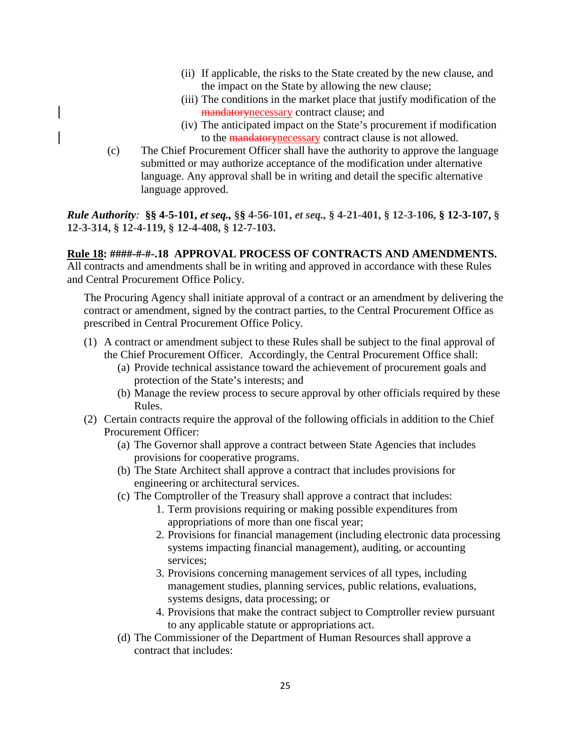- (ii) If applicable, the risks to the State created by the new clause, and the impact on the State by allowing the new clause;
- (iii) The conditions in the market place that justify modification of the mandatorynecessary contract clause; and
- (iv) The anticipated impact on the State's procurement if modification to the **mandatorynecessary** contract clause is not allowed.
- (c) The Chief Procurement Officer shall have the authority to approve the language submitted or may authorize acceptance of the modification under alternative language. Any approval shall be in writing and detail the specific alternative language approved.

*Rule Authority:* **§§ 4-5-101,** *et seq.,* **§§ 4-56-101,** *et seq.,* **§ 4-21-401, § 12-3-106, § 12-3-107, § 12-3-314, § 12-4-119, § 12-4-408, § 12-7-103.**

# **Rule 18: ####-#-#-.18 APPROVAL PROCESS OF CONTRACTS AND AMENDMENTS.**

All contracts and amendments shall be in writing and approved in accordance with these Rules and Central Procurement Office Policy.

The Procuring Agency shall initiate approval of a contract or an amendment by delivering the contract or amendment, signed by the contract parties, to the Central Procurement Office as prescribed in Central Procurement Office Policy.

- (1) A contract or amendment subject to these Rules shall be subject to the final approval of the Chief Procurement Officer. Accordingly, the Central Procurement Office shall:
	- (a) Provide technical assistance toward the achievement of procurement goals and protection of the State's interests; and
	- (b) Manage the review process to secure approval by other officials required by these Rules.
- (2) Certain contracts require the approval of the following officials in addition to the Chief Procurement Officer:
	- (a) The Governor shall approve a contract between State Agencies that includes provisions for cooperative programs.
	- (b) The State Architect shall approve a contract that includes provisions for engineering or architectural services.
	- (c) The Comptroller of the Treasury shall approve a contract that includes:
		- 1. Term provisions requiring or making possible expenditures from appropriations of more than one fiscal year;
		- 2. Provisions for financial management (including electronic data processing systems impacting financial management), auditing, or accounting services;
		- 3. Provisions concerning management services of all types, including management studies, planning services, public relations, evaluations, systems designs, data processing; or
		- 4. Provisions that make the contract subject to Comptroller review pursuant to any applicable statute or appropriations act.
	- (d) The Commissioner of the Department of Human Resources shall approve a contract that includes: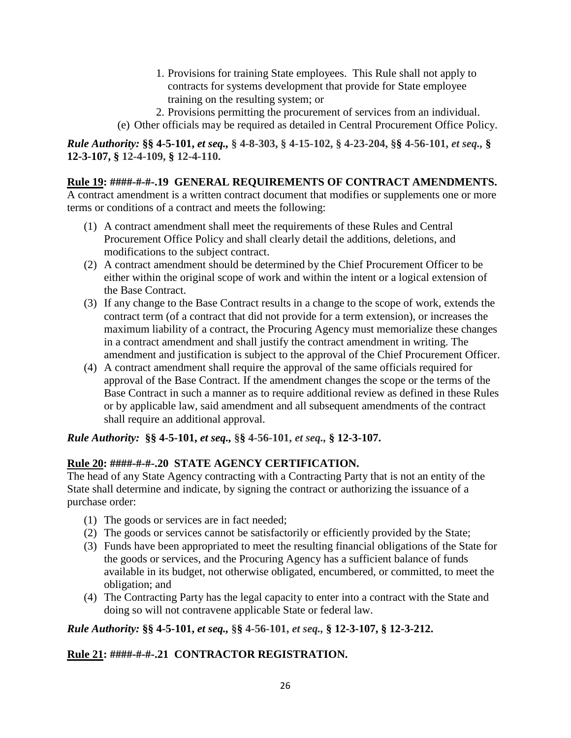- 1. Provisions for training State employees. This Rule shall not apply to contracts for systems development that provide for State employee training on the resulting system; or
- 2. Provisions permitting the procurement of services from an individual.
- (e) Other officials may be required as detailed in Central Procurement Office Policy.

*Rule Authority:* **§§ 4-5-101,** *et seq.,* **§ 4-8-303, § 4-15-102, § 4-23-204, §§ 4-56-101,** *et seq.,* **§ 12-3-107, § 12-4-109, § 12-4-110.**

# **Rule 19: ####-#-#-.19 GENERAL REQUIREMENTS OF CONTRACT AMENDMENTS.**

A contract amendment is a written contract document that modifies or supplements one or more terms or conditions of a contract and meets the following:

- (1) A contract amendment shall meet the requirements of these Rules and Central Procurement Office Policy and shall clearly detail the additions, deletions, and modifications to the subject contract.
- (2) A contract amendment should be determined by the Chief Procurement Officer to be either within the original scope of work and within the intent or a logical extension of the Base Contract.
- (3) If any change to the Base Contract results in a change to the scope of work, extends the contract term (of a contract that did not provide for a term extension), or increases the maximum liability of a contract, the Procuring Agency must memorialize these changes in a contract amendment and shall justify the contract amendment in writing. The amendment and justification is subject to the approval of the Chief Procurement Officer.
- (4) A contract amendment shall require the approval of the same officials required for approval of the Base Contract. If the amendment changes the scope or the terms of the Base Contract in such a manner as to require additional review as defined in these Rules or by applicable law, said amendment and all subsequent amendments of the contract shall require an additional approval.

*Rule Authority:* **§§ 4-5-101,** *et seq.,* **§§ 4-56-101,** *et seq.,* **§ 12-3-107.**

# **Rule 20: ####-#-#-.20 STATE AGENCY CERTIFICATION.**

The head of any State Agency contracting with a Contracting Party that is not an entity of the State shall determine and indicate, by signing the contract or authorizing the issuance of a purchase order:

- (1) The goods or services are in fact needed;
- (2) The goods or services cannot be satisfactorily or efficiently provided by the State;
- (3) Funds have been appropriated to meet the resulting financial obligations of the State for the goods or services, and the Procuring Agency has a sufficient balance of funds available in its budget, not otherwise obligated, encumbered, or committed, to meet the obligation; and
- (4) The Contracting Party has the legal capacity to enter into a contract with the State and doing so will not contravene applicable State or federal law.

*Rule Authority:* **§§ 4-5-101,** *et seq.,* **§§ 4-56-101,** *et seq.,* **§ 12-3-107, § 12-3-212.**

# **Rule 21: ####-#-#-.21 CONTRACTOR REGISTRATION.**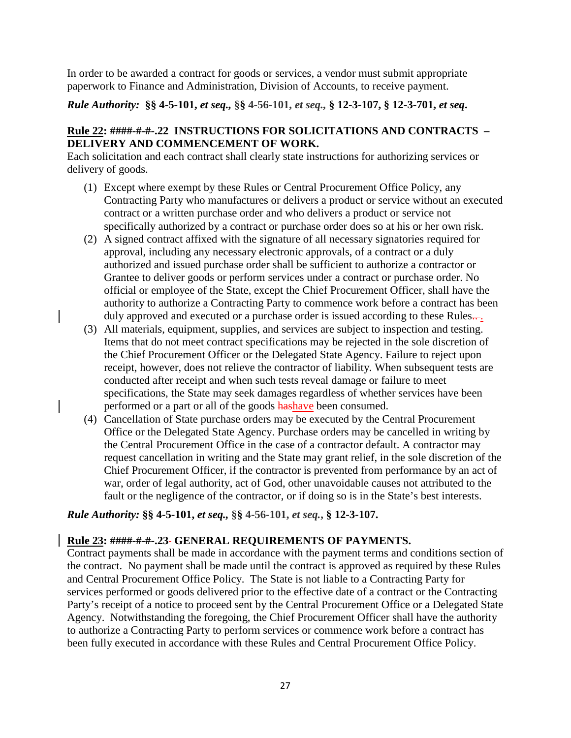In order to be awarded a contract for goods or services, a vendor must submit appropriate paperwork to Finance and Administration, Division of Accounts, to receive payment.

### *Rule Authority:* **§§ 4-5-101,** *et seq.,* **§§ 4-56-101,** *et seq.,* **§ 12-3-107, § 12-3-701,** *et seq***.**

### **Rule 22: ####-#-#-.22 INSTRUCTIONS FOR SOLICITATIONS AND CONTRACTS – DELIVERY AND COMMENCEMENT OF WORK.**

Each solicitation and each contract shall clearly state instructions for authorizing services or delivery of goods.

- (1) Except where exempt by these Rules or Central Procurement Office Policy, any Contracting Party who manufactures or delivers a product or service without an executed contract or a written purchase order and who delivers a product or service not specifically authorized by a contract or purchase order does so at his or her own risk.
- (2) A signed contract affixed with the signature of all necessary signatories required for approval, including any necessary electronic approvals, of a contract or a duly authorized and issued purchase order shall be sufficient to authorize a contractor or Grantee to deliver goods or perform services under a contract or purchase order. No official or employee of the State, except the Chief Procurement Officer, shall have the authority to authorize a Contracting Party to commence work before a contract has been duly approved and executed or a purchase order is issued according to these Rules...
- (3) All materials, equipment, supplies, and services are subject to inspection and testing. Items that do not meet contract specifications may be rejected in the sole discretion of the Chief Procurement Officer or the Delegated State Agency. Failure to reject upon receipt, however, does not relieve the contractor of liability. When subsequent tests are conducted after receipt and when such tests reveal damage or failure to meet specifications, the State may seek damages regardless of whether services have been performed or a part or all of the goods hashave been consumed.
- (4) Cancellation of State purchase orders may be executed by the Central Procurement Office or the Delegated State Agency. Purchase orders may be cancelled in writing by the Central Procurement Office in the case of a contractor default. A contractor may request cancellation in writing and the State may grant relief, in the sole discretion of the Chief Procurement Officer, if the contractor is prevented from performance by an act of war, order of legal authority, act of God, other unavoidable causes not attributed to the fault or the negligence of the contractor, or if doing so is in the State's best interests.

# *Rule Authority:* **§§ 4-5-101,** *et seq.,* **§§ 4-56-101,** *et seq.***, § 12-3-107.**

# **Rule 23: ####-#-#-.23 GENERAL REQUIREMENTS OF PAYMENTS.**

Contract payments shall be made in accordance with the payment terms and conditions section of the contract. No payment shall be made until the contract is approved as required by these Rules and Central Procurement Office Policy. The State is not liable to a Contracting Party for services performed or goods delivered prior to the effective date of a contract or the Contracting Party's receipt of a notice to proceed sent by the Central Procurement Office or a Delegated State Agency. Notwithstanding the foregoing, the Chief Procurement Officer shall have the authority to authorize a Contracting Party to perform services or commence work before a contract has been fully executed in accordance with these Rules and Central Procurement Office Policy.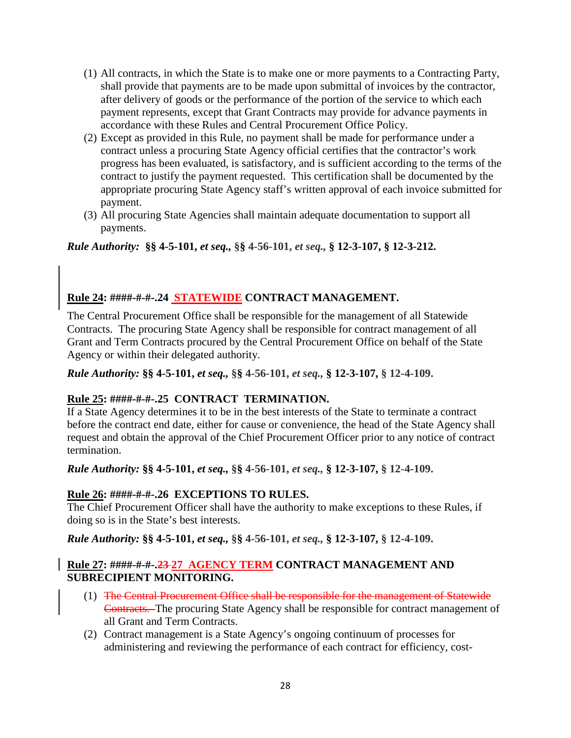- (1) All contracts, in which the State is to make one or more payments to a Contracting Party, shall provide that payments are to be made upon submittal of invoices by the contractor, after delivery of goods or the performance of the portion of the service to which each payment represents, except that Grant Contracts may provide for advance payments in accordance with these Rules and Central Procurement Office Policy.
- (2) Except as provided in this Rule, no payment shall be made for performance under a contract unless a procuring State Agency official certifies that the contractor's work progress has been evaluated, is satisfactory, and is sufficient according to the terms of the contract to justify the payment requested. This certification shall be documented by the appropriate procuring State Agency staff's written approval of each invoice submitted for payment.
- (3) All procuring State Agencies shall maintain adequate documentation to support all payments.

# *Rule Authority:* **§§ 4-5-101,** *et seq.,* **§§ 4-56-101,** *et seq.,* **§ 12-3-107, § 12-3-212.**

# **Rule 24: ####-#-#-.24 STATEWIDE CONTRACT MANAGEMENT.**

The Central Procurement Office shall be responsible for the management of all Statewide Contracts. The procuring State Agency shall be responsible for contract management of all Grant and Term Contracts procured by the Central Procurement Office on behalf of the State Agency or within their delegated authority.

*Rule Authority:* **§§ 4-5-101,** *et seq.,* **§§ 4-56-101,** *et seq.,* **§ 12-3-107, § 12-4-109.**

# **Rule 25: ####-#-#-.25 CONTRACT TERMINATION.**

If a State Agency determines it to be in the best interests of the State to terminate a contract before the contract end date, either for cause or convenience, the head of the State Agency shall request and obtain the approval of the Chief Procurement Officer prior to any notice of contract termination.

*Rule Authority:* **§§ 4-5-101,** *et seq.,* **§§ 4-56-101,** *et seq.,* **§ 12-3-107, § 12-4-109.**

# **Rule 26: ####-#-#-.26 EXCEPTIONS TO RULES.**

The Chief Procurement Officer shall have the authority to make exceptions to these Rules, if doing so is in the State's best interests.

*Rule Authority:* **§§ 4-5-101,** *et seq.,* **§§ 4-56-101,** *et seq.,* **§ 12-3-107, § 12-4-109.**

# **Rule 27: ####-#-#-.23 27 AGENCY TERM CONTRACT MANAGEMENT AND SUBRECIPIENT MONITORING.**

- (1) The Central Procurement Office shall be responsible for the management of Statewide Contracts. The procuring State Agency shall be responsible for contract management of all Grant and Term Contracts.
- (2) Contract management is a State Agency's ongoing continuum of processes for administering and reviewing the performance of each contract for efficiency, cost-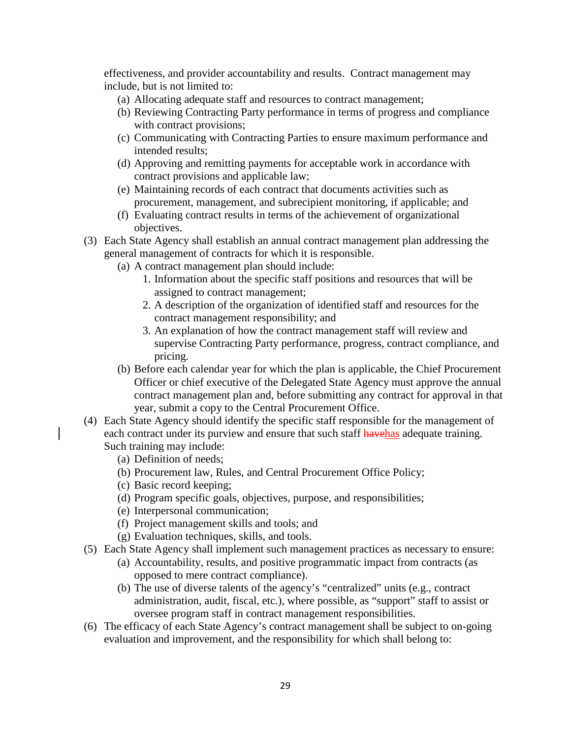effectiveness, and provider accountability and results. Contract management may include, but is not limited to:

- (a) Allocating adequate staff and resources to contract management;
- (b) Reviewing Contracting Party performance in terms of progress and compliance with contract provisions;
- (c) Communicating with Contracting Parties to ensure maximum performance and intended results;
- (d) Approving and remitting payments for acceptable work in accordance with contract provisions and applicable law;
- (e) Maintaining records of each contract that documents activities such as procurement, management, and subrecipient monitoring, if applicable; and
- (f) Evaluating contract results in terms of the achievement of organizational objectives.
- (3) Each State Agency shall establish an annual contract management plan addressing the general management of contracts for which it is responsible.
	- (a) A contract management plan should include:
		- 1. Information about the specific staff positions and resources that will be assigned to contract management;
		- 2. A description of the organization of identified staff and resources for the contract management responsibility; and
		- 3. An explanation of how the contract management staff will review and supervise Contracting Party performance, progress, contract compliance, and pricing.
	- (b) Before each calendar year for which the plan is applicable, the Chief Procurement Officer or chief executive of the Delegated State Agency must approve the annual contract management plan and, before submitting any contract for approval in that year, submit a copy to the Central Procurement Office.
- (4) Each State Agency should identify the specific staff responsible for the management of each contract under its purview and ensure that such staff have has adequate training. Such training may include:
	- (a) Definition of needs;
	- (b) Procurement law, Rules, and Central Procurement Office Policy;
	- (c) Basic record keeping;
	- (d) Program specific goals, objectives, purpose, and responsibilities;
	- (e) Interpersonal communication;
	- (f) Project management skills and tools; and
	- (g) Evaluation techniques, skills, and tools.
- (5) Each State Agency shall implement such management practices as necessary to ensure:
	- (a) Accountability, results, and positive programmatic impact from contracts (as opposed to mere contract compliance).
	- (b) The use of diverse talents of the agency's "centralized" units (e.g., contract administration, audit, fiscal, etc.), where possible, as "support" staff to assist or oversee program staff in contract management responsibilities.
- (6) The efficacy of each State Agency's contract management shall be subject to on-going evaluation and improvement, and the responsibility for which shall belong to: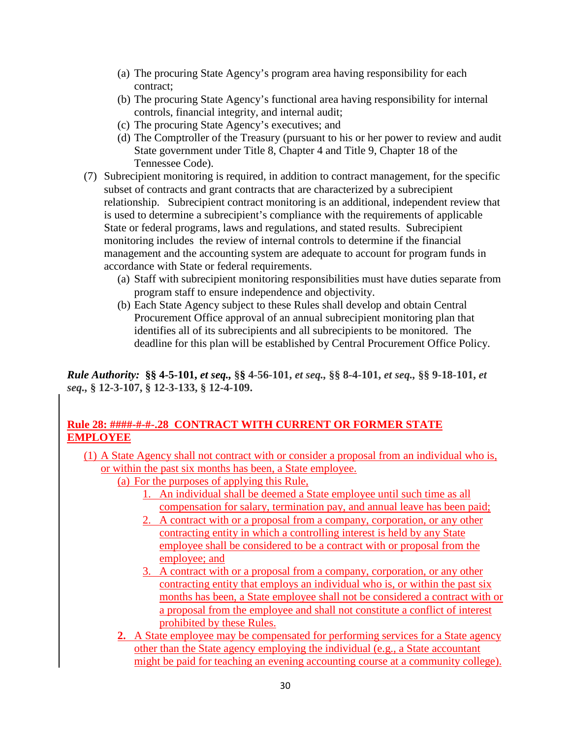- (a) The procuring State Agency's program area having responsibility for each contract;
- (b) The procuring State Agency's functional area having responsibility for internal controls, financial integrity, and internal audit;
- (c) The procuring State Agency's executives; and
- (d) The Comptroller of the Treasury (pursuant to his or her power to review and audit State government under Title 8, Chapter 4 and Title 9, Chapter 18 of the Tennessee Code).
- (7) Subrecipient monitoring is required, in addition to contract management, for the specific subset of contracts and grant contracts that are characterized by a subrecipient relationship. Subrecipient contract monitoring is an additional, independent review that is used to determine a subrecipient's compliance with the requirements of applicable State or federal programs, laws and regulations, and stated results. Subrecipient monitoring includes the review of internal controls to determine if the financial management and the accounting system are adequate to account for program funds in accordance with State or federal requirements.
	- (a) Staff with subrecipient monitoring responsibilities must have duties separate from program staff to ensure independence and objectivity.
	- (b) Each State Agency subject to these Rules shall develop and obtain Central Procurement Office approval of an annual subrecipient monitoring plan that identifies all of its subrecipients and all subrecipients to be monitored. The deadline for this plan will be established by Central Procurement Office Policy.

*Rule Authority:* **§§ 4-5-101,** *et seq.,* **§§ 4-56-101,** *et seq.,* **§§ 8-4-101,** *et seq.,* **§§ 9-18-101,** *et seq.,* **§ 12-3-107, § 12-3-133, § 12-4-109.**

# **Rule 28: ####-#-#-.28 CONTRACT WITH CURRENT OR FORMER STATE EMPLOYEE**

- (1) A State Agency shall not contract with or consider a proposal from an individual who is, or within the past six months has been, a State employee.
	- (a) For the purposes of applying this Rule,
		- 1. An individual shall be deemed a State employee until such time as all compensation for salary, termination pay, and annual leave has been paid;
		- 2. A contract with or a proposal from a company, corporation, or any other contracting entity in which a controlling interest is held by any State employee shall be considered to be a contract with or proposal from the employee; and
		- 3. A contract with or a proposal from a company, corporation, or any other contracting entity that employs an individual who is, or within the past six months has been, a State employee shall not be considered a contract with or a proposal from the employee and shall not constitute a conflict of interest prohibited by these Rules.
	- **2.** A State employee may be compensated for performing services for a State agency other than the State agency employing the individual (e.g., a State accountant might be paid for teaching an evening accounting course at a community college).